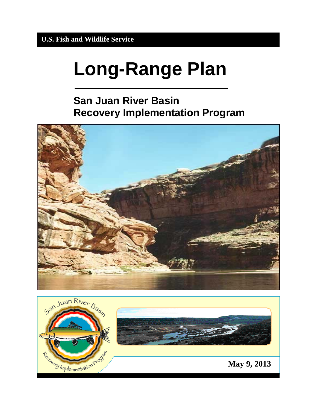# **Long-Range Plan**

## **San Juan River Basin Recovery Implementation Program**



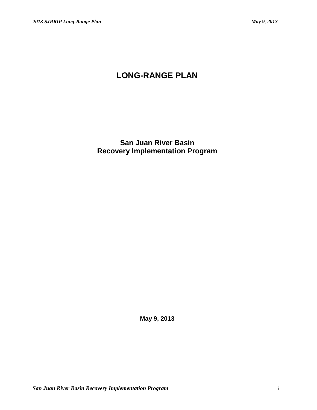## **LONG-RANGE PLAN**

**San Juan River Basin Recovery Implementation Program**

**May 9, 2013**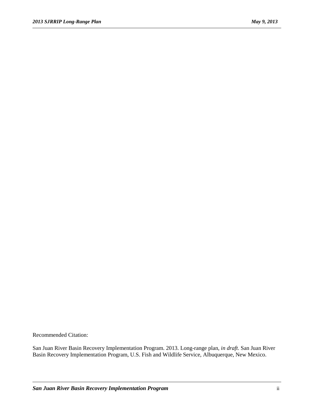Recommended Citation:

San Juan River Basin Recovery Implementation Program. 2013. Long-range plan*, in draft*. San Juan River Basin Recovery Implementation Program, U.S. Fish and Wildlife Service, Albuquerque, New Mexico.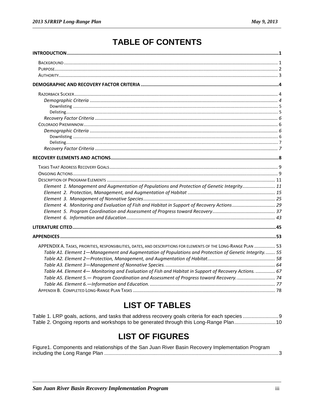## **TABLE OF CONTENTS**

| Element 1. Management and Augmentation of Populations and Protection of Genetic Integrity 11                     |  |
|------------------------------------------------------------------------------------------------------------------|--|
|                                                                                                                  |  |
|                                                                                                                  |  |
| Element 4. Monitoring and Evaluation of Fish and Habitat in Support of Recovery Actions 29                       |  |
|                                                                                                                  |  |
|                                                                                                                  |  |
|                                                                                                                  |  |
|                                                                                                                  |  |
| APPENDIX A. TASKS, PRIORITIES, RESPONSIBILITIES, DATES, AND DESCRIPTIONS FOR ELEMENTS OF THE LONG-RANGE PLAN  53 |  |
| Table A1. Element 1-Management and Augmentation of Populations and Protection of Genetic Integrity 55            |  |
|                                                                                                                  |  |
|                                                                                                                  |  |
| Table A4. Element 4- Monitoring and Evaluation of Fish and Habitat in Support of Recovery Actions.  67           |  |
| Table A5. Element 5. - Program Coordination and Assessment of Progress toward Recovery 74                        |  |
|                                                                                                                  |  |
|                                                                                                                  |  |
|                                                                                                                  |  |

## **LIST OF TABLES**

Table 2. Ongoing reports and workshops to be generated through this Long-Range Plan...........................10

## **LIST OF FIGURES**

| Figure1. Components and relationships of the San Juan River Basin Recovery Implementation Program |  |
|---------------------------------------------------------------------------------------------------|--|
|                                                                                                   |  |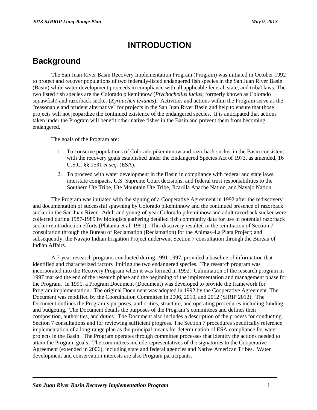## **INTRODUCTION**

## <span id="page-4-1"></span><span id="page-4-0"></span>**Background**

The San Juan River Basin Recovery Implementation Program (Program) was initiated in October 1992 to protect and recover populations of two federally-listed endangered fish species in the San Juan River Basin (Basin) while water development proceeds in compliance with all applicable federal, state, and tribal laws. The two listed fish species are the Colorado pikeminnow (*Ptychocheilus lucius*; formerly known as Colorado squawfish) and razorback sucker (*Xyrauchen texanus*). Activities and actions within the Program serve as the "reasonable and prudent alternative" for projects in the San Juan River Basin and help to ensure that those projects will not jeopardize the continued existence of the endangered species. It is anticipated that actions taken under the Program will benefit other native fishes in the Basin and prevent them from becoming endangered.

The goals of the Program are:

- 1. To conserve populations of Colorado pikeminnow and razorback sucker in the Basin consistent with the recovery goals established under the Endangered Species Act of 1973, as amended, 16 U.S.C. §§ 1531 *et seq.* (ESA).
- 2. To proceed with water development in the Basin in compliance with federal and state laws, interstate compacts, U.S. Supreme Court decisions, and federal trust responsibilities to the Southern Ute Tribe, Ute Mountain Ute Tribe, Jicarilla Apache Nation, and Navajo Nation.

The Program was initiated with the signing of a Cooperative Agreement in 1992 after the rediscovery and documentation of successful spawning by Colorado pikeminnow and the continued presence of razorback sucker in the San Juan River. Adult and young-of-year Colorado pikeminnow and adult razorback sucker were collected during 1987-1989 by biologists gathering detailed fish community data for use in potential razorback sucker reintroduction efforts (Platania et al. 1991). This discovery resulted in the reinitiation of Section 7 consultation through the Bureau of Reclamation (Reclamation) for the Animas–La Plata Project; and subsequently, the Navajo Indian Irrigation Project underwent Section 7 consultation through the Bureau of Indian Affairs.

A 7-year research program, conducted during 1991-1997, provided a baseline of information that identified and characterized factors limiting the two endangered species. The research program was incorporated into the Recovery Program when it was formed in 1992. Culmination of the research program in 1997 marked the end of the research phase and the beginning of the implementation and management phase for the Program. In 1991, a Program Document (Document) was developed to provide the framework for Program implementation. The original Document was adopted in 1992 by the Cooperative Agreement. The Document was modified by the Coordination Committee in 2006, 2010, and 2012 (SJRIP 2012). The Document outlines the Program's purposes, authorities, structure, and operating procedures including funding and budgeting. The Document details the purposes of the Program's committees and defines their composition, authorities, and duties. The Document also includes a description of the process for conducting Section 7 consultations and for reviewing sufficient progress. The Section 7 procedures specifically reference implementation of a long-range plan as the principal means for determination of ESA compliance for water projects in the Basin. The Program operates through committee processes that identify the actions needed to attain the Program goals. The committees include representatives of the signatories to the Cooperative Agreement (extended in 2006), including state and federal agencies and Native American Tribes. Water development and conservation interests are also Program participants.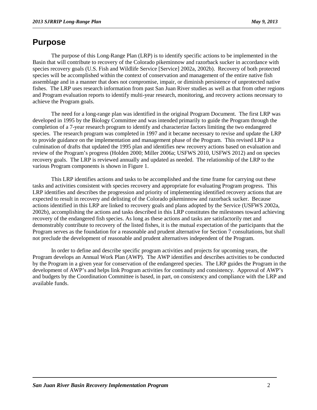## <span id="page-5-0"></span>**Purpose**

The purpose of this Long-Range Plan (LRP) is to identify specific actions to be implemented in the Basin that will contribute to recovery of the Colorado pikeminnow and razorback sucker in accordance with species recovery goals (U.S. Fish and Wildlife Service [Service] 2002a, 2002b). Recovery of both protected species will be accomplished within the context of conservation and management of the entire native fish assemblage and in a manner that does not compromise, impair, or diminish persistence of unprotected native fishes. The LRP uses research information from past San Juan River studies as well as that from other regions and Program evaluation reports to identify multi-year research, monitoring, and recovery actions necessary to achieve the Program goals.

The need for a long-range plan was identified in the original Program Document. The first LRP was developed in 1995 by the Biology Committee and was intended primarily to guide the Program through the completion of a 7-year research program to identify and characterize factors limiting the two endangered species. The research program was completed in 1997 and it became necessary to revise and update the LRP to provide guidance on the implementation and management phase of the Program. This revised LRP is a culmination of drafts that updated the 1995 plan and identifies new recovery actions based on evaluation and review of the Program's progress (Holden 2000; Miller 2006a; USFWS 2010, USFWS 2012) and on species recovery goals. The LRP is reviewed annually and updated as needed. The relationship of the LRP to the various Program components is shown in Figure 1.

This LRP identifies actions and tasks to be accomplished and the time frame for carrying out these tasks and activities consistent with species recovery and appropriate for evaluating Program progress. This LRP identifies and describes the progression and priority of implementing identified recovery actions that are expected to result in recovery and delisting of the Colorado pikeminnow and razorback sucker. Because actions identified in this LRP are linked to recovery goals and plans adopted by the Service (USFWS 2002a, 2002b), accomplishing the actions and tasks described in this LRP constitutes the milestones toward achieving recovery of the endangered fish species. As long as these actions and tasks are satisfactorily met and demonstrably contribute to recovery of the listed fishes, it is the mutual expectation of the participants that the Program serves as the foundation for a reasonable and prudent alternative for Section 7 consultations, but shall not preclude the development of reasonable and prudent alternatives independent of the Program.

In order to define and describe specific program activities and projects for upcoming years, the Program develops an Annual Work Plan (AWP). The AWP identifies and describes activities to be conducted by the Program in a given year for conservation of the endangered species. The LRP guides the Program in the development of AWP's and helps link Program activities for continuity and consistency. Approval of AWP's and budgets by the Coordination Committee is based, in part, on consistency and compliance with the LRP and available funds.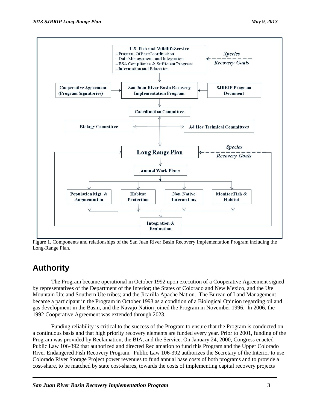

Figure 1. Components and relationships of the San Juan River Basin Recovery Implementation Program including the Long-Range Plan.

## <span id="page-6-0"></span>**Authority**

The Program became operational in October 1992 upon execution of a Cooperative Agreement signed by representatives of the Department of the Interior; the States of Colorado and New Mexico, and the Ute Mountain Ute and Southern Ute tribes; and the Jicarilla Apache Nation. The Bureau of Land Management became a participant in the Program in October 1993 as a condition of a Biological Opinion regarding oil and gas development in the Basin, and the Navajo Nation joined the Program in November 1996. In 2006, the 1992 Cooperative Agreement was extended through 2023.

Funding reliability is critical to the success of the Program to ensure that the Program is conducted on a continuous basis and that high priority recovery elements are funded every year. Prior to 2001, funding of the Program was provided by Reclamation, the BIA, and the Service. On January 24, 2000, Congress enacted Public Law 106-392 that authorized and directed Reclamation to fund this Program and the Upper Colorado River Endangered Fish Recovery Program. Public Law 106-392 authorizes the Secretary of the Interior to use Colorado River Storage Project power revenues to fund annual base costs of both programs and to provide a cost-share, to be matched by state cost-shares, towards the costs of implementing capital recovery projects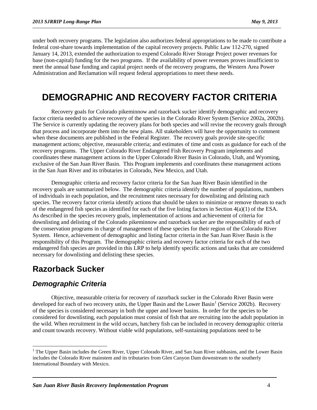under both recovery programs. The legislation also authorizes federal appropriations to be made to contribute a federal cost-share towards implementation of the capital recovery projects. Public Law 112-270, signed January 14, 2013, extended the authorization to expend Colorado River Storage Project power revenues for base (non-capital) funding for the two programs. If the availability of power revenues proves insufficient to meet the annual base funding and capital project needs of the recovery programs, the Western Area Power Administration and Reclamation will request federal appropriations to meet these needs.

## <span id="page-7-0"></span>**DEMOGRAPHIC AND RECOVERY FACTOR CRITERIA**

Recovery goals for Colorado pikeminnow and razorback sucker identify demographic and recovery factor criteria needed to achieve recovery of the species in the Colorado River System (Service 2002a, 2002b). The Service is currently updating the recovery plans for both species and will revise the recovery goals through that process and incorporate them into the new plans. All stakeholders will have the opportunity to comment when these documents are published in the Federal Register. The recovery goals provide site-specific management actions; objective, measurable criteria; and estimates of time and costs as guidance for each of the recovery programs. The Upper Colorado River Endangered Fish Recovery Program implements and coordinates these management actions in the Upper Colorado River Basin in Colorado, Utah, and Wyoming, exclusive of the San Juan River Basin. This Program implements and coordinates these management actions in the San Juan River and its tributaries in Colorado, New Mexico, and Utah.

Demographic criteria and recovery factor criteria for the San Juan River Basin identified in the recovery goals are summarized below. The demographic criteria identify the number of populations, numbers of individuals in each population, and the recruitment rates necessary for downlisting and delisting each species. The recovery factor criteria identify actions that should be taken to minimize or remove threats to each of the endangered fish species as identified for each of the five listing factors in Section  $4(a)(1)$  of the ESA. As described in the species recovery goals, implementation of actions and achievement of criteria for downlisting and delisting of the Colorado pikeminnow and razorback sucker are the responsibility of each of the conservation programs in charge of management of these species for their region of the Colorado River System. Hence, achievement of demographic and listing factor criteria in the San Juan River Basin is the responsibility of this Program. The demographic criteria and recovery factor criteria for each of the two endangered fish species are provided in this LRP to help identify specific actions and tasks that are considered necessary for downlisting and delisting these species.

## <span id="page-7-1"></span>**Razorback Sucker**

#### <span id="page-7-2"></span>*Demographic Criteria*

Objective, measurable criteria for recovery of razorback sucker in the Colorado River Basin were developed for each of two recovery units, the Upper Basin and the Lower Basin<sup>[1](#page-7-3)</sup> (Service 2002b). Recovery of the species is considered necessary in both the upper and lower basins. In order for the species to be considered for downlisting, each population must consist of fish that are recruiting into the adult population in the wild. When recruitment in the wild occurs, hatchery fish can be included in recovery demographic criteria and count towards recovery. Without viable wild populations, self-sustaining populations need to be

<span id="page-7-3"></span> $1$  The Upper Basin includes the Green River, Upper Colorado River, and San Juan River subbasins, and the Lower Basin includes the Colorado River mainstem and its tributaries from Glen Canyon Dam downstream to the southerly International Boundary with Mexico.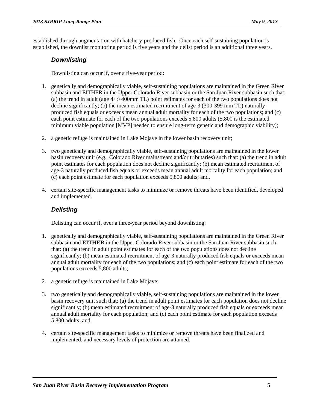established through augmentation with hatchery-produced fish. Once each self-sustaining population is established, the downlist monitoring period is five years and the delist period is an additional three years.

#### <span id="page-8-0"></span>*Downlisting*

Downlisting can occur if, over a five-year period:

- 1. genetically and demographically viable, self-sustaining populations are maintained in the Green River subbasin and EITHER in the Upper Colorado River subbasin or the San Juan River subbasin such that: (a) the trend in adult (age 4+;>400mm TL) point estimates for each of the two populations does not decline significantly; (b) the mean estimated recruitment of age-3 (300-399 mm TL) naturally produced fish equals or exceeds mean annual adult mortality for each of the two populations; and (c) each point estimate for each of the two populations exceeds 5,800 adults (5,800 is the estimated minimum viable population [MVP] needed to ensure long-term genetic and demographic viability);
- 2. a genetic refuge is maintained in Lake Mojave in the lower basin recovery unit;
- 3. two genetically and demographically viable, self-sustaining populations are maintained in the lower basin recovery unit (e.g., Colorado River mainstream and/or tributaries) such that: (a) the trend in adult point estimates for each population does not decline significantly; (b) mean estimated recruitment of age-3 naturally produced fish equals or exceeds mean annual adult mortality for each population; and (c) each point estimate for each population exceeds 5,800 adults; and,
- 4. certain site-specific management tasks to minimize or remove threats have been identified, developed and implemented.

#### <span id="page-8-1"></span>*Delisting*

Delisting can occur if, over a three-year period beyond downlisting:

- 1. genetically and demographically viable, self-sustaining populations are maintained in the Green River subbasin and **EITHER** in the Upper Colorado River subbasin or the San Juan River subbasin such that: (a) the trend in adult point estimates for each of the two populations does not decline significantly; (b) mean estimated recruitment of age-3 naturally produced fish equals or exceeds mean annual adult mortality for each of the two populations; and (c) each point estimate for each of the two populations exceeds 5,800 adults;
- 2. a genetic refuge is maintained in Lake Mojave;
- 3. two genetically and demographically viable, self-sustaining populations are maintained in the lower basin recovery unit such that: (a) the trend in adult point estimates for each population does not decline significantly; (b) mean estimated recruitment of age-3 naturally produced fish equals or exceeds mean annual adult mortality for each population; and (c) each point estimate for each population exceeds 5,800 adults; and,
- 4. certain site-specific management tasks to minimize or remove threats have been finalized and implemented, and necessary levels of protection are attained.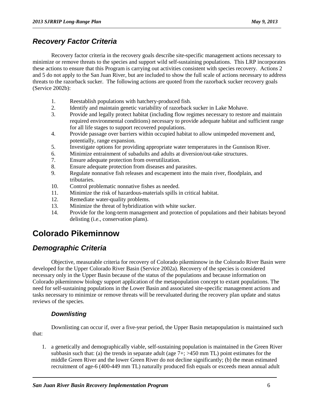#### <span id="page-9-0"></span>*Recovery Factor Criteria*

Recovery factor criteria in the recovery goals describe site-specific management actions necessary to minimize or remove threats to the species and support wild self-sustaining populations. This LRP incorporates these actions to ensure that this Program is carrying out activities consistent with species recovery. Actions 2 and 5 do not apply to the San Juan River, but are included to show the full scale of actions necessary to address threats to the razorback sucker. The following actions are quoted from the razorback sucker recovery goals (Service 2002b):

- 1. Reestablish populations with hatchery-produced fish.
- 2. Identify and maintain genetic variability of razorback sucker in Lake Mohave.
- 3. Provide and legally protect habitat (including flow regimes necessary to restore and maintain required environmental conditions) necessary to provide adequate habitat and sufficient range for all life stages to support recovered populations.
- 4. Provide passage over barriers within occupied habitat to allow unimpeded movement and, potentially, range expansion.
- 5. Investigate options for providing appropriate water temperatures in the Gunnison River.
- 6. Minimize entrainment of subadults and adults at diversion/out-take structures.
- 7. Ensure adequate protection from overutilization.
- 8. Ensure adequate protection from diseases and parasites.
- 9. Regulate nonnative fish releases and escapement into the main river, floodplain, and tributaries.
- 10. Control problematic nonnative fishes as needed.
- 11. Minimize the risk of hazardous-materials spills in critical habitat.
- 12. Remediate water-quality problems.
- 13. Minimize the threat of hybridization with white sucker.
- 14. Provide for the long-term management and protection of populations and their habitats beyond delisting (i.e., conservation plans).

## <span id="page-9-1"></span>**Colorado Pikeminnow**

#### <span id="page-9-2"></span>*Demographic Criteria*

Objective, measurable criteria for recovery of Colorado pikeminnow in the Colorado River Basin were developed for the Upper Colorado River Basin (Service 2002a). Recovery of the species is considered necessary only in the Upper Basin because of the status of the populations and because information on Colorado pikeminnow biology support application of the metapopulation concept to extant populations. The need for self-sustaining populations in the Lower Basin and associated site-specific management actions and tasks necessary to minimize or remove threats will be reevaluated during the recovery plan update and status reviews of the species.

#### <span id="page-9-3"></span>*Downlisting*

Downlisting can occur if, over a five-year period, the Upper Basin metapopulation is maintained such that:

1. a genetically and demographically viable, self-sustaining population is maintained in the Green River subbasin such that: (a) the trends in separate adult (age  $7+$ ;  $>450$  mm TL) point estimates for the middle Green River and the lower Green River do not decline significantly; (b) the mean estimated recruitment of age-6 (400-449 mm TL) naturally produced fish equals or exceeds mean annual adult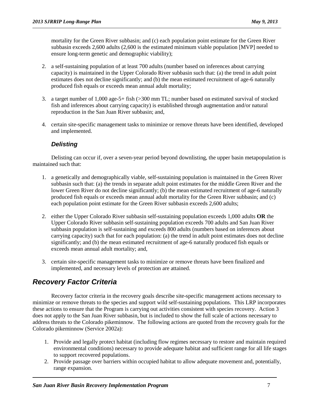mortality for the Green River subbasin; and (c) each population point estimate for the Green River subbasin exceeds 2,600 adults (2,600 is the estimated minimum viable population [MVP] needed to ensure long-term genetic and demographic viability);

- 2. a self-sustaining population of at least 700 adults (number based on inferences about carrying capacity) is maintained in the Upper Colorado River subbasin such that: (a) the trend in adult point estimates does not decline significantly; and (b) the mean estimated recruitment of age-6 naturally produced fish equals or exceeds mean annual adult mortality;
- 3. a target number of 1,000 age-5+ fish (>300 mm TL; number based on estimated survival of stocked fish and inferences about carrying capacity) is established through augmentation and/or natural reproduction in the San Juan River subbasin; and,
- 4. certain site-specific management tasks to minimize or remove threats have been identified, developed and implemented.

#### <span id="page-10-0"></span>*Delisting*

Delisting can occur if, over a seven-year period beyond downlisting, the upper basin metapopulation is maintained such that:

- 1. a genetically and demographically viable, self-sustaining population is maintained in the Green River subbasin such that: (a) the trends in separate adult point estimates for the middle Green River and the lower Green River do not decline significantly; (b) the mean estimated recruitment of age-6 naturally produced fish equals or exceeds mean annual adult mortality for the Green River subbasin; and (c) each population point estimate for the Green River subbasin exceeds 2,600 adults;
- 2. either the Upper Colorado River subbasin self-sustaining population exceeds 1,000 adults **OR** the Upper Colorado River subbasin self-sustaining population exceeds 700 adults and San Juan River subbasin population is self-sustaining and exceeds 800 adults (numbers based on inferences about carrying capacity) such that for each population: (a) the trend in adult point estimates does not decline significantly; and (b) the mean estimated recruitment of age-6 naturally produced fish equals or exceeds mean annual adult mortality; and,
- 3. certain site-specific management tasks to minimize or remove threats have been finalized and implemented, and necessary levels of protection are attained.

## <span id="page-10-1"></span>*Recovery Factor Criteria*

Recovery factor criteria in the recovery goals describe site-specific management actions necessary to minimize or remove threats to the species and support wild self-sustaining populations. This LRP incorporates these actions to ensure that the Program is carrying out activities consistent with species recovery. Action 3 does not apply to the San Juan River subbasin, but is included to show the full scale of actions necessary to address threats to the Colorado pikeminnow. The following actions are quoted from the recovery goals for the Colorado pikeminnow (Service 2002a):

- 1. Provide and legally protect habitat (including flow regimes necessary to restore and maintain required environmental conditions) necessary to provide adequate habitat and sufficient range for all life stages to support recovered populations.
- 2. Provide passage over barriers within occupied habitat to allow adequate movement and, potentially, range expansion.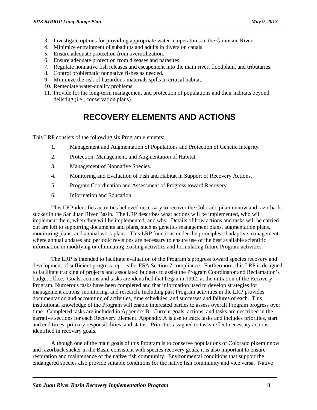- 3. Investigate options for providing appropriate water temperatures in the Gunnison River.
- 4. Minimize entrainment of subadults and adults in diversion canals.
- 5. Ensure adequate protection from overutilization.
- 6. Ensure adequate protection from diseases and parasites.
- 7. Regulate nonnative fish releases and escapement into the main river, floodplain, and tributaries.
- 8. Control problematic nonnative fishes as needed.
- 9. Minimize the risk of hazardous-materials spills in critical habitat.
- 10. Remediate water-quality problems.
- 11. Provide for the long-term management and protection of populations and their habitats beyond delisting (i.e., conservation plans).

## **RECOVERY ELEMENTS AND ACTIONS**

<span id="page-11-0"></span>This LRP consists of the following six Program elements:

- 1. Management and Augmentation of Populations and Protection of Genetic Integrity.
- 2. Protection, Management, and Augmentation of Habitat.
- 3. Management of Nonnative Species.
- 4. Monitoring and Evaluation of Fish and Habitat in Support of Recovery Actions.
- 5. Program Coordination and Assessment of Progress toward Recovery.
- 6. Information and Education

This LRP identifies activities believed necessary to recover the Colorado pikeminnow and razorback sucker in the San Juan River Basin. The LRP describes what actions will be implemented, who will implement them, when they will be implemented, and why. Details of how actions and tasks will be carried out are left to supporting documents and plans, such as genetics management plans, augmentation plans, monitoring plans, and annual work plans. This LRP functions under the principles of adaptive management where annual updates and periodic revisions are necessary to ensure use of the best available scientific information in modifying or eliminating existing activities and formulating future Program activities.

The LRP is intended to facilitate evaluation of the Program's progress toward species recovery and development of sufficient progress reports for ESA Section 7 compliance. Furthermore, this LRP is designed to facilitate tracking of projects and associated budgets to assist the Program Coordinator and Reclamation's budget office. Goals, actions and tasks are identified that began in 1992, at the initiation of the Recovery Program. Numerous tasks have been completed and that information used to develop strategies for management actions, monitoring, and research. Including past Program activities in the LRP provides documentation and accounting of activities, time schedules, and successes and failures of each. This institutional knowledge of the Program will enable interested parties to assess overall Program progress over time. Completed tasks are included in Appendix B. Current goals, actions, and tasks are described in the narrative sections for each Recovery Element. Appendix A is use to track tasks and includes priorities, start and end times, primary responsibilities, and status. Priorities assigned to tasks reflect necessary actions identified in recovery goals.

Although one of the main goals of this Program is to conserve populations of Colorado pikeminnow and razorback sucker in the Basin consistent with species recovery goals, it is also important to ensure restoration and maintenance of the native fish community. Environmental conditions that support the endangered species also provide suitable conditions for the native fish community and vice versa. Native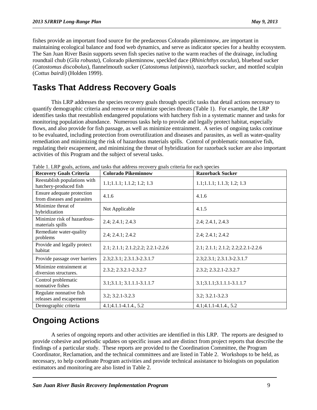fishes provide an important food source for the predaceous Colorado pikeminnow, are important in maintaining ecological balance and food web dynamics, and serve as indicator species for a healthy ecosystem. The San Juan River Basin supports seven fish species native to the warm reaches of the drainage, including roundtail chub (*Gila robusta*), Colorado pikeminnow, speckled dace (*Rhinichthys osculus*), bluehead sucker (*Catostomus discobolus*), flannelmouth sucker (*Catostomus latipinnis*), razorback sucker, and mottled sculpin (*Cottus bairdi*) (Holden 1999).

## <span id="page-12-0"></span>**Tasks That Address Recovery Goals**

This LRP addresses the species recovery goals through specific tasks that detail actions necessary to quantify demographic criteria and remove or minimize species threats (Table 1). For example, the LRP identifies tasks that reestablish endangered populations with hatchery fish in a systematic manner and tasks for monitoring population abundance. Numerous tasks help to provide and legally protect habitat, especially flows, and also provide for fish passage, as well as minimize entrainment. A series of ongoing tasks continue to be evaluated, including protection from overutilization and diseases and parasites, as well as water-quality remediation and minimizing the risk of hazardous materials spills. Control of problematic nonnative fish, regulating their escapement, and minimizing the threat of hybridization for razorback sucker are also important activities of this Program and the subject of several tasks.

| <b>Recovery Goals Criteria</b>                            | <b>Colorado Pikeminnow</b>          | <b>Razorback Sucker</b>             |  |  |
|-----------------------------------------------------------|-------------------------------------|-------------------------------------|--|--|
| Reestablish populations with<br>hatchery-produced fish    | 1.1; 1.1.1; 1.1.2; 1.2; 1.3         | 1.1; 1.1.1; 1.1.3; 1.2; 1.3         |  |  |
| Ensure adequate protection<br>from diseases and parasites | 4.1.6                               | 4.1.6                               |  |  |
| Minimize threat of<br>hybridization                       | Not Applicable                      | 4.1.5                               |  |  |
| Minimize risk of hazardous-<br>materials spills           | 2.4; 2.4.1; 2.4.3                   | 2.4; 2.4.1, 2.4.3                   |  |  |
| Remediate water-quality<br>problems                       | 2.4; 2.4.1; 2.4.2                   | 2.4; 2.4.1; 2.4.2                   |  |  |
| Provide and legally protect<br>habitat                    | 2.1; 2.1.1; 2.1.2; 2.2; 2.2.1-2.2.6 | 2.1; 2.1.1; 2.1.2; 2.2; 2.2.1-2.2.6 |  |  |
| Provide passage over barriers                             | 2.3;2.3.1; 2.3.1.3-2.3.1.7          | 2.3;2.3.1; 2.3.1.3-2.3.1.7          |  |  |
| Minimize entrainment at<br>diversion structures.          | 2.3.2; 2.3.2.1-2.3.2.7              | 2.3.2; 2.3.2.1-2.3.2.7              |  |  |
| Control problematic<br>nonnative fishes                   | 3.1; 3.1.1; 3.1.1.1 - 3.1.1.7       | 3.1;3.1.1;3.1.1.1-3.1.1.7           |  |  |
| Regulate nonnative fish<br>releases and escapement        | 3.2; 3.2.1-3.2.3                    | $3.2; 3.2.1 - 3.2.3$                |  |  |
| Demographic criteria                                      | $4.1;4.1.1-4.1.4, 5.2$              | $4.1;4.1.1-4.1.4, 5.2$              |  |  |

Table 1. LRP goals, actions, and tasks that address recovery goals criteria for each species

## <span id="page-12-1"></span>**Ongoing Actions**

A series of ongoing reports and other activities are identified in this LRP. The reports are designed to provide cohesive and periodic updates on specific issues and are distinct from project reports that describe the findings of a particular study. These reports are provided to the Coordination Committee, the Program Coordinator, Reclamation, and the technical committees and are listed in Table 2. Workshops to be held, as necessary, to help coordinate Program activities and provide technical assistance to biologists on population estimators and monitoring are also listed in Table 2.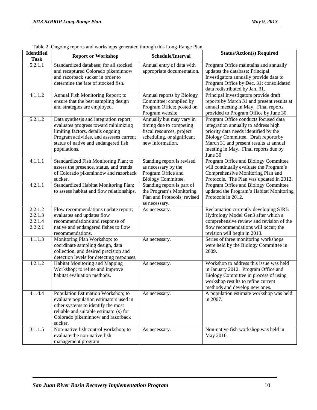| <b>Identified</b><br><b>Task</b>         | <b>Report or Workshop</b>                                                                                                                                                                                               | Schedule/Interval                                                                                                                  | <b>Status/Action(s) Required</b>                                                                                                                                                                                                                          |
|------------------------------------------|-------------------------------------------------------------------------------------------------------------------------------------------------------------------------------------------------------------------------|------------------------------------------------------------------------------------------------------------------------------------|-----------------------------------------------------------------------------------------------------------------------------------------------------------------------------------------------------------------------------------------------------------|
| 5.2.1.1                                  | Standardized database; for all stocked<br>and recaptured Colorado pikeminnow<br>and razorback sucker in order to<br>determine the fate of stocked fish.                                                                 | Annual entry of data with<br>appropriate documentation.                                                                            | Program Office maintains and annually<br>updates the database; Principal<br>Investigators annually provide data to<br>Program Office by Dec. 31; consolidated<br>data redistributed by Jan. 31.                                                           |
| 4.1.1.2                                  | Annual Fish Monitoring Report; to<br>ensure that the best sampling design<br>and strategies are employed.                                                                                                               | Annual reports by Biology<br>Committee; compiled by<br>Program Office; posted on<br>Program website                                | Principal Investigators provide draft<br>reports by March 31 and present results at<br>annual meeting in May. Final reports<br>provided to Program Office by June 30.                                                                                     |
| 5.2.1.2                                  | Data synthesis and integration report;<br>evaluates progress toward minimizing<br>limiting factors, details ongoing<br>Program activities, and assesses current<br>status of native and endangered fish<br>populations. | Annually but may vary in<br>timing due to competing<br>fiscal resources, project<br>scheduling, or significant<br>new information. | Program Office conducts focused data<br>integration annually to address high<br>priority data needs identified by the<br>Biology Committee. Draft reports by<br>March 31 and present results at annual<br>meeting in May. Final reports due by<br>June 30 |
| 4.1.1.1                                  | Standardized Fish Monitoring Plan; to<br>assess the presence, status, and trends<br>of Colorado pikeminnow and razorback<br>sucker.                                                                                     | Standing report is revised<br>as necessary by the<br>Program Office and<br><b>Biology Committee.</b>                               | Program Office and Biology Committee<br>will continually evaluate the Program's<br>Comprehensive Monitoring Plan and<br>Protocols. The Plan was updated in 2012.                                                                                          |
| 4.2.1.1                                  | Standardized Habitat Monitoring Plan;<br>to assess habitat and flow relationships.                                                                                                                                      | Standing report is part of<br>the Program's Monitoring<br>Plan and Protocols; revised<br>as necessary.                             | Program Office and Biology Committee<br>updated the Program's Habitat Monitoring<br>Protocols in 2012.                                                                                                                                                    |
| 2.2.1.2<br>2.2.1.3<br>2.2.1.4<br>2.2.2.1 | Flow recommendations update report;<br>evaluates and updates flow<br>recommendations and response of<br>native and endangered fishes to flow<br>recommendations.                                                        | As necessary.                                                                                                                      | Reclamation currently developing SJRB<br>Hydrology Model Gen3 after which a<br>comprehensive review and revision of the<br>flow recommendations will occur; the<br>revision will begin in 2013.                                                           |
| 4.1.1.3                                  | Monitoring Plan Workshop: to<br>coordinate sampling design, data<br>collection, and desired precision and<br>detection levels for detecting responses.                                                                  | As necessary.                                                                                                                      | Series of three monitoring workshops<br>were held by the Biology Committee in<br>2009.                                                                                                                                                                    |
| 4.2.1.2                                  | Habitat Monitoring and Mapping<br>Workshop; to refine and improve<br>habitat evaluation methods.                                                                                                                        | As necessary.                                                                                                                      | Workshop to address this issue was held<br>in January 2012. Program Office and<br>Biology Committee in process of using<br>workshop results to refine current<br>methods and develop new ones.                                                            |
| 4.1.4.4                                  | Population Estimation Workshop; to<br>evaluate population estimators used in<br>other systems to identify the most<br>reliable and suitable estimator(s) for<br>Colorado pikeminnow and razorback<br>sucker.            | As necessary.                                                                                                                      | A population estimate workshop was held<br>in 2007.                                                                                                                                                                                                       |
| 3.1.1.5                                  | Non-native fish control workshop; to<br>evaluate the non-native fish<br>management program                                                                                                                              | As necessary.                                                                                                                      | Non-native fish workshop was held in<br>May 2010.                                                                                                                                                                                                         |

|  | Table 2. Ongoing reports and workshops generated through this Long-Range Plan. |  |  |  |
|--|--------------------------------------------------------------------------------|--|--|--|
|  |                                                                                |  |  |  |
|  |                                                                                |  |  |  |
|  |                                                                                |  |  |  |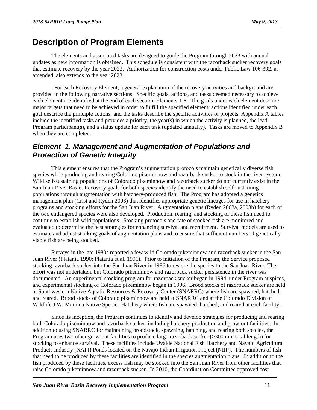## <span id="page-14-0"></span>**Description of Program Elements**

The elements and associated tasks are designed to guide the Program through 2023 with annual updates as new information is obtained. This schedule is consistent with the razorback sucker recovery goals that estimate recovery by the year 2023. Authorization for construction costs under Public Law 106-392, as amended, also extends to the year 2023.

 For each Recovery Element, a general explanation of the recovery activities and background are provided in the following narrative sections. Specific goals, actions, and tasks deemed necessary to achieve each element are identified at the end of each section, Elements 1-6. The goals under each element describe major targets that need to be achieved in order to fulfill the specified element; actions identified under each goal describe the principle actions; and the tasks describe the specific activities or projects. Appendix A tables include the identified tasks and provides a priority, the year(s) in which the activity is planned, the lead Program participant(s), and a status update for each task (updated annually). Tasks are moved to Appendix B when they are completed.

#### <span id="page-14-1"></span>*Element 1. Management and Augmentation of Populations and Protection of Genetic Integrity*

This element ensures that the Program's augmentation protocols maintain genetically diverse fish species while producing and rearing Colorado pikeminnow and razorback sucker to stock in the river system. Wild self-sustaining populations of Colorado pikeminnow and razorback sucker do not currently exist in the San Juan River Basin. Recovery goals for both species identify the need to establish self-sustaining populations through augmentation with hatchery-produced fish. The Program has adopted a genetics management plan (Crist and Ryden 2003) that identifies appropriate genetic lineages for use in hatchery programs and stocking efforts for the San Juan River. Augmentation plans (Ryden 2003a, 2003b) for each of the two endangered species were also developed. Production, rearing, and stocking of these fish need to continue to establish wild populations. Stocking protocols and fate of stocked fish are monitored and evaluated to determine the best strategies for enhancing survival and recruitment. Survival models are used to estimate and adjust stocking goals of augmentation plans and to ensure that sufficient numbers of genetically viable fish are being stocked.

Surveys in the late 1980s reported a few wild Colorado pikeminnow and razorback sucker in the San Juan River (Platania 1990; Platania et al. 1991). Prior to initiation of the Program, the Service proposed stocking razorback sucker into the San Juan River in 1986 to restore the species to the San Juan River. The effort was not undertaken, but Colorado pikeminnow and razorback sucker persistence in the river was documented. An experimental stocking program for razorback sucker began in 1994, under Program auspices, and experimental stocking of Colorado pikeminnow began in 1996. Brood stocks of razorback sucker are held at Southwestern Native Aquatic Resources & Recovery Center (SNARRC) where fish are spawned, hatched, and reared. Brood stocks of Colorado pikeminnow are held at SNARRC and at the Colorado Division of Wildlife J.W. Mumma Native Species Hatchery where fish are spawned, hatched, and reared at each facility.

Since its inception, the Program continues to identify and develop strategies for producing and rearing both Colorado pikeminnow and razorback sucker, including hatchery production and grow-out facilities. In addition to using SNARRC for maintaining broodstock, spawning, hatching, and rearing both species, the Program uses two other grow-out facilities to produce large razorback sucker (>300 mm total length) for stocking to enhance survival. These facilities include Uvalde National Fish Hatchery and Navajo Agricultural Products Industry (NAPI) Ponds located on the Navajo Indian Irrigation Project (NIIP). The numbers of fish that need to be produced by these facilities are identified in the species augmentation plans. In addition to the fish produced by these facilities, excess fish may be stocked into the San Juan River from other facilities that raise Colorado pikeminnow and razorback sucker. In 2010, the Coordination Committee approved cost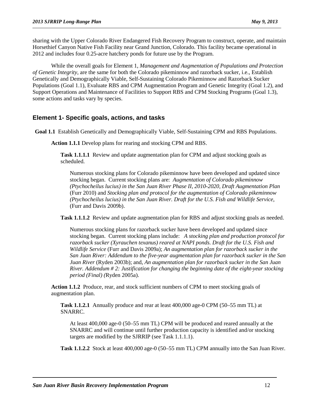sharing with the Upper Colorado River Endangered Fish Recovery Program to construct, operate, and maintain Horsethief Canyon Native Fish Facility near Grand Junction, Colorado. This facility became operational in 2012 and includes four 0.25-acre hatchery ponds for future use by the Program.

While the overall goals for Element 1, *Management and Augmentation of Populations and Protection of Genetic Integrity,* are the same for both the Colorado pikeminnow and razorback sucker, i.e., Establish Genetically and Demographically Viable, Self-Sustaining Colorado Pikeminnow and Razorback Sucker Populations (Goal 1.1), Evaluate RBS and CPM Augmentation Program and Genetic Integrity (Goal 1.2), and Support Operations and Maintenance of Facilities to Support RBS and CPM Stocking Programs (Goal 1.3), some actions and tasks vary by species.

#### **Element 1- Specific goals, actions, and tasks**

**Goal 1.1** Establish Genetically and Demographically Viable, Self-Sustaining CPM and RBS Populations.

**Action 1.1.1** Develop plans for rearing and stocking CPM and RBS.

**Task 1.1.1.1** Review and update augmentation plan for CPM and adjust stocking goals as scheduled.

Numerous stocking plans for Colorado pikeminnow have been developed and updated since stocking began. Current stocking plans are: *Augmentation of Colorado pikeminnow (Ptychocheilus lucius) in the San Juan River Phase II, 2010-2020, Draft Augmentation Plan* (Furr 2010) and *Stocking plan and protocol for the augmentation of Colorado pikeminnow (Ptychocheilus lucius) in the San Juan River. Draft for the U.S. Fish and Wildlife Service*, (Furr and Davis 2009b).

**Task 1.1.1.2** Review and update augmentation plan for RBS and adjust stocking goals as needed.

Numerous stocking plans for razorback sucker have been developed and updated since stocking began. Current stocking plans include: *A stocking plan and production protocol for razorback sucker (Xyrauchen texanus) reared at NAPI ponds. Draft for the U.S. Fish and Wildlife Service* (Furr and Davis 2009a); *An augmentation plan for razorback sucker in the San Juan River: Addendum to the five-year augmentation plan for razorback sucker in the San Juan River* (Ryden 2003b); and, *An augmentation plan for razorback sucker in the San Juan River. Addendum # 2: Justification for changing the beginning date of the eight-year stocking period (Final) (*Ryden 2005a).

**Action 1.1.2** Produce, rear, and stock sufficient numbers of CPM to meet stocking goals of augmentation plan.

**Task 1.1.2.1** Annually produce and rear at least 400,000 age-0 CPM (50–55 mm TL) at SNARRC.

At least 400,000 age-0 (50–55 mm TL) CPM will be produced and reared annually at the SNARRC and will continue until further production capacity is identified and/or stocking targets are modified by the SJRRIP (see Task 1.1.1.1).

**Task 1.1.2.2** Stock at least 400,000 age-0 (50–55 mm TL) CPM annually into the San Juan River.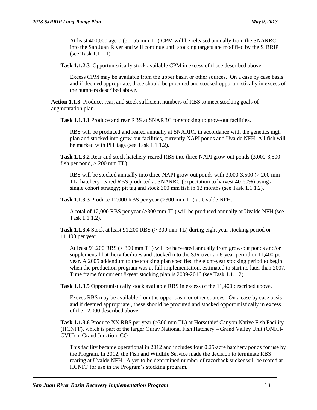At least 400,000 age-0 (50–55 mm TL) CPM will be released annually from the SNARRC into the San Juan River and will continue until stocking targets are modified by the SJRRIP (see Task 1.1.1.1).

**Task 1.1.2.3** Opportunistically stock available CPM in excess of those described above.

Excess CPM may be available from the upper basin or other sources. On a case by case basis and if deemed appropriate, these should be procured and stocked opportunistically in excess of the numbers described above.

**Action 1.1.3** Produce, rear, and stock sufficient numbers of RBS to meet stocking goals of augmentation plan.

**Task 1.1.3.1** Produce and rear RBS at SNARRC for stocking to grow-out facilities.

RBS will be produced and reared annually at SNARRC in accordance with the genetics mgt. plan and stocked into grow-out facilities, currently NAPI ponds and Uvalde NFH. All fish will be marked with PIT tags (see Task 1.1.1.2).

**Task 1.1.3.2** Rear and stock hatchery-reared RBS into three NAPI grow-out ponds (3,000-3,500 fish per pond,  $> 200$  mm TL).

RBS will be stocked annually into three NAPI grow-out ponds with 3,000-3,500 (> 200 mm TL) hatchery-reared RBS produced at SNARRC (expectation to harvest 40-60%) using a single cohort strategy; pit tag and stock 300 mm fish in 12 months (see Task 1.1.1.2).

**Task 1.1.3.3** Produce 12,000 RBS per year (>300 mm TL) at Uvalde NFH.

A total of 12,000 RBS per year (>300 mm TL) will be produced annually at Uvalde NFH (see Task 1.1.1.2).

**Task 1.1.3.4** Stock at least 91,200 RBS (> 300 mm TL) during eight year stocking period or 11,400 per year.

At least 91,200 RBS (> 300 mm TL) will be harvested annually from grow-out ponds and/or supplemental hatchery facilities and stocked into the SJR over an 8-year period or 11,400 per year. A 2005 addendum to the stocking plan specified the eight-year stocking period to begin when the production program was at full implementation, estimated to start no later than 2007. Time frame for current 8-year stocking plan is 2009-2016 (see Task 1.1.1.2).

**Task 1.1.3.5** Opportunistically stock available RBS in excess of the 11,400 described above.

Excess RBS may be available from the upper basin or other sources. On a case by case basis and if deemed appropriate , these should be procured and stocked opportunistically in excess of the 12,000 described above.

**Task 1.1.3.6** Produce XX RBS per year (>300 mm TL) at Horsethief Canyon Native Fish Facility (HCNFF), which is part of the larger Ouray National Fish Hatchery – Grand Valley Unit (ONFH-GVU) in Grand Junction, CO

This facility became operational in 2012 and includes four 0.25-acre hatchery ponds for use by the Program. In 2012, the Fish and Wildlife Service made the decision to terminate RBS rearing at Uvalde NFH. A yet-to-be determined number of razorback sucker will be reared at HCNFF for use in the Program's stocking program.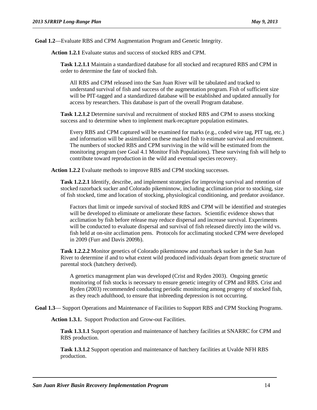**Goal 1.2**—Evaluate RBS and CPM Augmentation Program and Genetic Integrity.

**Action 1.2.1** Evaluate status and success of stocked RBS and CPM.

**Task 1.2.1.1** Maintain a standardized database for all stocked and recaptured RBS and CPM in order to determine the fate of stocked fish.

All RBS and CPM released into the San Juan River will be tabulated and tracked to understand survival of fish and success of the augmentation program. Fish of sufficient size will be PIT-tagged and a standardized database will be established and updated annually for access by researchers. This database is part of the overall Program database.

**Task 1.2.1.2** Determine survival and recruitment of stocked RBS and CPM to assess stocking success and to determine when to implement mark-recapture population estimates.

Every RBS and CPM captured will be examined for marks (e.g., coded wire tag, PIT tag, etc.) and information will be assimilated on these marked fish to estimate survival and recruitment. The numbers of stocked RBS and CPM surviving in the wild will be estimated from the monitoring program (see Goal 4.1 Monitor Fish Populations). These surviving fish will help to contribute toward reproduction in the wild and eventual species recovery.

**Action 1.2.2** Evaluate methods to improve RBS and CPM stocking successes.

**Task 1.2.2.1** Identify, describe, and implement strategies for improving survival and retention of stocked razorback sucker and Colorado pikeminnow, including acclimation prior to stocking, size of fish stocked, time and location of stocking, physiological conditioning, and predator avoidance.

Factors that limit or impede survival of stocked RBS and CPM will be identified and strategies will be developed to eliminate or ameliorate these factors. Scientific evidence shows that acclimation by fish before release may reduce dispersal and increase survival. Experiments will be conducted to evaluate dispersal and survival of fish released directly into the wild vs. fish held at on-site acclimation pens. Protocols for acclimating stocked CPM were developed in 2009 (Furr and Davis 2009b).

**Task 1.2.2.2** Monitor genetics of Colorado pikeminnow and razorback sucker in the San Juan River to determine if and to what extent wild produced individuals depart from genetic structure of parental stock (hatchery derived).

A genetics management plan was developed (Crist and Ryden 2003). Ongoing genetic monitoring of fish stocks is necessary to ensure genetic integrity of CPM and RBS. Crist and Ryden (2003) recommended conducting periodic monitoring among progeny of stocked fish, as they reach adulthood, to ensure that inbreeding depression is not occurring.

**Goal 1.3**— Support Operations and Maintenance of Facilities to Support RBS and CPM Stocking Programs.

**Action 1.3.1.** Support Production and Grow-out Facilities.

**Task 1.3.1.1** Support operation and maintenance of hatchery facilities at SNARRC for CPM and RBS production.

**Task 1.3.1.2** Support operation and maintenance of hatchery facilities at Uvalde NFH RBS production.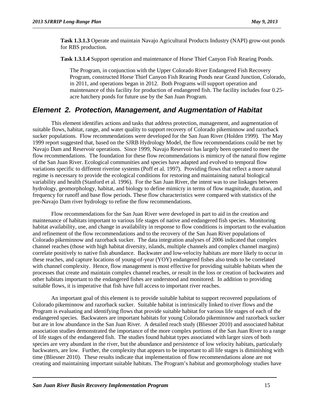**Task 1.3.1.3** Operate and maintain Navajo Agricultural Products Industry (NAPI) grow-out ponds for RBS production*.*

**Task 1.3.1.4** Support operation and maintenance of Horse Thief Canyon Fish Rearing Ponds.

The Program, in conjunction with the Upper Colorado River Endangered Fish Recovery Program, constructed Horse Thief Canyon Fish Rearing Ponds near Grand Junction, Colorado, in 2011, and operations began in 2012. Both Programs will support operation and maintenance of this facility for production of endangered fish. The facility includes four 0.25 acre hatchery ponds for future use by the San Juan Program.

#### <span id="page-18-0"></span>*Element 2. Protection, Management, and Augmentation of Habitat*

This element identifies actions and tasks that address protection, management, and augmentation of suitable flows, habitat, range, and water quality to support recovery of Colorado pikeminnow and razorback sucker populations. Flow recommendations were developed for the San Juan River (Holden 1999). The May 1999 report suggested that, based on the SJRB Hydrology Model, the flow recommendations could be met by Navajo Dam and Reservoir operations. Since 1999, Navajo Reservoir has largely been operated to meet the flow recommendations. The foundation for these flow recommendations is mimicry of the natural flow regime of the San Juan River. Ecological communities and species have adapted and evolved to temporal flow variations specific to different riverine systems (Poff et al. 1997). Providing flows that reflect a more natural regime is necessary to provide the ecological conditions for restoring and maintaining natural biological variability and health (Stanford et al. 1996). For the San Juan River, the intent was to use linkages between hydrology, geomorphology, habitat, and biology to define mimicry in terms of flow magnitude, duration, and frequency for runoff and base flow periods. These flow characteristics were compared with statistics of the pre-Navajo Dam river hydrology to refine the flow recommendations.

Flow recommendations for the San Juan River were developed in part to aid in the creation and maintenance of habitats important to various life stages of native and endangered fish species. Monitoring habitat availability, use, and change in availability in response to flow conditions is important to the evaluation and refinement of the flow recommendations and to the recovery of the San Juan River populations of Colorado pikeminnow and razorback sucker. The data integration analyses of 2006 indicated that complex channel reaches (those with high habitat diversity, islands, multiple channels and complex channel margins) correlate positively to native fish abundance. Backwater and low-velocity habitats are more likely to occur in these reaches, and capture locations of young-of-year (YOY) endangered fishes also tends to be correlated with channel complexity. Hence, flow management is most effective for providing suitable habitats when the processes that create and maintain complex channel reaches, or result in the loss or creation of backwaters and other habitats important to the endangered fishes are understood and monitored. In addition to providing suitable flows, it is imperative that fish have full access to important river reaches.

An important goal of this element is to provide suitable habitat to support recovered populations of Colorado pikeminnow and razorback sucker. Suitable habitat is intrinsically linked to river flows and the Program is evaluating and identifying flows that provide suitable habitat for various life stages of each of the endangered species. Backwaters are important habitats for young Colorado pikeminnow and razorback sucker but are in low abundance in the San Juan River. A detailed reach study (Bliesner 2010) and associated habitat association studies demonstrated the importance of the more complex portions of the San Juan River to a range of life stages of the endangered fish. The studies found habitat types associated with larger sizes of both species are very abundant in the river, but the abundance and persistence of low velocity habitats, particularly backwaters, are low. Further, the complexity that appears to be important to all life stages is diminishing with time (Bliesner 2010). These results indicate that implementation of flow recommendations alone are not creating and maintaining important suitable habitats. The Program's habitat and geomorphology studies have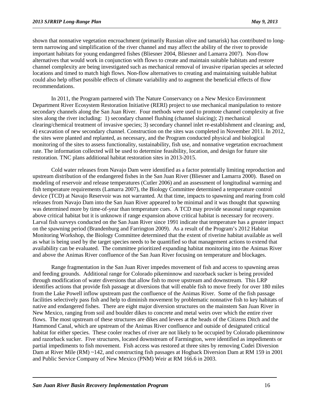shown that nonnative vegetation encroachment (primarily Russian olive and tamarisk) has contributed to longterm narrowing and simplification of the river channel and may affect the ability of the river to provide important habitats for young endangered fishes (Bliesner 2004, Bliesner and Lamarra 2007). Non-flow alternatives that would work in conjunction with flows to create and maintain suitable habitats and restore channel complexity are being investigated such as mechanical removal of invasive riparian species at selected locations and timed to match high flows. Non-flow alternatives to creating and maintaining suitable habitat could also help offset possible effects of climate variability and to augment the beneficial effects of flow recommendations.

In 2011, the Program partnered with The Nature Conservancy on a New Mexico Environment Department River Ecosystem Restoration Initiative (RERI) project to use mechanical manipulation to restore secondary channels along the San Juan River. Four methods were used to promote channel complexity at five sites along the river including: 1) secondary channel flushing (channel sluicing); 2) mechanical clearing/chemical treatment of invasive species; 3) secondary channel inlet re-establishment and cleaning; and, 4) excavation of new secondary channel. Construction on the sites was completed in November 2011. In 2012, the sites were planted and replanted, as necessary, and the Program conducted physical and biological monitoring of the sites to assess functionality, sustainability, fish use, and nonnative vegetation encroachment rate. The information collected will be used to determine feasibility, location, and design for future site restoration. TNC plans additional habitat restoration sites in 2013-2015.

Cold water releases from Navajo Dam were identified as a factor potentially limiting reproduction and upstream distribution of the endangered fishes in the San Juan River (Bliesner and Lamarra 2000). Based on modeling of reservoir and release temperatures (Cutler 2006) and an assessment of longitudinal warming and fish temperature requirements (Lamarra 2007), the Biology Committee determined a temperature control device (TCD) at Navajo Reservoir was not warranted. At that time, impacts to spawning and rearing from cold releases from Navajo Dam into the San Juan River appeared to be minimal and it was thought that spawning was determined more by time-of-year than temperature cues. A TCD may provide seasonal range expansion above critical habitat but it is unknown if range expansion above critical habitat is necessary for recovery. Larval fish surveys conducted on the San Juan River since 1991 indicate that temperature has a greater impact on the spawning period (Brandenburg and Farrington 2009). As a result of the Program's 2012 Habitat Monitoring Workshop, the Biology Committee determined that the extent of riverine habitat available as well as what is being used by the target species needs to be quantified so that management actions to extend that availability can be evaluated. The committee prioritized expanding habitat monitoring into the Animas River and above the Animas River confluence of the San Juan River focusing on temperature and blockages.

Range fragmentation in the San Juan River impedes movement of fish and access to spawning areas and feeding grounds. Additional range for Colorado pikeminnow and razorback sucker is being provided through modification of water diversions that allow fish to move upstream and downstream. This LRP identifies actions that provide fish passage at diversions that will enable fish to move freely for over 180 miles from the Lake Powell inflow upstream past the confluence of the Animas River. Some of the fish passage facilities selectively pass fish and help to diminish movement by problematic nonnative fish to key habitats of native and endangered fishes. There are eight major diversion structures on the mainstem San Juan River in New Mexico, ranging from soil and boulder dikes to concrete and metal weirs over which the entire river flows. The most upstream of these structures are dikes and levees at the heads of the Citizens Ditch and the Hammond Canal, which are upstream of the Animas River confluence and outside of designated critical habitat for either species. These cooler reaches of river are not likely to be occupied by Colorado pikeminnow and razorback sucker. Five structures, located downstream of Farmington, were identified as impediments or partial impediments to fish movement. Fish access was restored at three sites by removing Cudei Diversion Dam at River Mile (RM) ~142, and constructing fish passages at Hogback Diversion Dam at RM 159 in 2001 and Public Service Company of New Mexico (PNM) Weir at RM 166.6 in 2003.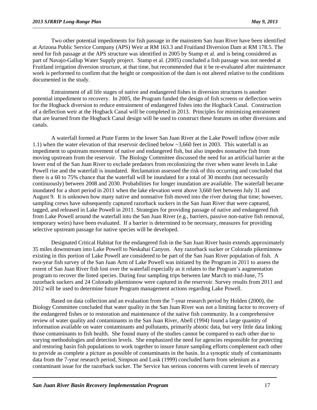Two other potential impediments for fish passage in the mainstem San Juan River have been identified at Arizona Public Service Company (APS) Weir at RM 163.3 and Fruitland Diversion Dam at RM 178.5. The need for fish passage at the APS structure was identified in 2005 by Stamp et al. and is being considered as part of Navajo-Gallup Water Supply project. Stamp et al. (2005) concluded a fish passage was not needed at Fruitland irrigation diversion structure, at that time, but recommended that it be re-evaluated after maintenance work is performed to confirm that the height or composition of the dam is not altered relative to the conditions documented in the study.

Entrainment of all life stages of native and endangered fishes in diversion structures is another potential impediment to recovery. In 2005, the Program funded the design of fish screens or deflection weirs for the Hogback diversion to reduce entrainment of endangered fishes into the Hogback Canal. Construction of a deflection weir at the Hogback Canal will be completed in 2013. Principles for minimizing entrainment that are learned from the Hogback Canal design will be used to construct these features on other diversions and canals.

A waterfall formed at Piute Farms in the lower San Juan River at the Lake Powell inflow (river mile 1.1) when the water elevation of that reservoir declined below ~3,660 feet in 2003. This waterfall is an impediment to upstream movement of native and endangered fish, but also impedes nonnative fish from moving upstream from the reservoir. The Biology Committee discussed the need for an artificial barrier at the lower end of the San Juan River to exclude predators from recolonizing the river when water levels in Lake Powell rise and the waterfall is inundated. Reclamation assessed the risk of this occurring and concluded that there is a 60 to 75% chance that the waterfall will be inundated for a total of 30 months (not necessarily continuously) between 2008 and 2030. Probabilities for longer inundation are available. The waterfall became inundated for a short period in 2011 when the lake elevation went above 3,660 feet between July 31 and August 9. It is unknown how many native and nonnative fish moved into the river during that time; however, sampling crews have subsequently captured razorback suckers in the San Juan River that were captured, tagged, and released in Lake Powell in 2011. Strategies for providing passage of native and endangered fish from Lake Powell around the waterfall into the San Juan River (e.g., barriers, passive non-native fish removal, temporary weirs) have been evaluated. If a barrier is determined to be necessary, measures for providing selective upstream passage for native species will be developed.

Designated Critical Habitat for the endangered fish in the San Juan River basin extends approximately 35 miles downstream into Lake Powell to Neskahai Canyon. Any razorback sucker or Colorado pikeminnow existing in this portion of Lake Powell are considered to be part of the San Juan River population of fish. A two-year fish survey of the San Juan Arm of Lake Powell was initiated by the Program in 2011 to assess the extent of San Juan River fish lost over the waterfall especially as it relates to the Program's augmentation program to recover the listed species. During four sampling trips between late March to mid-June, 75 razorback suckers and 24 Colorado pikeminnow were captured in the reservoir. Survey results from 2011 and 2012 will be used to determine future Program management actions regarding Lake Powell.

Based on data collection and an evaluation from the 7-year research period by Holden (2000), the Biology Committee concluded that water quality in the San Juan River was not a limiting factor to recovery of the endangered fishes or to restoration and maintenance of the native fish community. In a comprehensive review of water quality and contaminants in the San Juan River, Abell (1994) found a large quantity of information available on water contaminants and pollutants, primarily abiotic data, but very little data linking those contaminants to fish health. She found many of the studies cannot be compared to each other due to varying methodologies and detection levels. She emphasized the need for agencies responsible for protecting and restoring basin fish populations to work together to insure future sampling efforts complement each other to provide as complete a picture as possible of contaminants in the basin. In a synoptic study of contaminants data from the 7-year research period, Simpson and Lusk (1999) concluded harm from selenium as a contaminant issue for the razorback sucker. The Service has serious concerns with current levels of mercury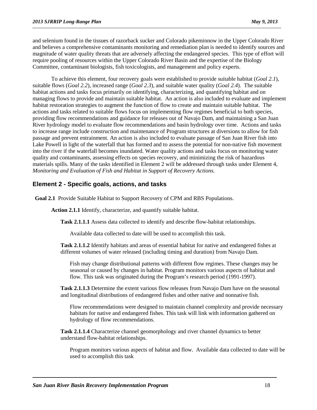and selenium found in the tissues of razorback sucker and Colorado pikeminnow in the Upper Colorado River and believes a comprehensive contaminants monitoring and remediation plan is needed to identify sources and magnitude of water quality threats that are adversely affecting the endangered species. This type of effort will require pooling of resources within the Upper Colorado River Basin and the expertise of the Biology Committee, contaminant biologists, fish toxicologists, and management and policy experts.

To achieve this element, four recovery goals were established to provide suitable habitat (*Goal 2.1*), suitable flows (*Goal 2.2*), increased range (*Goal 2.3*), and suitable water quality (*Goal 2.4*). The suitable habitat actions and tasks focus primarily on identifying, characterizing, and quantifying habitat and on managing flows to provide and maintain suitable habitat. An action is also included to evaluate and implement habitat restoration strategies to augment the function of flow to create and maintain suitable habitat. The actions and tasks related to suitable flows focus on implementing flow regimes beneficial to both species, providing flow recommendations and guidance for releases out of Navajo Dam, and maintaining a San Juan River hydrology model to evaluate flow recommendations and basin hydrology over time. Actions and tasks to increase range include construction and maintenance of Program structures at diversions to allow for fish passage and prevent entrainment. An action is also included to evaluate passage of San Juan River fish into Lake Powell in light of the waterfall that has formed and to assess the potential for non-native fish movement into the river if the waterfall becomes inundated. Water quality actions and tasks focus on monitoring water quality and contaminants, assessing effects on species recovery, and minimizing the risk of hazardous materials spills. Many of the tasks identified in Element 2 will be addressed through tasks under Element 4, *Monitoring and Evaluation of Fish and Habitat in Support of Recovery Actions.*

#### **Element 2 - Specific goals, actions, and tasks**

**Goal 2.1** Provide Suitable Habitat to Support Recovery of CPM and RBS Populations.

**Action 2.1.1** Identify, characterize, and quantify suitable habitat.

**Task 2.1.1.1** Assess data collected to identify and describe flow-habitat relationships.

Available data collected to date will be used to accomplish this task.

**Task 2.1.1.2** Identify habitats and areas of essential habitat for native and endangered fishes at different volumes of water released (including timing and duration) from Navajo Dam.

Fish may change distributional patterns with different flow regimes. These changes may be seasonal or caused by changes in habitat. Program monitors various aspects of habitat and flow. This task was originated during the Program's research period (1991-1997).

**Task 2.1.1.3** Determine the extent various flow releases from Navajo Dam have on the seasonal and longitudinal distributions of endangered fishes and other native and nonnative fish.

Flow recommendations were designed to maintain channel complexity and provide necessary habitats for native and endangered fishes. This task will link with information gathered on hydrology of flow recommendations.

**Task 2.1.1.4** Characterize channel geomorphology and river channel dynamics to better understand flow-habitat relationships.

Program monitors various aspects of habitat and flow. Available data collected to date will be used to accomplish this task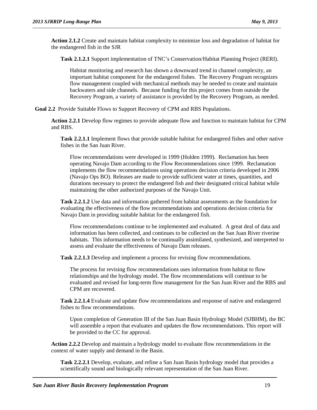**Action 2.1.2** Create and maintain habitat complexity to minimize loss and degradation of habitat for the endangered fish in the SJR

**Task 2.1.2.1** Support implementation of TNC's Conservation/Habitat Planning Project (RERI).

Habitat monitoring and research has shown a downward trend in channel complexity, an important habitat component for the endangered fishes. The Recovery Program recognizes flow management coupled with mechanical methods may be needed to create and maintain backwaters and side channels. Because funding for this project comes from outside the Recovery Program, a variety of assistance is provided by the Recovery Program, as needed.

**Goal 2.2** Provide Suitable Flows to Support Recovery of CPM and RBS Populations.

**Action 2.2.1** Develop flow regimes to provide adequate flow and function to maintain habitat for CPM and RBS.

**Task 2.2.1.1** Implement flows that provide suitable habitat for endangered fishes and other native fishes in the San Juan River.

Flow recommendations were developed in 1999 (Holden 1999). Reclamation has been operating Navajo Dam according to the Flow Recommendations since 1999. Reclamation implements the flow recommendations using operations decision criteria developed in 2006 (Navajo Ops BO). Releases are made to provide sufficient water at times, quantities, and durations necessary to protect the endangered fish and their designated critical habitat while maintaining the other authorized purposes of the Navajo Unit.

**Task 2.2.1.2** Use data and information gathered from habitat assessments as the foundation for evaluating the effectiveness of the flow recommendations and operations decision criteria for Navajo Dam in providing suitable habitat for the endangered fish.

Flow recommendations continue to be implemented and evaluated. A great deal of data and information has been collected, and continues to be collected on the San Juan River riverine habitats. This information needs to be continually assimilated, synthesized, and interpreted to assess and evaluate the effectiveness of Navajo Dam releases.

**Task 2.2.1.3** Develop and implement a process for revising flow recommendations.

The process for revising flow recommendations uses information from habitat to flow relationships and the hydrology model. The flow recommendations will continue to be evaluated and revised for long-term flow management for the San Juan River and the RBS and CPM are recovered.

**Task 2.2.1.4** Evaluate and update flow recommendations and response of native and endangered fishes to flow recommendations.

Upon completion of Generation III of the San Juan Basin Hydrology Model (SJBHM), the BC will assemble a report that evaluates and updates the flow recommendations. This report will be provided to the CC for approval.

**Action 2.2.2** Develop and maintain a hydrology model to evaluate flow recommendations in the context of water supply and demand in the Basin.

**Task 2.2.2.1** Develop, evaluate, and refine a San Juan Basin hydrology model that provides a scientifically sound and biologically relevant representation of the San Juan River.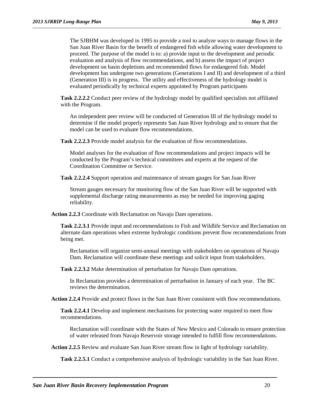The SJBHM was developed in 1995 to provide a tool to analyze ways to manage flows in the San Juan River Basin for the benefit of endangered fish while allowing water development to proceed. The purpose of the model is to: a) provide input to the development and periodic evaluation and analysis of flow recommendations, and b) assess the impact of project development on basin depletions and recommended flows for endangered fish. Model development has undergone two generations (Generations I and II) and development of a third (Generation III) is in progress. The utility and effectiveness of the hydrology model is evaluated periodically by technical experts appointed by Program participants

**Task 2.2.2.2** Conduct peer review of the hydrology model by qualified specialists not affiliated with the Program.

An independent peer review will be conducted of Generation III of the hydrology model to determine if the model properly represents San Juan River hydrology and to ensure that the model can be used to evaluate flow recommendations.

**Task 2.2.2.3** Provide model analysis for the evaluation of flow recommendations.

Model analyses for the evaluation of flow recommendations and project impacts will be conducted by the Program's technical committees and experts at the request of the Coordination Committee or Service.

**Task 2.2.2.4** Support operation and maintenance of stream gauges for San Juan River

Stream gauges necessary for monitoring flow of the San Juan River will be supported with supplemental discharge rating measurements as may be needed for improving gaging reliability.

**Action 2.2.3** Coordinate with Reclamation on Navajo Dam operations.

**Task 2.2.3.1** Provide input and recommendations to Fish and Wildlife Service and Reclamation on alternate dam operations when extreme hydrologic conditions prevent flow recommendations from being met.

Reclamation will organize semi-annual meetings with stakeholders on operations of Navajo Dam. Reclamation will coordinate these meetings and solicit input from stakeholders.

**Task 2.2.3.2** Make determination of perturbation for Navajo Dam operations.

In Reclamation provides a determination of perturbation in January of each year. The BC reviews the determination.

**Action 2.2.4** Provide and protect flows in the San Juan River consistent with flow recommendations.

**Task 2.2.4.1** Develop and implement mechanisms for protecting water required to meet flow recommendations.

Reclamation will coordinate with the States of New Mexico and Colorado to ensure protection of water released from Navajo Reservoir storage intended to fulfill flow recommendations.

**Action 2.2.5** Review and evaluate San Juan River stream flow in light of hydrology variability.

**Task 2.2.5.1** Conduct a comprehensive analysis of hydrologic variability in the San Juan River.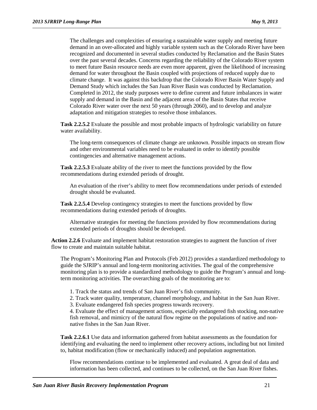The challenges and complexities of ensuring a sustainable water supply and meeting future demand in an over-allocated and highly variable system such as the Colorado River have been recognized and documented in several studies conducted by Reclamation and the Basin States over the past several decades. Concerns regarding the reliability of the Colorado River system to meet future Basin resource needs are even more apparent, given the likelihood of increasing demand for water throughout the Basin coupled with projections of reduced supply due to climate change. It was against this backdrop that the Colorado River Basin Water Supply and Demand Study which includes the San Juan River Basin was conducted by Reclamation. Completed in 2012, the study purposes were to define current and future imbalances in water supply and demand in the Basin and the adjacent areas of the Basin States that receive Colorado River water over the next 50 years (through 2060), and to develop and analyze adaptation and mitigation strategies to resolve those imbalances.

**Task 2.2.5.2** Evaluate the possible and most probable impacts of hydrologic variability on future water availability.

The long-term consequences of climate change are unknown. Possible impacts on stream flow and other environmental variables need to be evaluated in order to identify possible contingencies and alternative management actions.

**Task 2.2.5.3** Evaluate ability of the river to meet the functions provided by the flow recommendations during extended periods of drought.

An evaluation of the river's ability to meet flow recommendations under periods of extended drought should be evaluated.

**Task 2.2.5.4** Develop contingency strategies to meet the functions provided by flow recommendations during extended periods of droughts.

Alternative strategies for meeting the functions provided by flow recommendations during extended periods of droughts should be developed.

**Action 2.2.6** Evaluate and implement habitat restoration strategies to augment the function of river flow to create and maintain suitable habitat.

The Program's Monitoring Plan and Protocols (Feb 2012) provides a standardized methodology to guide the SJRIP's annual and long-term monitoring activities. The goal of the comprehensive monitoring plan is to provide a standardized methodology to guide the Program's annual and longterm monitoring activities. The overarching goals of the monitoring are to:

1. Track the status and trends of San Juan River's fish community.

2. Track water quality, temperature, channel morphology, and habitat in the San Juan River.

3. Evaluate endangered fish species progress towards recovery.

4. Evaluate the effect of management actions, especially endangered fish stocking, non-native fish removal, and mimicry of the natural flow regime on the populations of native and nonnative fishes in the San Juan River.

**Task 2.2.6.1** Use data and information gathered from habitat assessments as the foundation for identifying and evaluating the need to implement other recovery actions, including but not limited to, habitat modification (flow or mechanically induced) and population augmentation.

Flow recommendations continue to be implemented and evaluated. A great deal of data and information has been collected, and continues to be collected, on the San Juan River fishes.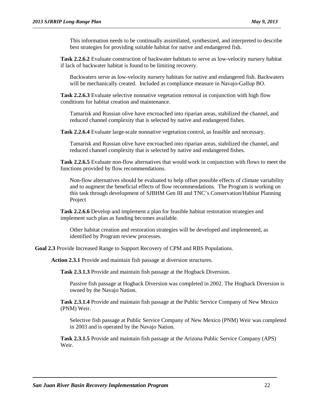This information needs to be continually assimilated, synthesized, and interpreted to describe best strategies for providing suitable habitat for native and endangered fish.

**Task 2.2.6.2** Evaluate construction of backwater habitats to serve as low-velocity nursery habitat if lack of backwater habitat is found to be limiting recovery.

Backwaters serve as low-velocity nursery habitats for native and endangered fish. Backwaters will be mechanically created. Included as compliance measure in Navajo-Gallup BO.

**Task 2.2.6.3** Evaluate selective nonnative vegetation removal in conjunction with high flow conditions for habitat creation and maintenance.

Tamarisk and Russian olive have encroached into riparian areas, stabilized the channel, and reduced channel complexity that is selected by native and endangered fishes.

**Task 2.2.6.4** Evaluate large-scale nonnative vegetation control, as feasible and necessary.

Tamarisk and Russian olive have encroached into riparian areas, stabilized the channel, and reduced channel complexity that is selected by native and endangered fishes.

**Task 2.2.6.5** Evaluate non-flow alternatives that would work in conjunction with flows to meet the functions provided by flow recommendations.

Non-flow alternatives should be evaluated to help offset possible effects of climate variability and to augment the beneficial effects of flow recommendations. The Program is working on this task through development of SJBHM Gen III and TNC's Conservation/Habitat Planning Project

**Task 2.2.6.6** Develop and implement a plan for feasible habitat restoration strategies and implement such plan as funding becomes available.

Other habitat creation and restoration strategies will be developed and implemented, as identified by Program review processes.

**Goal 2.3** Provide Increased Range to Support Recovery of CPM and RBS Populations.

**Action 2.3.1** Provide and maintain fish passage at diversion structures.

**Task 2.3.1.3** Provide and maintain fish passage at the Hogback Diversion.

Passive fish passage at Hogback Diversion was completed in 2002. The Hogback Diversion is owned by the Navajo Nation.

**Task 2.3.1.4** Provide and maintain fish passage at the Public Service Company of New Mexico (PNM) Weir.

Selective fish passage at Public Service Company of New Mexico (PNM) Weir was completed in 2003 and is operated by the Navajo Nation.

**Task 2.3.1.5** Provide and maintain fish passage at the Arizona Public Service Company (APS) Weir.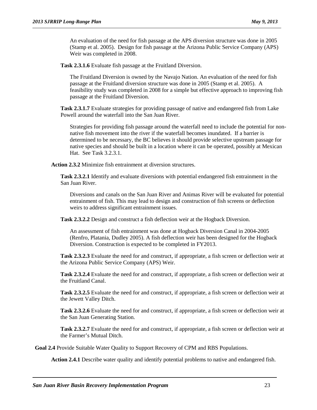An evaluation of the need for fish passage at the APS diversion structure was done in 2005 (Stamp et al. 2005). Design for fish passage at the Arizona Public Service Company (APS) Weir was completed in 2008.

**Task 2.3.1.6** Evaluate fish passage at the Fruitland Diversion.

The Fruitland Diversion is owned by the Navajo Nation. An evaluation of the need for fish passage at the Fruitland diversion structure was done in 2005 (Stamp et al. 2005). A feasibility study was completed in 2008 for a simple but effective approach to improving fish passage at the Fruitland Diversion.

**Task 2.3.1.7** Evaluate strategies for providing passage of native and endangered fish from Lake Powell around the waterfall into the San Juan River.

Strategies for providing fish passage around the waterfall need to include the potential for nonnative fish movement into the river if the waterfall becomes inundated. If a barrier is determined to be necessary, the BC believes it should provide selective upstream passage for native species and should be built in a location where it can be operated, possibly at Mexican Hat. See Task 3.2.3.1.

**Action 2.3.2** Minimize fish entrainment at diversion structures.

**Task 2.3.2.1** Identify and evaluate diversions with potential endangered fish entrainment in the San Juan River.

Diversions and canals on the San Juan River and Animas River will be evaluated for potential entrainment of fish. This may lead to design and construction of fish screens or deflection weirs to address significant entrainment issues.

**Task 2.3.2.2** Design and construct a fish deflection weir at the Hogback Diversion.

An assessment of fish entrainment was done at Hogback Diversion Canal in 2004-2005 (Renfro, Platania, Dudley 2005). A fish deflection weir has been designed for the Hogback Diversion. Construction is expected to be completed in FY2013.

**Task 2.3.2.3** Evaluate the need for and construct, if appropriate, a fish screen or deflection weir at the Arizona Public Service Company (APS) Weir.

**Task 2.3.2.4** Evaluate the need for and construct, if appropriate, a fish screen or deflection weir at the Fruitland Canal.

**Task 2.3.2.5** Evaluate the need for and construct, if appropriate, a fish screen or deflection weir at the Jewett Valley Ditch.

**Task 2.3.2.6** Evaluate the need for and construct, if appropriate, a fish screen or deflection weir at the San Juan Generating Station.

**Task 2.3.2.7** Evaluate the need for and construct, if appropriate, a fish screen or deflection weir at the Farmer's Mutual Ditch.

**Goal 2.4** Provide Suitable Water Quality to Support Recovery of CPM and RBS Populations.

**Action 2.4.1** Describe water quality and identify potential problems to native and endangered fish.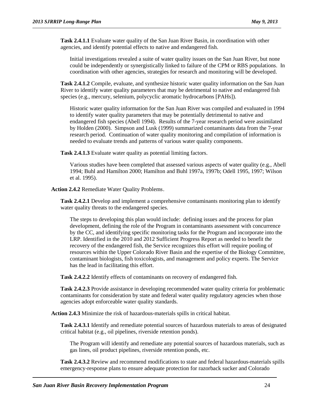**Task 2.4.1.1** Evaluate water quality of the San Juan River Basin, in coordination with other agencies, and identify potential effects to native and endangered fish.

Initial investigations revealed a suite of water quality issues on the San Juan River, but none could be independently or synergistically linked to failure of the CPM or RBS populations. In coordination with other agencies, strategies for research and monitoring will be developed.

**Task 2.4.1.2** Compile, evaluate, and synthesize historic water quality information on the San Juan River to identify water quality parameters that may be detrimental to native and endangered fish species (e.g., mercury, selenium, polycyclic aromatic hydrocarbons [PAHs]).

Historic water quality information for the San Juan River was compiled and evaluated in 1994 to identify water quality parameters that may be potentially detrimental to native and endangered fish species (Abell 1994). Results of the 7-year research period were assimilated by Holden (2000). Simpson and Lusk (1999) summarized contaminants data from the 7-year research period. Continuation of water quality monitoring and compilation of information is needed to evaluate trends and patterns of various water quality components.

**Task 2.4.1.3** Evaluate water quality as potential limiting factors.

Various studies have been completed that assessed various aspects of water quality (e.g., Abell 1994; Buhl and Hamilton 2000; Hamilton and Buhl 1997a, 1997b; Odell 1995, 1997; Wilson et al. 1995).

**Action 2.4.2** Remediate Water Quality Problems.

**Task 2.4.2.1** Develop and implement a comprehensive contaminants monitoring plan to identify water quality threats to the endangered species.

The steps to developing this plan would include: defining issues and the process for plan development, defining the role of the Program in contaminants assessment with concurrence by the CC, and identifying specific monitoring tasks for the Program and incorporate into the LRP. Identified in the 2010 and 2012 Sufficient Progress Report as needed to benefit the recovery of the endangered fish, the Service recognizes this effort will require pooling of resources within the Upper Colorado River Basin and the expertise of the Biology Committee, contaminant biologists, fish toxicologists, and management and policy experts. The Service has the lead in facilitating this effort.

**Task 2.4.2.2** Identify effects of contaminants on recovery of endangered fish.

**Task 2.4.2.3** Provide assistance in developing recommended water quality criteria for problematic contaminants for consideration by state and federal water quality regulatory agencies when those agencies adopt enforceable water quality standards.

**Action 2.4.3** Minimize the risk of hazardous-materials spills in critical habitat.

**Task 2.4.3.1** Identify and remediate potential sources of hazardous materials to areas of designated critical habitat (e.g., oil pipelines, riverside retention ponds).

The Program will identify and remediate any potential sources of hazardous materials, such as gas lines, oil product pipelines, riverside retention ponds, etc.

**Task 2.4.3.2** Review and recommend modifications to state and federal hazardous-materials spills emergency-response plans to ensure adequate protection for razorback sucker and Colorado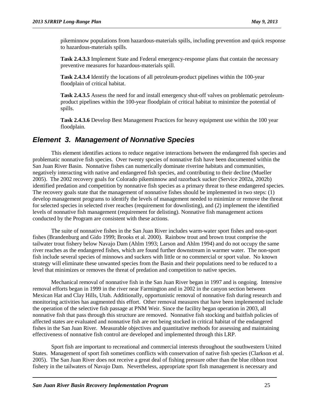pikeminnow populations from hazardous-materials spills, including prevention and quick response to hazardous-materials spills.

**Task 2.4.3.3** Implement State and Federal emergency-response plans that contain the necessary preventive measures for hazardous-materials spill.

**Task 2.4.3.4** Identify the locations of all petroleum-product pipelines within the 100-year floodplain of critical habitat.

**Task 2.4.3.5** Assess the need for and install emergency shut-off valves on problematic petroleumproduct pipelines within the 100-year floodplain of critical habitat to minimize the potential of spills.

**Task 2.4.3.6** Develop Best Management Practices for heavy equipment use within the 100 year floodplain.

#### <span id="page-28-0"></span>*Element 3. Management of Nonnative Species*

This element identifies actions to reduce negative interactions between the endangered fish species and problematic nonnative fish species. Over twenty species of nonnative fish have been documented within the San Juan River Basin. Nonnative fishes can numerically dominate riverine habitats and communities, negatively interacting with native and endangered fish species, and contributing to their decline (Mueller 2005). The 2002 recovery goals for Colorado pikeminnow and razorback sucker (Service 2002a, 2002b) identified predation and competition by nonnative fish species as a primary threat to these endangered species. The recovery goals state that the management of nonnative fishes should be implemented in two steps: (1) develop management programs to identify the levels of management needed to minimize or remove the threat for selected species in selected river reaches (requirement for downlisting), and (2) implement the identified levels of nonnative fish management (requirement for delisting). Nonnative fish management actions conducted by the Program are consistent with these actions.

The suite of nonnative fishes in the San Juan River includes warm-water sport fishes and non-sport fishes (Brandenburg and Gido 1999; Brooks et al. 2000). Rainbow trout and brown trout comprise the tailwater trout fishery below Navajo Dam (Ahlm 1993; Larson and Ahlm 1994) and do not occupy the same river reaches as the endangered fishes, which are found further downstream in warmer water. The non-sport fish include several species of minnows and suckers with little or no commercial or sport value. No known strategy will eliminate these unwanted species from the Basin and their populations need to be reduced to a level that minimizes or removes the threat of predation and competition to native species.

Mechanical removal of nonnative fish in the San Juan River began in 1997 and is ongoing. Intensive removal efforts began in 1999 in the river near Farmington and in 2002 in the canyon section between Mexican Hat and Clay Hills, Utah. Additionally, opportunistic removal of nonnative fish during research and monitoring activities has augmented this effort. Other removal measures that have been implemented include the operation of the selective fish passage at PNM Weir. Since the facility began operation in 2003, all nonnative fish that pass through this structure are removed. Nonnative fish stocking and baitfish policies of affected states are evaluated and nonnative fish are not being stocked in critical habitat of the endangered fishes in the San Juan River. Measurable objectives and quantitative methods for assessing and maintaining effectiveness of nonnative fish control are developed and implemented through this LRP.

Sport fish are important to recreational and commercial interests throughout the southwestern United States. Management of sport fish sometimes conflicts with conservation of native fish species (Clarkson et al. 2005). The San Juan River does not receive a great deal of fishing pressure other than the blue ribbon trout fishery in the tailwaters of Navajo Dam. Nevertheless, appropriate sport fish management is necessary and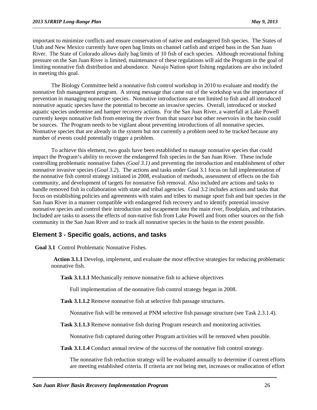important to minimize conflicts and ensure conservation of native and endangered fish species. The States of Utah and New Mexico currently have open bag limits on channel catfish and striped bass in the San Juan River. The State of Colorado allows daily bag limits of 10 fish of each species. Although recreational fishing pressure on the San Juan River is limited, maintenance of these regulations will aid the Program in the goal of limiting nonnative fish distribution and abundance. Navajo Nation sport fishing regulations are also included in meeting this goal.

The Biology Committee held a nonnative fish control workshop in 2010 to evaluate and modify the nonnative fish management program. A strong message that came out of the workshop was the importance of prevention in managing nonnative species. Nonnative introductions are not limited to fish and all introduced nonnative aquatic species have the potential to become an invasive species. Overall, introduced or stocked aquatic species undermine and hamper recovery actions. For the San Juan River, a waterfall at Lake Powell currently keeps nonnative fish from entering the river from that source but other reservoirs in the basin could be sources. The Program needs to be vigilant about preventing introductions of all nonnative species. Nonnative species that are already in the system but not currently a problem need to be tracked because any number of events could potentially trigger a problem.

To achieve this element, two goals have been established to manage nonnative species that could impact the Program's ability to recover the endangered fish species in the San Juan River. These include controlling problematic nonnative fishes *(Goal 3.1)* and preventing the introduction and establishment of other nonnative invasive species (*Goal 3.2*). The actions and tasks under Goal 3.1 focus on full implementation of the nonnative fish control strategy initiated in 2008, evaluation of methods, assessment of effects on the fish community, and development of targets for nonnative fish removal. Also included are actions and tasks to handle removed fish in collaboration with state and tribal agencies. Goal 3.2 includes actions and tasks that focus on establishing policies and agreements with states and tribes to manage sport fish and bait species in the San Juan River in a manner compatible with endangered fish recovery and to identify potential invasive nonnative species and control their introduction and escapement into the main river, floodplain, and tributaries. Included are tasks to assess the effects of non-native fish from Lake Powell and from other sources on the fish community in the San Juan River and to track all nonnative species in the basin to the extent possible.

#### **Element 3 - Specific goals, actions, and tasks**

**Goal 3.1** Control Problematic Nonnative Fishes.

**Action 3.1.1** Develop, implement, and evaluate the most effective strategies for reducing problematic nonnative fish.

**Task 3.1.1.1** Mechanically remove nonnative fish to achieve objectives

Full implementation of the nonnative fish control strategy began in 2008.

**Task 3.1.1.2** Remove nonnative fish at selective fish passage structures.

Nonnative fish will be removed at PNM selective fish passage structure (see Task 2.3.1.4).

**Task 3.1.1.3** Remove nonnative fish during Program research and monitoring activities.

Nonnative fish captured during other Program activities will be removed when possible.

Task 3.1.1.4 Conduct annual review of the success of the nonnative fish control strategy.

The nonnative fish reduction strategy will be evaluated annually to determine if current efforts are meeting established criteria. If criteria are not being met, increases or reallocation of effort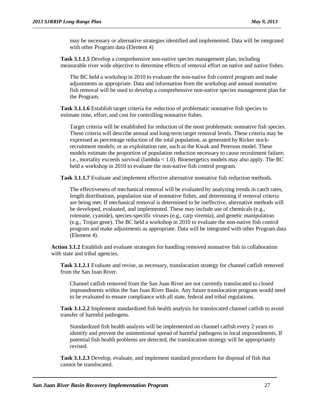may be necessary or alternative strategies identified and implemented. Data will be integrated with other Program data (Element 4)

**Task 3.1.1.5** Develop a comprehensive non-native species management plan, including measurable river wide objective to determine effects of removal effort on native and native fishes.

The BC held a workshop in 2010 to evaluate the non-native fish control program and make adjustments as appropriate. Data and information from the workshop and annual nonnative fish removal will be used to develop a comprehensive non-native species management plan for the Program.

Task 3.1.1.6 Establish target criteria for reduction of problematic nonnative fish species to estimate time, effort, and cost for controlling nonnative fishes.

Target criteria will be established for reduction of the most problematic nonnative fish species. These criteria will describe annual and long-term target removal levels. These criteria may be expressed as percentage reduction of the total population, as generated by Ricker stockrecruitment models; or as exploitation rate, such as the Kwak and Peterson model. These models estimate the proportion of population reduction necessary to cause recruitment failure; i.e., mortality exceeds survival (lambda < 1.0). Bioenergetics models may also apply. The BC held a workshop in 2010 to evaluate the non-native fish control program.

**Task 3.1.1.7** Evaluate and implement effective alternative nonnative fish reduction methods.

The effectiveness of mechanical removal will be evaluated by analyzing trends in catch rates, length distributions, population size of nonnative fishes, and determining if removal criteria are being met. If mechanical removal is determined to be ineffective, alternative methods will be developed, evaluated, and implemented. These may include use of chemicals (e.g., rotenone, cyanide), species-specific viruses (e.g., carp viremia), and genetic manipulation (e.g., Trojan gene). The BC held a workshop in 2010 to evaluate the non-native fish control program and make adjustments as appropriate. Data will be integrated with other Program data (Element 4).

**Action 3.1.2** Establish and evaluate strategies for handling removed nonnative fish in collaboration with state and tribal agencies.

**Task 3.1.2.1** Evaluate and revise, as necessary, translocation strategy for channel catfish removed from the San Juan River.

Channel catfish removed from the San Juan River are not currently translocated to closed impoundments within the San Juan River Basin. Any future translocation program would need to be evaluated to ensure compliance with all state, federal and tribal regulations.

**Task 3.1.2.2** Implement standardized fish health analysis for translocated channel catfish to avoid transfer of harmful pathogens.

Standardized fish health analysis will be implemented on channel catfish every 2 years to identify and prevent the unintentional spread of harmful pathogens to local impoundments. If potential fish health problems are detected, the translocation strategy will be appropriately revised.

**Task 3.1.2.3** Develop, evaluate, and implement standard procedures for disposal of fish that cannot be translocated.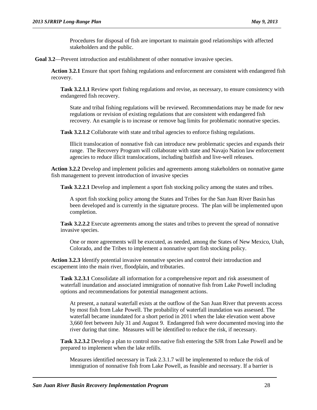Procedures for disposal of fish are important to maintain good relationships with affected stakeholders and the public.

Goal 3.2—Prevent introduction and establishment of other nonnative invasive species.

**Action 3.2.1** Ensure that sport fishing regulations and enforcement are consistent with endangered fish recovery.

**Task 3.2.1.1** Review sport fishing regulations and revise, as necessary, to ensure consistency with endangered fish recovery.

State and tribal fishing regulations will be reviewed. Recommendations may be made for new regulations or revision of existing regulations that are consistent with endangered fish recovery. An example is to increase or remove bag limits for problematic nonnative species.

**Task 3.2.1.2** Collaborate with state and tribal agencies to enforce fishing regulations.

Illicit translocation of nonnative fish can introduce new problematic species and expands their range. The Recovery Program will collaborate with state and Navajo Nation law enforcement agencies to reduce illicit translocations, including baitfish and live-well releases.

**Action 3.2.2** Develop and implement policies and agreements among stakeholders on nonnative game fish management to prevent introduction of invasive species

**Task 3.2.2.1** Develop and implement a sport fish stocking policy among the states and tribes.

A sport fish stocking policy among the States and Tribes for the San Juan River Basin has been developed and is currently in the signature process. The plan will be implemented upon completion.

**Task 3.2.2.2** Execute agreements among the states and tribes to prevent the spread of nonnative invasive species.

One or more agreements will be executed, as needed, among the States of New Mexico, Utah, Colorado, and the Tribes to implement a nonnative sport fish stocking policy.

**Action 3.2.3** Identify potential invasive nonnative species and control their introduction and escapement into the main river, floodplain, and tributaries.

**Task 3.2.3.1** Consolidate all information for a comprehensive report and risk assessment of waterfall inundation and associated immigration of nonnative fish from Lake Powell including options and recommendations for potential management actions.

At present, a natural waterfall exists at the outflow of the San Juan River that prevents access by most fish from Lake Powell. The probability of waterfall inundation was assessed. The waterfall became inundated for a short period in 2011 when the lake elevation went above 3,660 feet between July 31 and August 9. Endangered fish were documented moving into the river during that time. Measures will be identified to reduce the risk, if necessary.

**Task 3.2.3.2** Develop a plan to control non-native fish entering the SJR from Lake Powell and be prepared to implement when the lake refills.

Measures identified necessary in Task 2.3.1.7 will be implemented to reduce the risk of immigration of nonnative fish from Lake Powell, as feasible and necessary. If a barrier is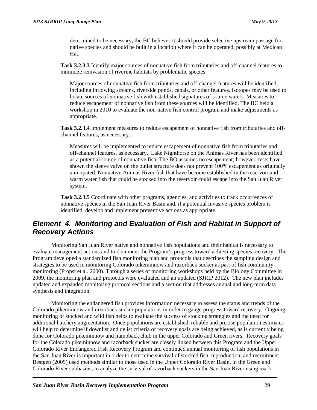determined to be necessary, the BC believes it should provide selective upstream passage for native species and should be built in a location where it can be operated, possibly at Mexican Hat.

**Task 3.2.3.3** Identify major sources of nonnative fish from tributaries and off-channel features to minimize reinvasion of riverine habitats by problematic species.

Major sources of nonnative fish from tributaries and off-channel features will be identified, including inflowing streams, riverside ponds, canals, or other features. Isotopes may be used to locate sources of nonnative fish with established signatures of source waters. Measures to reduce escapement of nonnative fish from these sources will be identified. The BC held a workshop in 2010 to evaluate the non-native fish control program and make adjustments as appropriate.

**Task 3.2.3.4** Implement measures to reduce escapement of nonnative fish from tributaries and offchannel features, as necessary.

Measures will be implemented to reduce escapement of nonnative fish from tributaries and off-channel features, as necessary. Lake Nighthorse on the Animas River has been identified as a potential source of nonnative fish. The BO assumes no escapement; however, tests have shown the sleeve valve on the outlet structure does not prevent 100% escapement as originally anticipated. Nonnative Animas River fish that have become established in the reservoir and warm water fish that could be stocked into the reservoir could escape into the San Juan River system.

**Task 3.2.3.5** Coordinate with other programs, agencies, and activities to track occurrences of nonnative species in the San Juan River Basin and, if a potential invasive species problem is identified, develop and implement preventive actions as appropriate.

#### <span id="page-32-0"></span>*Element 4. Monitoring and Evaluation of Fish and Habitat in Support of Recovery Actions*

Monitoring San Juan River native and nonnative fish populations and their habitat is necessary to evaluate management actions and to document the Program's progress toward achieving species recovery. The Program developed a standardized fish monitoring plan and protocols that describes the sampling design and strategies to be used in monitoring Colorado pikeminnow and razorback sucker as part of fish community monitoring (Propst et al. 2000). Through a series of monitoring workshops held by the Biology Committee in 2009, the monitoring plan and protocols were evaluated and an updated (SJRIP 2012). The new plan includes updated and expanded monitoring protocol sections and a section that addresses annual and long-term data synthesis and integration.

Monitoring the endangered fish provides information necessary to assess the status and trends of the Colorado pikeminnow and razorback sucker populations in order to gauge progress toward recovery. Ongoing monitoring of stocked and wild fish helps to evaluate the success of stocking strategies and the need for additional hatchery augmentation. Once populations are established, reliable and precise population estimates will help to determine if downlist and delist criteria of recovery goals are being achieved, as is currently being done for Colorado pikeminnow and humpback chub in the upper Colorado and Green rivers. Recovery goals for the Colorado pikeminnow and razorback sucker are closely linked between this Program and the Upper Colorado River Endangered Fish Recovery Program and continued annual monitoring of fish populations in the San Juan River is important in order to determine survival of stocked fish, reproduction, and recruitment. Bestgen (2009) used methods similar to those used in the Upper Colorado River Basin, in the Green and Colorado River subbasins, to analyze the survival of razorback suckers in the San Juan River using mark-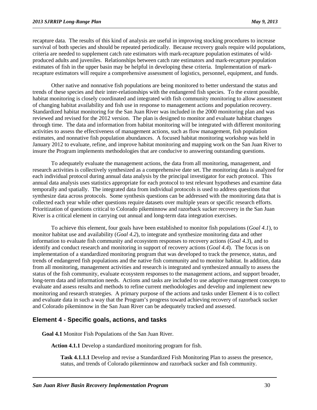recapture data. The results of this kind of analysis are useful in improving stocking procedures to increase survival of both species and should be repeated periodically. Because recovery goals require wild populations, criteria are needed to supplement catch rate estimators with mark-recapture population estimates of wildproduced adults and juveniles. Relationships between catch rate estimators and mark-recapture population estimates of fish in the upper basin may be helpful in developing these criteria. Implementation of markrecapture estimators will require a comprehensive assessment of logistics, personnel, equipment, and funds.

Other native and nonnative fish populations are being monitored to better understand the status and trends of these species and their inter-relationships with the endangered fish species. To the extent possible, habitat monitoring is closely coordinated and integrated with fish community monitoring to allow assessment of changing habitat availability and fish use in response to management actions and population recovery. Standardized habitat monitoring for the San Juan River was included in the 2000 monitoring plan and was reviewed and revised for the 2012 version. The plan is designed to monitor and evaluate habitat changes through time. The data and information from habitat monitoring will be integrated with different monitoring activities to assess the effectiveness of management actions, such as flow management, fish population estimates, and nonnative fish population abundances. A focused habitat monitoring workshop was held in January 2012 to evaluate, refine, and improve habitat monitoring and mapping work on the San Juan River to insure the Program implements methodologies that are conducive to answering outstanding questions.

To adequately evaluate the management actions, the data from all monitoring, management, and research activities is collectively synthesized as a comprehensive date set. The monitoring data is analyzed for each individual protocol during annual data analysis by the principal investigator for each protocol. This annual data analysis uses statistics appropriate for each protocol to test relevant hypotheses and examine data temporally and spatially. The integrated data from individual protocols is used to address questions that synthesize data across protocols. Some synthesis questions can be addressed with the monitoring data that is collected each year while other questions require datasets over multiple years or specific research efforts. Prioritization of questions critical to Colorado pikeminnow and razorback sucker recovery in the San Juan River is a critical element in carrying out annual and long-term data integration exercises.

To achieve this element, four goals have been established to monitor fish populations (*Goal 4.1*), to monitor habitat use and availability (*Goal 4.2*), to integrate and synthesize monitoring data and other information to evaluate fish community and ecosystem responses to recovery actions (*Goal 4.3*), and to identify and conduct research and monitoring in support of recovery actions (*Goal 4.4*). The focus is on implementation of a standardized monitoring program that was developed to track the presence, status, and trends of endangered fish populations and the native fish community and to monitor habitat. In addition, data from all monitoring, management activities and research is integrated and synthesized annually to assess the status of the fish community, evaluate ecosystem responses to the management actions, and support broader, long-term data and information needs. Actions and tasks are included to use adaptive management concepts to evaluate and assess results and methods to refine current methodologies and develop and implement new monitoring and research strategies. A primary purpose of the actions and tasks under Element 4 is to collect and evaluate data in such a way that the Program's progress toward achieving recovery of razorback sucker and Colorado pikeminnow in the San Juan River can be adequately tracked and assessed.

#### **Element 4 - Specific goals, actions, and tasks**

**Goal 4.1** Monitor Fish Populations of the San Juan River.

**Action 4.1.1** Develop a standardized monitoring program for fish.

**Task 4.1.1.1** Develop and revise a Standardized Fish Monitoring Plan to assess the presence, status, and trends of Colorado pikeminnow and razorback sucker and fish community.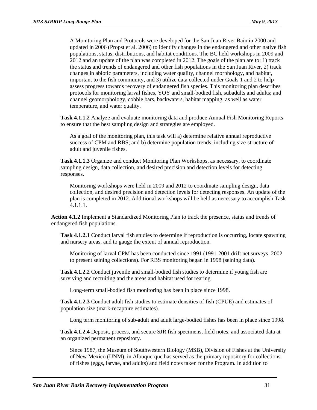A Monitoring Plan and Protocols were developed for the San Juan River Bain in 2000 and updated in 2006 (Propst et al. 2006) to identify changes in the endangered and other native fish populations, status, distributions, and habitat conditions. The BC held workshops in 2009 and 2012 and an update of the plan was completed in 2012. The goals of the plan are to: 1) track the status and trends of endangered and other fish populations in the San Juan River, 2) track changes in abiotic parameters, including water quality, channel morphology, and habitat, important to the fish community, and 3) utilize data collected under Goals 1 and 2 to help assess progress towards recovery of endangered fish species. This monitoring plan describes protocols for monitoring larval fishes, YOY and small-bodied fish, subadults and adults; and channel geomorphology, cobble bars, backwaters, habitat mapping; as well as water temperature, and water quality.

**Task 4.1.1.2** Analyze and evaluate monitoring data and produce Annual Fish Monitoring Reports to ensure that the best sampling design and strategies are employed.

As a goal of the monitoring plan, this task will a) determine relative annual reproductive success of CPM and RBS; and b) determine population trends, including size-structure of adult and juvenile fishes.

**Task 4.1.1.3** Organize and conduct Monitoring Plan Workshops, as necessary, to coordinate sampling design, data collection, and desired precision and detection levels for detecting responses.

Monitoring workshops were held in 2009 and 2012 to coordinate sampling design, data collection, and desired precision and detection levels for detecting responses. An update of the plan is completed in 2012. Additional workshops will be held as necessary to accomplish Task 4.1.1.1.

**Action 4.1.2** Implement a Standardized Monitoring Plan to track the presence, status and trends of endangered fish populations.

**Task 4.1.2.1** Conduct larval fish studies to determine if reproduction is occurring, locate spawning and nursery areas, and to gauge the extent of annual reproduction.

Monitoring of larval CPM has been conducted since 1991 (1991-2001 drift net surveys, 2002 to present seining collections). For RBS monitoring began in 1998 (seining data).

**Task 4.1.2.2** Conduct juvenile and small-bodied fish studies to determine if young fish are surviving and recruiting and the areas and habitat used for rearing.

Long-term small-bodied fish monitoring has been in place since 1998.

**Task 4.1.2.3** Conduct adult fish studies to estimate densities of fish (CPUE) and estimates of population size (mark-recapture estimates).

Long term monitoring of sub-adult and adult large-bodied fishes has been in place since 1998.

**Task 4.1.2.4** Deposit, process, and secure SJR fish specimens, field notes, and associated data at an organized permanent repository.

Since 1987, the Museum of Southwestern Biology (MSB), Division of Fishes at the University of New Mexico (UNM), in Albuquerque has served as the primary repository for collections of fishes (eggs, larvae, and adults) and field notes taken for the Program. In addition to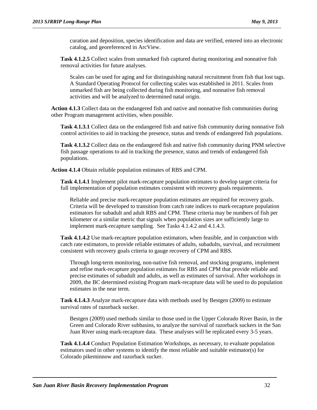curation and deposition, species identification and data are verified, entered into an electronic catalog, and georeferenced in ArcView.

**Task 4.1.2.5** Collect scales from unmarked fish captured during monitoring and nonnative fish removal activities for future analyses.

Scales can be used for aging and for distinguishing natural recruitment from fish that lost tags. A Standard Operating Protocol for collecting scales was established in 2011. Scales from unmarked fish are being collected during fish monitoring, and nonnative fish removal activities and will be analyzed to determined natal origin.

**Action 4.1.3** Collect data on the endangered fish and native and nonnative fish communities during other Program management activities, when possible.

**Task 4.1.3.1** Collect data on the endangered fish and native fish community during nonnative fish control activities to aid in tracking the presence, status and trends of endangered fish populations.

**Task 4.1.3.2** Collect data on the endangered fish and native fish community during PNM selective fish passage operations to aid in tracking the presence, status and trends of endangered fish populations.

**Action 4.1.4** Obtain reliable population estimates of RBS and CPM.

**Task 4.1.4.1** Implement pilot mark-recapture population estimates to develop target criteria for full implementation of population estimates consistent with recovery goals requirements.

Reliable and precise mark-recapture population estimates are required for recovery goals. Criteria will be developed to transition from catch rate indices to mark-recapture population estimators for subadult and adult RBS and CPM. These criteria may be numbers of fish per kilometer or a similar metric that signals when population sizes are sufficiently large to implement mark-recapture sampling. See Tasks 4.1.4.2 and 4.1.4.3.

**Task 4.1.4.2** Use mark-recapture population estimators, when feasible, and in conjunction with catch rate estimators, to provide reliable estimates of adults, subadults, survival, and recruitment consistent with recovery goals criteria to gauge recovery of CPM and RBS.

Through long-term monitoring, non-native fish removal, and stocking programs, implement and refine mark-recapture population estimates for RBS and CPM that provide reliable and precise estimates of subadult and adults, as well as estimates of survival. After workshops in 2009, the BC determined existing Program mark-recapture data will be used to do population estimates in the near term.

**Task 4.1.4.3** Analyze mark-recapture data with methods used by Bestgen (2009) to estimate survival rates of razorback sucker.

Bestgen (2009) used methods similar to those used in the Upper Colorado River Basin, in the Green and Colorado River subbasins, to analyze the survival of razorback suckers in the San Juan River using mark-recapture data. These analyses will be replicated every 3-5 years.

**Task 4.1.4.4** Conduct Population Estimation Workshops, as necessary, to evaluate population estimators used in other systems to identify the most reliable and suitable estimator(s) for Colorado pikeminnow and razorback sucker.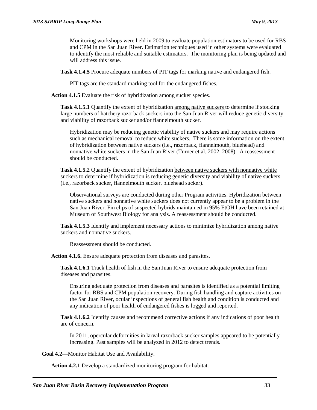Monitoring workshops were held in 2009 to evaluate population estimators to be used for RBS and CPM in the San Juan River. Estimation techniques used in other systems were evaluated to identify the most reliable and suitable estimators. The monitoring plan is being updated and will address this issue.

**Task 4.1.4.5** Procure adequate numbers of PIT tags for marking native and endangered fish.

PIT tags are the standard marking tool for the endangered fishes.

**Action 4.1.5** Evaluate the risk of hybridization among sucker species.

**Task 4.1.5.1** Quantify the extent of hybridization among native suckers to determine if stocking large numbers of hatchery razorback suckers into the San Juan River will reduce genetic diversity and viability of razorback sucker and/or flannelmouth sucker.

Hybridization may be reducing genetic viability of native suckers and may require actions such as mechanical removal to reduce white suckers. There is some information on the extent of hybridization between native suckers (i.e., razorback, flannelmouth, bluehead) and nonnative white suckers in the San Juan River (Turner et al. 2002, 2008). A reassessment should be conducted.

**Task 4.1.5.2** Quantify the extent of hybridization between native suckers with nonnative white suckers to determine if hybridization is reducing genetic diversity and viability of native suckers (i.e., razorback sucker, flannelmouth sucker, bluehead sucker).

Observational surveys are conducted during other Program activities. Hybridization between native suckers and nonnative white suckers does not currently appear to be a problem in the San Juan River. Fin clips of suspected hybrids maintained in 95% EtOH have been retained at Museum of Southwest Biology for analysis. A reassessment should be conducted.

**Task 4.1.5.3** Identify and implement necessary actions to minimize hybridization among native suckers and nonnative suckers.

Reassessment should be conducted.

**Action 4.1.6.** Ensure adequate protection from diseases and parasites.

**Task 4.1.6.1** Track health of fish in the San Juan River to ensure adequate protection from diseases and parasites.

Ensuring adequate protection from diseases and parasites is identified as a potential limiting factor for RBS and CPM population recovery. During fish handling and capture activities on the San Juan River, ocular inspections of general fish health and condition is conducted and any indication of poor health of endangered fishes is logged and reported.

**Task 4.1.6.2** Identify causes and recommend corrective actions if any indications of poor health are of concern.

In 2011, opercular deformities in larval razorback sucker samples appeared to be potentially increasing. Past samples will be analyzed in 2012 to detect trends.

**Goal 4.2**—Monitor Habitat Use and Availability.

**Action 4.2.1** Develop a standardized monitoring program for habitat.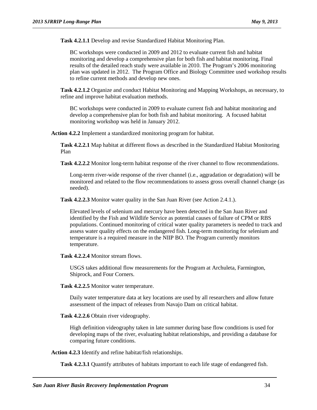**Task 4.2.1.1** Develop and revise Standardized Habitat Monitoring Plan.

BC workshops were conducted in 2009 and 2012 to evaluate current fish and habitat monitoring and develop a comprehensive plan for both fish and habitat monitoring. Final results of the detailed reach study were available in 2010. The Program's 2006 monitoring plan was updated in 2012. The Program Office and Biology Committee used workshop results to refine current methods and develop new ones.

**Task 4.2.1.2** Organize and conduct Habitat Monitoring and Mapping Workshops, as necessary, to refine and improve habitat evaluation methods.

BC workshops were conducted in 2009 to evaluate current fish and habitat monitoring and develop a comprehensive plan for both fish and habitat monitoring. A focused habitat monitoring workshop was held in January 2012.

**Action 4.2.2** Implement a standardized monitoring program for habitat.

**Task 4.2.2.1** Map habitat at different flows as described in the Standardized Habitat Monitoring Plan

**Task 4.2.2.2** Monitor long-term habitat response of the river channel to flow recommendations.

Long-term river-wide response of the river channel (i.e., aggradation or degradation) will be monitored and related to the flow recommendations to assess gross overall channel change (as needed).

**Task 4.2.2.3** Monitor water quality in the San Juan River (see Action 2.4.1.).

Elevated levels of selenium and mercury have been detected in the San Juan River and identified by the Fish and Wildlife Service as potential causes of failure of CPM or RBS populations. Continued monitoring of critical water quality parameters is needed to track and assess water quality effects on the endangered fish. Long-term monitoring for selenium and temperature is a required measure in the NIIP BO. The Program currently monitors temperature.

**Task 4.2.2.4** Monitor stream flows.

USGS takes additional flow measurements for the Program at Archuleta, Farmington, Shiprock, and Four Corners.

**Task 4.2.2.5** Monitor water temperature.

Daily water temperature data at key locations are used by all researchers and allow future assessment of the impact of releases from Navajo Dam on critical habitat.

**Task 4.2.2.6** Obtain river videography.

High definition videography taken in late summer during base flow conditions is used for developing maps of the river, evaluating habitat relationships, and providing a database for comparing future conditions.

**Action 4.2.3** Identify and refine habitat/fish relationships.

**Task 4.2.3.1** Quantify attributes of habitats important to each life stage of endangered fish.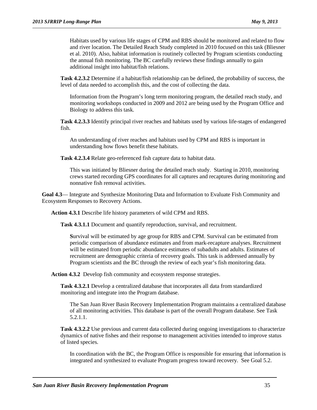Habitats used by various life stages of CPM and RBS should be monitored and related to flow and river location. The Detailed Reach Study completed in 2010 focused on this task (Bliesner et al. 2010). Also, habitat information is routinely collected by Program scientists conducting the annual fish monitoring. The BC carefully reviews these findings annually to gain additional insight into habitat/fish relations.

**Task 4.2.3.2** Determine if a habitat/fish relationship can be defined, the probability of success, the level of data needed to accomplish this, and the cost of collecting the data.

Information from the Program's long term monitoring program, the detailed reach study, and monitoring workshops conducted in 2009 and 2012 are being used by the Program Office and Biology to address this task.

**Task 4.2.3.3** Identify principal river reaches and habitats used by various life-stages of endangered fish.

An understanding of river reaches and habitats used by CPM and RBS is important in understanding how flows benefit these habitats.

**Task 4.2.3.4** Relate geo-referenced fish capture data to habitat data.

This was initiated by Bliesner during the detailed reach study. Starting in 2010, monitoring crews started recording GPS coordinates for all captures and recaptures during monitoring and nonnative fish removal activities.

**Goal 4.3**— Integrate and Synthesize Monitoring Data and Information to Evaluate Fish Community and Ecosystem Responses to Recovery Actions.

**Action 4.3.1** Describe life history parameters of wild CPM and RBS.

**Task 4.3.1.1** Document and quantify reproduction, survival, and recruitment.

**S**urvival will be estimated by age group for RBS and CPM. Survival can be estimated from periodic comparison of abundance estimates and from mark-recapture analyses. Recruitment will be estimated from periodic abundance estimates of subadults and adults. Estimates of recruitment are demographic criteria of recovery goals. This task is addressed annually by Program scientists and the BC through the review of each year's fish monitoring data.

**Action 4.3.2** Develop fish community and ecosystem response strategies.

**Task 4.3.2.1** Develop a centralized database that incorporates all data from standardized monitoring and integrate into the Program database.

The San Juan River Basin Recovery Implementation Program maintains a centralized database of all monitoring activities. This database is part of the overall Program database. See Task 5.2.1.1.

**Task 4.3.2.2** Use previous and current data collected during ongoing investigations to characterize dynamics of native fishes and their response to management activities intended to improve status of listed species.

In coordination with the BC, the Program Office is responsible for ensuring that information is integrated and synthesized to evaluate Program progress toward recovery. See Goal 5.2.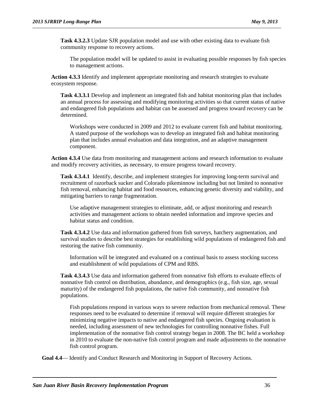**Task 4.3.2.3** Update SJR population model and use with other existing data to evaluate fish community response to recovery actions.

The population model will be updated to assist in evaluating possible responses by fish species to management actions.

**Action 4.3.3** Identify and implement appropriate monitoring and research strategies to evaluate ecosystem response.

**Task 4.3.3.1** Develop and implement an integrated fish and habitat monitoring plan that includes an annual process for assessing and modifying monitoring activities so that current status of native and endangered fish populations and habitat can be assessed and progress toward recovery can be determined.

Workshops were conducted in 2009 and 2012 to evaluate current fish and habitat monitoring. A stated purpose of the workshops was to develop an integrated fish and habitat monitoring plan that includes annual evaluation and data integration, and an adaptive management component.

**Action 4.3.4** Use data from monitoring and management actions and research information to evaluate and modify recovery activities, as necessary, to ensure progress toward recovery.

**Task 4.3.4.1** Identify, describe, and implement strategies for improving long-term survival and recruitment of razorback sucker and Colorado pikeminnow including but not limited to nonnative fish removal, enhancing habitat and food resources, enhancing genetic diversity and viability, and mitigating barriers to range fragmentation.

Use adaptive management strategies to eliminate, add, or adjust monitoring and research activities and management actions to obtain needed information and improve species and habitat status and condition.

**Task 4.3.4.2** Use data and information gathered from fish surveys, hatchery augmentation, and survival studies to describe best strategies for establishing wild populations of endangered fish and restoring the native fish community.

Information will be integrated and evaluated on a continual basis to assess stocking success and establishment of wild populations of CPM and RBS.

**Task 4.3.4.3** Use data and information gathered from nonnative fish efforts to evaluate effects of nonnative fish control on distribution, abundance, and demographics (e.g., fish size, age, sexual maturity) of the endangered fish populations, the native fish community, and nonnative fish populations.

Fish populations respond in various ways to severe reduction from mechanical removal. These responses need to be evaluated to determine if removal will require different strategies for minimizing negative impacts to native and endangered fish species. Ongoing evaluation is needed, including assessment of new technologies for controlling nonnative fishes. Full implementation of the nonnative fish control strategy began in 2008. The BC held a workshop in 2010 to evaluate the non-native fish control program and made adjustments to the nonnative fish control program.

**Goal 4.4**— Identify and Conduct Research and Monitoring in Support of Recovery Actions.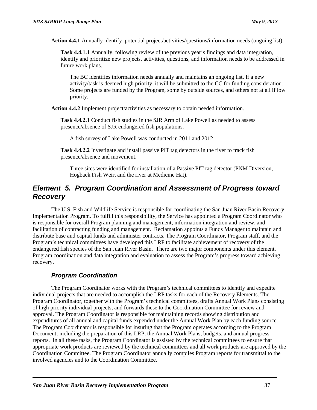**Action 4.4.1** Annually identify potential project/activities/questions/information needs (ongoing list)

**Task 4.4.1.1** Annually, following review of the previous year's findings and data integration, identify and prioritize new projects, activities, questions, and information needs to be addressed in future work plans.

The BC identifies information needs annually and maintains an ongoing list. If a new activity/task is deemed high priority, it will be submitted to the CC for funding consideration. Some projects are funded by the Program, some by outside sources, and others not at all if low priority.

**Action 4.4.2** Implement project/activities as necessary to obtain needed information.

**Task 4.4.2.1** Conduct fish studies in the SJR Arm of Lake Powell as needed to assess presence/absence of SJR endangered fish populations.

A fish survey of Lake Powell was conducted in 2011 and 2012.

**Task 4.4.2.2** Investigate and install passive PIT tag detectors in the river to track fish presence/absence and movement.

Three sites were identified for installation of a Passive PIT tag detector (PNM Diversion, Hogback Fish Weir, and the river at Medicine Hat).

### *Element 5. Program Coordination and Assessment of Progress toward Recovery*

The U.S. Fish and Wildlife Service is responsible for coordinating the San Juan River Basin Recovery Implementation Program. To fulfill this responsibility, the Service has appointed a Program Coordinator who is responsible for overall Program planning and management, information integration and review, and facilitation of contracting funding and management. Reclamation appoints a Funds Manager to maintain and distribute base and capital funds and administer contracts. The Program Coordinator, Program staff, and the Program's technical committees have developed this LRP to facilitate achievement of recovery of the endangered fish species of the San Juan River Basin. There are two major components under this element, Program coordination and data integration and evaluation to assess the Program's progress toward achieving recovery.

#### *Program Coordination*

The Program Coordinator works with the Program's technical committees to identify and expedite individual projects that are needed to accomplish the LRP tasks for each of the Recovery Elements. The Program Coordinator, together with the Program's technical committees, drafts Annual Work Plans consisting of high priority individual projects, and forwards these to the Coordination Committee for review and approval. The Program Coordinator is responsible for maintaining records showing distribution and expenditures of all annual and capital funds expended under the Annual Work Plan by each funding source. The Program Coordinator is responsible for insuring that the Program operates according to the Program Document; including the preparation of this LRP, the Annual Work Plans, budgets, and annual progress reports. In all these tasks, the Program Coordinator is assisted by the technical committees to ensure that appropriate work products are reviewed by the technical committees and all work products are approved by the Coordination Committee. The Program Coordinator annually compiles Program reports for transmittal to the involved agencies and to the Coordination Committee.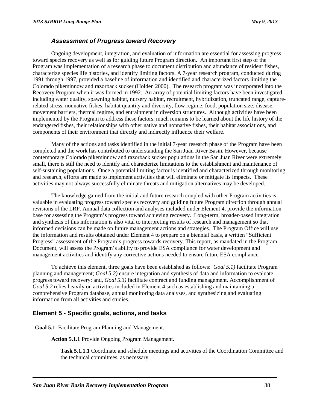#### *Assessment of Progress toward Recovery*

Ongoing development, integration, and evaluation of information are essential for assessing progress toward species recovery as well as for guiding future Program direction. An important first step of the Program was implementation of a research phase to document distribution and abundance of resident fishes, characterize species life histories, and identify limiting factors. A 7-year research program, conducted during 1991 through 1997, provided a baseline of information and identified and characterized factors limiting the Colorado pikeminnow and razorback sucker (Holden 2000). The research program was incorporated into the Recovery Program when it was formed in 1992. An array of potential limiting factors have been investigated, including water quality, spawning habitat, nursery habitat, recruitment, hybridization, truncated range, capturerelated stress, nonnative fishes, habitat quantity and diversity, flow regime, food, population size, disease, movement barriers, thermal regime, and entrainment in diversion structures. Although activities have been implemented by the Program to address these factors, much remains to be learned about the life history of the endangered fishes, their relationships with other native and nonnative fishes, their habitat associations, and components of their environment that directly and indirectly influence their welfare.

Many of the actions and tasks identified in the initial 7-year research phase of the Program have been completed and the work has contributed to understanding the San Juan River Basin. However, because contemporary Colorado pikeminnow and razorback sucker populations in the San Juan River were extremely small, there is still the need to identify and characterize limitations to the establishment and maintenance of self-sustaining populations. Once a potential limiting factor is identified and characterized through monitoring and research, efforts are made to implement activities that will eliminate or mitigate its impacts. These activities may not always successfully eliminate threats and mitigation alternatives may be developed.

The knowledge gained from the initial and future research coupled with other Program activities is valuable in evaluating progress toward species recovery and guiding future Program direction through annual revisions of the LRP. Annual data collection and analyses included under Element 4, provide the information base for assessing the Program's progress toward achieving recovery. Long-term, broader-based integration and synthesis of this information is also vital to interpreting results of research and management so that informed decisions can be made on future management actions and strategies. The Program Office will use the information and results obtained under Element 4 to prepare on a biennial basis, a written "Sufficient Progress" assessment of the Program's progress towards recovery. This report, as mandated in the Program Document, will assess the Program's ability to provide ESA compliance for water development and management activities and identify any corrective actions needed to ensure future ESA compliance.

To achieve this element, three goals have been established as follows: *Goal 5.1)* facilitate Program planning and management; *Goal 5.2)* ensure integration and synthesis of data and information to evaluate progress toward recovery; and, *Goal 5.3)* facilitate contract and funding management. Accomplishment of *Goal 5.2* relies heavily on activities included in Element 4 such as establishing and maintaining a comprehensive Program database, annual monitoring data analyses, and synthesizing and evaluating information from all activities and studies.

#### **Element 5 - Specific goals, actions, and tasks**

**Goal 5.1** Facilitate Program Planning and Management.

**Action 5.1.1** Provide Ongoing Program Management.

**Task 5.1.1.1** Coordinate and schedule meetings and activities of the Coordination Committee and the technical committees, as necessary.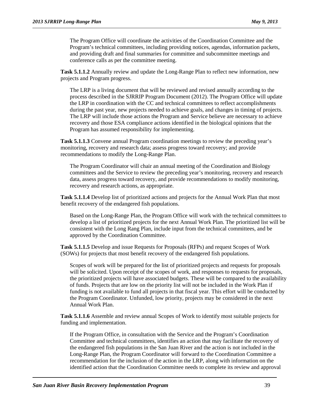The Program Office will coordinate the activities of the Coordination Committee and the Program's technical committees, including providing notices, agendas, information packets, and providing draft and final summaries for committee and subcommittee meetings and conference calls as per the committee meeting.

**Task 5.1.1.2** Annually review and update the Long-Range Plan to reflect new information, new projects and Program progress.

The LRP is a living document that will be reviewed and revised annually according to the process described in the SJRRIP Program Document (2012). The Program Office will update the LRP in coordination with the CC and technical committees to reflect accomplishments during the past year, new projects needed to achieve goals, and changes in timing of projects. The LRP will include those actions the Program and Service believe are necessary to achieve recovery and those ESA compliance actions identified in the biological opinions that the Program has assumed responsibility for implementing.

**Task 5.1.1.3** Convene annual Program coordination meetings to review the preceding year's monitoring, recovery and research data; assess progress toward recovery; and provide recommendations to modify the Long-Range Plan.

The Program Coordinator will chair an annual meeting of the Coordination and Biology committees and the Service to review the preceding year's monitoring, recovery and research data, assess progress toward recovery, and provide recommendations to modify monitoring, recovery and research actions, as appropriate.

**Task 5.1.1.4** Develop list of prioritized actions and projects for the Annual Work Plan that most benefit recovery of the endangered fish populations.

Based on the Long-Range Plan, the Program Office will work with the technical committees to develop a list of prioritized projects for the next Annual Work Plan. The prioritized list will be consistent with the Long Rang Plan, include input from the technical committees, and be approved by the Coordination Committee.

**Task 5.1.1.5** Develop and issue Requests for Proposals (RFPs) and request Scopes of Work (SOWs) for projects that most benefit recovery of the endangered fish populations.

Scopes of work will be prepared for the list of prioritized projects and requests for proposals will be solicited. Upon receipt of the scopes of work, and responses to requests for proposals, the prioritized projects will have associated budgets. These will be compared to the availability of funds. Projects that are low on the priority list will not be included in the Work Plan if funding is not available to fund all projects in that fiscal year. This effort will be conducted by the Program Coordinator. Unfunded, low priority, projects may be considered in the next Annual Work Plan.

**Task 5.1.1.6** Assemble and review annual Scopes of Work to identify most suitable projects for funding and implementation.

If the Program Office, in consultation with the Service and the Program's Coordination Committee and technical committees, identifies an action that may facilitate the recovery of the endangered fish populations in the San Juan River and the action is not included in the Long-Range Plan, the Program Coordinator will forward to the Coordination Committee a recommendation for the inclusion of the action in the LRP, along with information on the identified action that the Coordination Committee needs to complete its review and approval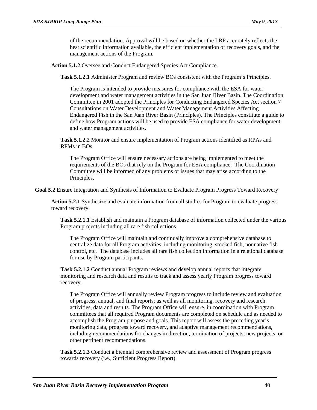of the recommendation. Approval will be based on whether the LRP accurately reflects the best scientific information available, the efficient implementation of recovery goals, and the management actions of the Program.

**Action 5.1.2** Oversee and Conduct Endangered Species Act Compliance.

**Task 5.1.2.1** Administer Program and review BOs consistent with the Program's Principles.

The Program is intended to provide measures for compliance with the ESA for water development and water management activities in the San Juan River Basin. The Coordination Committee in 2001 adopted the Principles for Conducting Endangered Species Act section 7 Consultations on Water Development and Water Management Activities Affecting Endangered Fish in the San Juan River Basin (Principles). The Principles constitute a guide to define how Program actions will be used to provide ESA compliance for water development and water management activities.

**Task 5.1.2.2** Monitor and ensure implementation of Program actions identified as RPAs and RPMs in BOs.

The Program Office will ensure necessary actions are being implemented to meet the requirements of the BOs that rely on the Program for ESA compliance. The Coordination Committee will be informed of any problems or issues that may arise according to the Principles.

**Goal 5.2** Ensure Integration and Synthesis of Information to Evaluate Program Progress Toward Recovery

**Action 5.2.1** Synthesize and evaluate information from all studies for Program to evaluate progress toward recovery.

**Task 5.2.1.1** Establish and maintain a Program database of information collected under the various Program projects including all rare fish collections.

The Program Office will maintain and continually improve a comprehensive database to centralize data for all Program activities, including monitoring, stocked fish, nonnative fish control, etc. The database includes all rare fish collection information in a relational database for use by Program participants.

**Task 5.2.1.2** Conduct annual Program reviews and develop annual reports that integrate monitoring and research data and results to track and assess yearly Program progress toward recovery.

The Program Office will annually review Program progress to include review and evaluation of progress, annual, and final reports; as well as all monitoring, recovery and research activities, data and results. The Program Office will ensure, in coordination with Program committees that all required Program documents are completed on schedule and as needed to accomplish the Program purpose and goals. This report will assess the preceding year's monitoring data, progress toward recovery, and adaptive management recommendations, including recommendations for changes in direction, termination of projects, new projects, or other pertinent recommendations.

**Task 5.2.1.3** Conduct a biennial comprehensive review and assessment of Program progress towards recovery (i.e., Sufficient Progress Report).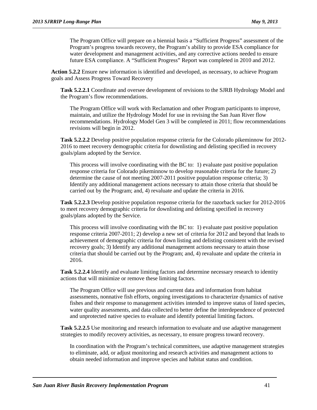The Program Office will prepare on a biennial basis a "Sufficient Progress" assessment of the Program's progress towards recovery, the Program's ability to provide ESA compliance for water development and management activities, and any corrective actions needed to ensure future ESA compliance. A "Sufficient Progress" Report was completed in 2010 and 2012.

**Action 5.2.2** Ensure new information is identified and developed, as necessary, to achieve Program goals and Assess Progress Toward Recovery

**Task 5.2.2.1** Coordinate and oversee development of revisions to the SJRB Hydrology Model and the Program's flow recommendations.

The Program Office will work with Reclamation and other Program participants to improve, maintain, and utilize the Hydrology Model for use in revising the San Juan River flow recommendations. Hydrology Model Gen 3 will be completed in 2011; flow recommendations revisions will begin in 2012.

**Task 5.2.2.2** Develop positive population response criteria for the Colorado pikeminnow for 2012- 2016 to meet recovery demographic criteria for downlisting and delisting specified in recovery goals/plans adopted by the Service.

This process will involve coordinating with the BC to: 1) evaluate past positive population response criteria for Colorado pikeminnow to develop reasonable criteria for the future; 2) determine the cause of not meeting 2007-2011 positive population response criteria; 3) Identify any additional management actions necessary to attain those criteria that should be carried out by the Program; and, 4) revaluate and update the criteria in 2016.

**Task 5.2.2.3** Develop positive population response criteria for the razorback sucker for 2012-2016 to meet recovery demographic criteria for downlisting and delisting specified in recovery goals/plans adopted by the Service.

This process will involve coordinating with the BC to: 1) evaluate past positive population response criteria 2007-2011; 2) develop a new set of criteria for 2012 and beyond that leads to achievement of demographic criteria for down listing and delisting consistent with the revised recovery goals; 3) Identify any additional management actions necessary to attain those criteria that should be carried out by the Program; and, 4) revaluate and update the criteria in 2016.

**Task 5.2.2.4** Identify and evaluate limiting factors and determine necessary research to identity actions that will minimize or remove these limiting factors.

The Program Office will use previous and current data and information from habitat assessments, nonnative fish efforts, ongoing investigations to characterize dynamics of native fishes and their response to management activities intended to improve status of listed species, water quality assessments, and data collected to better define the interdependence of protected and unprotected native species to evaluate and identify potential limiting factors.

**Task 5.2.2.5** Use monitoring and research information to evaluate and use adaptive management strategies to modify recovery activities, as necessary, to ensure progress toward recovery.

In coordination with the Program's technical committees, use adaptive management strategies to eliminate, add, or adjust monitoring and research activities and management actions to obtain needed information and improve species and habitat status and condition.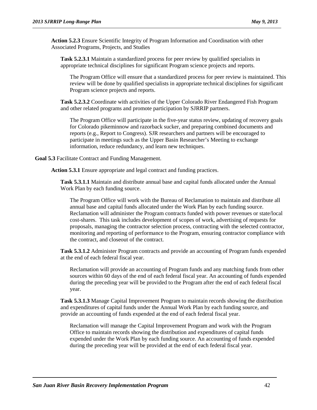**Action 5.2.3** Ensure Scientific Integrity of Program Information and Coordination with other Associated Programs, Projects, and Studies

**Task 5.2.3.1** Maintain a standardized process for peer review by qualified specialists in appropriate technical disciplines for significant Program science projects and reports.

The Program Office will ensure that a standardized process for peer review is maintained. This review will be done by qualified specialists in appropriate technical disciplines for significant Program science projects and reports.

**Task 5.2.3.2** Coordinate with activities of the Upper Colorado River Endangered Fish Program and other related programs and promote participation by SJRRIP partners.

The Program Office will participate in the five-year status review, updating of recovery goals for Colorado pikeminnow and razorback sucker, and preparing combined documents and reports (e.g., Report to Congress). SJR researchers and partners will be encouraged to participate in meetings such as the Upper Basin Researcher's Meeting to exchange information, reduce redundancy, and learn new techniques.

**Goal 5.3** Facilitate Contract and Funding Management.

**Action 5.3.1** Ensure appropriate and legal contract and funding practices.

**Task 5.3.1.1** Maintain and distribute annual base and capital funds allocated under the Annual Work Plan by each funding source.

The Program Office will work with the Bureau of Reclamation to maintain and distribute all annual base and capital funds allocated under the Work Plan by each funding source. Reclamation will administer the Program contracts funded with power revenues or state/local cost-shares. This task includes development of scopes of work, advertising of requests for proposals, managing the contractor selection process, contracting with the selected contractor, monitoring and reporting of performance to the Program, ensuring contractor compliance with the contract, and closeout of the contract.

**Task 5.3.1.2** Administer Program contracts and provide an accounting of Program funds expended at the end of each federal fiscal year.

Reclamation will provide an accounting of Program funds and any matching funds from other sources within 60 days of the end of each federal fiscal year. An accounting of funds expended during the preceding year will be provided to the Program after the end of each federal fiscal year.

**Task 5.3.1.3** Manage Capital Improvement Program to maintain records showing the distribution and expenditures of capital funds under the Annual Work Plan by each funding source, and provide an accounting of funds expended at the end of each federal fiscal year.

Reclamation will manage the Capital Improvement Program and work with the Program Office to maintain records showing the distribution and expenditures of capital funds expended under the Work Plan by each funding source. An accounting of funds expended during the preceding year will be provided at the end of each federal fiscal year.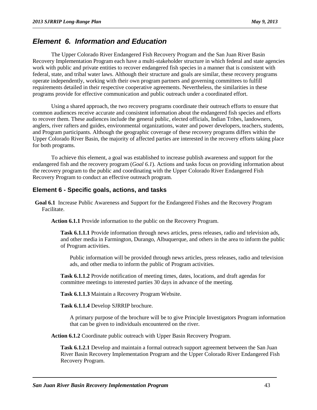### *Element 6. Information and Education*

The Upper Colorado River Endangered Fish Recovery Program and the San Juan River Basin Recovery Implementation Program each have a multi-stakeholder structure in which federal and state agencies work with public and private entities to recover endangered fish species in a manner that is consistent with federal, state, and tribal water laws. Although their structure and goals are similar, these recovery programs operate independently, working with their own program partners and governing committees to fulfill requirements detailed in their respective cooperative agreements. Nevertheless, the similarities in these programs provide for effective communication and public outreach under a coordinated effort.

Using a shared approach, the two recovery programs coordinate their outreach efforts to ensure that common audiences receive accurate and consistent information about the endangered fish species and efforts to recover them. These audiences include the general public, elected officials, Indian Tribes, landowners, anglers, river rafters and guides, environmental organizations, water and power developers, teachers, students, and Program participants. Although the geographic coverage of these recovery programs differs within the Upper Colorado River Basin, the majority of affected parties are interested in the recovery efforts taking place for both programs.

To achieve this element, a goal was established to increase publish awareness and support for the endangered fish and the recovery program (*Goal 6.1*). Actions and tasks focus on providing information about the recovery program to the public and coordinating with the Upper Colorado River Endangered Fish Recovery Program to conduct an effective outreach program.

#### **Element 6 - Specific goals, actions, and tasks**

**Goal 6.1** Increase Public Awareness and Support for the Endangered Fishes and the Recovery Program Facilitate.

**Action 6.1.1** Provide information to the public on the Recovery Program.

**Task 6.1.1.1** Provide information through news articles, press releases, radio and television ads, and other media in Farmington, Durango, Albuquerque, and others in the area to inform the public of Program activities.

Public information will be provided through news articles, press releases, radio and television ads, and other media to inform the public of Program activities.

**Task 6.1.1.2** Provide notification of meeting times, dates, locations, and draft agendas for committee meetings to interested parties 30 days in advance of the meeting.

**Task 6.1.1.3** Maintain a Recovery Program Website.

**Task 6.1.1.4** Develop SJRRIP brochure.

A primary purpose of the brochure will be to give Principle Investigators Program information that can be given to individuals encountered on the river.

**Action 6.1.2** Coordinate public outreach with Upper Basin Recovery Program.

**Task 6.1.2.1** Develop and maintain a formal outreach support agreement between the San Juan River Basin Recovery Implementation Program and the Upper Colorado River Endangered Fish Recovery Program.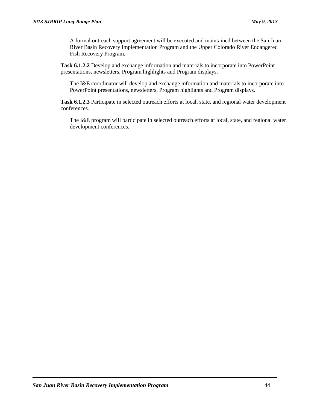A formal outreach support agreement will be executed and maintained between the San Juan River Basin Recovery Implementation Program and the Upper Colorado River Endangered Fish Recovery Program.

**Task 6.1.2.2** Develop and exchange information and materials to incorporate into PowerPoint presentations, newsletters, Program highlights and Program displays.

The I&E coordinator will develop and exchange information and materials to incorporate into PowerPoint presentations, newsletters, Program highlights and Program displays.

**Task 6.1.2.3** Participate in selected outreach efforts at local, state, and regional water development conferences.

The I&E program will participate in selected outreach efforts at local, state, and regional water development conferences.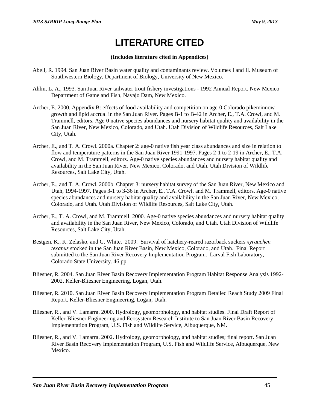# **LITERATURE CITED**

#### **(Includes literature cited in Appendices)**

- Abell, R. 1994. San Juan River Basin water quality and contaminants review. Volumes I and II. Museum of Southwestern Biology, Department of Biology, University of New Mexico.
- Ahlm, L. A., 1993. San Juan River tailwater trout fishery investigations 1992 Annual Report. New Mexico Department of Game and Fish, Navajo Dam, New Mexico.
- Archer, E. 2000. Appendix B: effects of food availability and competition on age-0 Colorado pikeminnow growth and lipid accrual in the San Juan River. Pages B-1 to B-42 in Archer, E., T.A. Crowl, and M. Trammell, editors. Age-0 native species abundances and nursery habitat quality and availability in the San Juan River, New Mexico, Colorado, and Utah. Utah Division of Wildlife Resources, Salt Lake City, Utah.
- Archer, E., and T. A. Crowl. 2000a. Chapter 2: age-0 native fish year class abundances and size in relation to flow and temperature patterns in the San Juan River 1991-1997. Pages 2-1 to 2-19 in Archer, E., T.A. Crowl, and M. Trammell, editors. Age-0 native species abundances and nursery habitat quality and availability in the San Juan River, New Mexico, Colorado, and Utah. Utah Division of Wildlife Resources, Salt Lake City, Utah.
- Archer, E., and T. A. Crowl. 2000b. Chapter 3: nursery habitat survey of the San Juan River, New Mexico and Utah, 1994-1997. Pages 3-1 to 3-36 in Archer, E., T.A. Crowl, and M. Trammell, editors. Age-0 native species abundances and nursery habitat quality and availability in the San Juan River, New Mexico, Colorado, and Utah. Utah Division of Wildlife Resources, Salt Lake City, Utah.
- Archer, E., T. A. Crowl, and M. Trammell. 2000. Age-0 native species abundances and nursery habitat quality and availability in the San Juan River, New Mexico, Colorado, and Utah. Utah Division of Wildlife Resources, Salt Lake City, Utah.
- Bestgen, K., K. Zelasko, and G. White. 2009. Survival of hatchery-reared razorback suckers *xyrauchen texanus* stocked in the San Juan River Basin, New Mexico, Colorado, and Utah. Final Report submitted to the San Juan River Recovery Implementation Program. Larval Fish Laboratory, Colorado State University. 46 pp.
- Bliesner, R. 2004. San Juan River Basin Recovery Implementation Program Habitat Response Analysis 1992- 2002. Keller-Bliesner Engineering, Logan, Utah.
- Bliesner, R. 2010. San Juan River Basin Recovery Implementation Program Detailed Reach Study 2009 Final Report. Keller-Bliesner Engineering, Logan, Utah.
- Bliesner, R., and V. Lamarra. 2000. Hydrology, geomorphology, and habitat studies. Final Draft Report of Keller-Bliesner Engineering and Ecosystem Research Institute to San Juan River Basin Recovery Implementation Program, U.S. Fish and Wildlife Service, Albuquerque, NM.
- Bliesner, R., and V. Lamarra. 2002. Hydrology, geomorphology, and habitat studies; final report. San Juan River Basin Recovery Implementation Program, U.S. Fish and Wildlife Service, Albuquerque, New Mexico.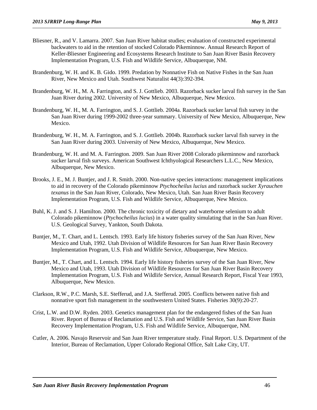- Bliesner, R., and V. Lamarra. 2007. San Juan River habitat studies; evaluation of constructed experimental backwaters to aid in the retention of stocked Colorado Pikeminnow. Annual Research Report of Keller-Bliesner Engineering and Ecosystems Research Institute to San Juan River Basin Recovery Implementation Program, U.S. Fish and Wildlife Service, Albuquerque, NM.
- Brandenburg, W. H. and K. B. Gido. 1999. Predation by Nonnative Fish on Native Fishes in the San Juan River, New Mexico and Utah. Southwest Naturalist 44(3):392-394.
- Brandenburg, W. H., M. A. Farrington, and S. J. Gottlieb. 2003. Razorback sucker larval fish survey in the San Juan River during 2002. University of New Mexico, Albuquerque, New Mexico.
- Brandenburg, W. H., M. A. Farrington, and S. J. Gottlieb. 2004a. Razorback sucker larval fish survey in the San Juan River during 1999-2002 three-year summary. University of New Mexico, Albuquerque, New Mexico.
- Brandenburg, W. H., M. A. Farrington, and S. J. Gottlieb. 2004b. Razorback sucker larval fish survey in the San Juan River during 2003. University of New Mexico, Albuquerque, New Mexico.
- Brandenburg, W. H. and M. A. Farrington. 2009. San Juan River 2008 Colorado pikeminnow and razorback sucker larval fish surveys. American Southwest Ichthyological Researchers L.L.C., New Mexico, Albuquerque, New Mexico.
- Brooks, J. E., M. J. Buntjer, and J. R. Smith. 2000. Non-native species interactions: management implications to aid in recovery of the Colorado pikeminnow *Ptychocheilus lucius* and razorback sucker *Xyrauchen texanus* in the San Juan River, Colorado, New Mexico, Utah. San Juan River Basin Recovery Implementation Program, U.S. Fish and Wildlife Service, Albuquerque, New Mexico.
- Buhl, K. J. and S. J. Hamilton. 2000. The chronic toxicity of dietary and waterborne selenium to adult Colorado pikeminnow (*Ptychocheilus lucius*) in a water quality simulating that in the San Juan River. U.S. Geological Survey, Yankton, South Dakota.
- Buntjer, M., T. Chart, and L. Lentsch. 1993. Early life history fisheries survey of the San Juan River, New Mexico and Utah, 1992. Utah Division of Wildlife Resources for San Juan River Basin Recovery Implementation Program, U.S. Fish and Wildlife Service, Albuquerque, New Mexico.
- Buntjer, M., T. Chart, and L. Lentsch. 1994. Early life history fisheries survey of the San Juan River, New Mexico and Utah, 1993. Utah Division of Wildlife Resources for San Juan River Basin Recovery Implementation Program, U.S. Fish and Wildlife Service, Annual Research Report, Fiscal Year 1993, Albuquerque, New Mexico.
- Clarkson, R.W., P.C. Marsh, S.E. Stefferud, and J.A. Stefferud. 2005. Conflicts between native fish and nonnative sport fish management in the southwestern United States. Fisheries 30(9):20-27.
- Crist, L.W. and D.W. Ryden. 2003. Genetics management plan for the endangered fishes of the San Juan River. Report of Bureau of Reclamation and U.S. Fish and Wildlife Service, San Juan River Basin Recovery Implementation Program, U.S. Fish and Wildlife Service, Albuquerque, NM.
- Cutler, A. 2006. Navajo Reservoir and San Juan River temperature study. Final Report. U.S. Department of the Interior, Bureau of Reclamation, Upper Colorado Regional Office, Salt Lake City, UT.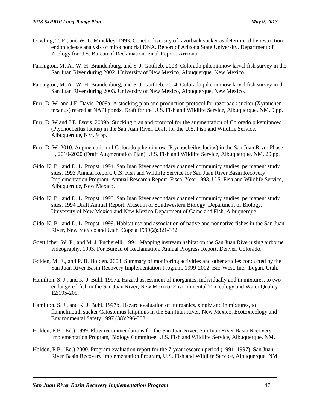- Dowling, T. E., and W. L. Minckley. 1993. Genetic diversity of razorback sucker as determined by restriction endonuclease analysis of mitochondrial DNA. Report of Arizona State University, Department of Zoology for U.S. Bureau of Reclamation, Final Report, Arizona.
- Farrington, M. A., W. H. Brandenburg, and S. J. Gottlieb. 2003. Colorado pikeminnow larval fish survey in the San Juan River during 2002. University of New Mexico, Albuquerque, New Mexico.
- Farrington, M. A., W. H. Brandenburg, and S. J. Gottlieb. 2004. Colorado pikeminnow larval fish survey in the San Juan River during 2003. University of New Mexico, Albuquerque, New Mexico.
- Furr, D. W. and J.E. Davis. 2009a. A stocking plan and production protocol for razorback sucker (Xyrauchen texanus) reared at NAPI ponds. Draft for the U.S. Fish and Wildlife Service, Albuquerque, NM. 9 pp.
- Furr, D. W and J.E. Davis. 2009b. Stocking plan and protocol for the augmentation of Colorado pikeminnow (Ptychocheilus lucius) in the San Juan River. Draft for the U.S. Fish and Wildlife Service, Albuquerque, NM. 9 pp.
- Furr, D. W. 2010. Augmentation of Colorado pikeminnow (Ptychocheilus lucius) in the San Juan River Phase II, 2010-2020 (Draft Augmentation Plan). U.S. Fish and Wildlife Service, Albuquerque, NM. 20 pp.
- Gido, K. B., and D. L. Propst. 1994. San Juan River secondary channel community studies, permanent study sites, 1993 Annual Report. U.S. Fish and Wildlife Service for San Juan River Basin Recovery Implementation Program, Annual Research Report, Fiscal Year 1993, U.S. Fish and Wildlife Service, Albuquerque, New Mexico.
- Gido, K. B., and D. L. Propst. 1995. San Juan River secondary channel community studies, permanent study sites, 1994 Draft Annual Report. Museum of Southwestern Biology, Department of Biology, University of New Mexico and New Mexico Department of Game and Fish, Albuquerque.
- Gido, K. B., and D. L. Propst. 1999. Habitat use and association of native and nonnative fishes in the San Juan River, New Mexico and Utah. Copeia 1999(2):321-332.
- Goettlicher, W. P., and M. J. Pucherelli. 1994. Mapping instream habitat on the San Juan River using airborne videography, 1993. For Bureau of Reclamation, Annual Progress Report, Denver, Colorado.
- Golden, M. E., and P. B. Holden. 2003. Summary of monitoring activities and other studies conducted by the San Juan River Basin Recovery Implementation Program, 1999-2002. Bio-West, Inc., Logan, Utah.
- Hamilton, S. J., and K. J. Buhl. 1997a. Hazard assessment of inorganics, individually and in mixtures, to two endangered fish in the San Juan River, New Mexico. Environmental Toxicology and Water Quality 12:195-209.
- Hamilton, S. J., and K. J. Buhl. 1997b. Hazard evaluation of inorganics, singly and in mixtures, to flannelmouth sucker Catostomus latipinnis in the San Juan River, New Mexico. Ecotoxicology and Environmental Safety 1997 (38):296-308.
- Holden, P.B. (Ed.) 1999. Flow recommendations for the San Juan River. San Juan River Basin Recovery Implementation Program, Biology Committee. U.S. Fish and Wildlife Service, Albuquerque, NM.
- Holden, P.B. (Ed.) 2000. Program evaluation report for the 7-year research period (1991–1997). San Juan River Basin Recovery Implementation Program, U.S. Fish and Wildlife Service, Albuquerque, NM.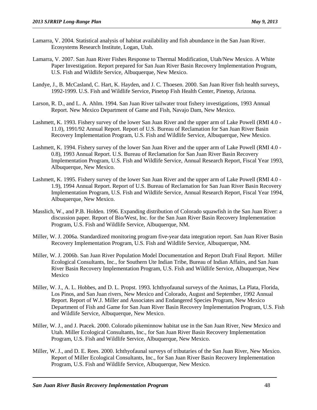- Lamarra, V. 2004. Statistical analysis of habitat availability and fish abundance in the San Juan River. Ecosystems Research Institute, Logan, Utah.
- Lamarra, V. 2007. San Juan River Fishes Response to Thermal Modification, Utah/New Mexico. A White Paper Investigation. Report prepared for San Juan River Basin Recovery Implementation Program, U.S. Fish and Wildlife Service, Albuquerque, New Mexico.
- Landye, J., B. McCasland, C. Hart, K. Hayden, and J. C. Thoesen. 2000. San Juan River fish health surveys, 1992-1999. U.S. Fish and Wildlife Service, Pinetop Fish Health Center, Pinetop, Arizona.
- Larson, R. D., and L. A. Ahlm. 1994. San Juan River tailwater trout fishery investigations, 1993 Annual Report. New Mexico Department of Game and Fish, Navajo Dam, New Mexico.
- Lashmett, K. 1993. Fishery survey of the lower San Juan River and the upper arm of Lake Powell (RMI 4.0 11.0), 1991/92 Annual Report. Report of U.S. Bureau of Reclamation for San Juan River Basin Recovery Implementation Program, U.S. Fish and Wildlife Service, Albuquerque, New Mexico.
- Lashmett, K. 1994. Fishery survey of the lower San Juan River and the upper arm of Lake Powell (RMI 4.0 0.8), 1993 Annual Report. U.S. Bureau of Reclamation for San Juan River Basin Recovery Implementation Program, U.S. Fish and Wildlife Service, Annual Research Report, Fiscal Year 1993, Albuquerque, New Mexico.
- Lashmett, K. 1995. Fishery survey of the lower San Juan River and the upper arm of Lake Powell (RMI 4.0 1.9), 1994 Annual Report. Report of U.S. Bureau of Reclamation for San Juan River Basin Recovery Implementation Program, U.S. Fish and Wildlife Service, Annual Research Report, Fiscal Year 1994, Albuquerque, New Mexico.
- Masslich, W., and P.B. Holden. 1996. Expanding distribution of Colorado squawfish in the San Juan River: a discussion paper. Report of Bio/West, Inc. for the San Juan River Basin Recovery Implementation Program, U.S. Fish and Wildlife Service, Albuquerque, NM.
- Miller, W. J. 2006a. Standardized monitoring program five-year data integration report. San Juan River Basin Recovery Implementation Program, U.S. Fish and Wildlife Service, Albuquerque, NM.
- Miller, W. J. 2006b. San Juan River Population Model Documentation and Report Draft Final Report. Miller Ecological Consultants, Inc., for Southern Ute Indian Tribe, Bureau of Indian Affairs, and San Juan River Basin Recovery Implementation Program, U.S. Fish and Wildlife Service, Albuquerque, New Mexico
- Miller, W. J., A. L. Hobbes, and D. L. Propst. 1993. Ichthyofaunal surveys of the Animas, La Plata, Florida, Los Pinos, and San Juan rivers, New Mexico and Colorado, August and September, 1992 Annual Report. Report of W.J. Miller and Associates and Endangered Species Program, New Mexico Department of Fish and Game for San Juan River Basin Recovery Implementation Program, U.S. Fish and Wildlife Service, Albuquerque, New Mexico.
- Miller, W. J., and J. Ptacek. 2000. Colorado pikeminnow habitat use in the San Juan River, New Mexico and Utah. Miller Ecological Consultants, Inc., for San Juan River Basin Recovery Implementation Program, U.S. Fish and Wildlife Service, Albuquerque, New Mexico.
- Miller, W. J., and D. E. Rees. 2000. Ichthyofaunal surveys of tributaries of the San Juan River, New Mexico. Report of Miller Ecological Consultants, Inc., for San Juan River Basin Recovery Implementation Program, U.S. Fish and Wildlife Service, Albuquerque, New Mexico.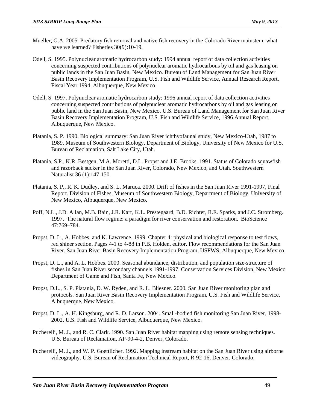- Mueller, G.A. 2005. Predatory fish removal and native fish recovery in the Colorado River mainstem: what have we learned? Fisheries  $30(9)$ : 10-19.
- Odell, S. 1995. Polynuclear aromatic hydrocarbon study: 1994 annual report of data collection activities concerning suspected contributions of polynuclear aromatic hydrocarbons by oil and gas leasing on public lands in the San Juan Basin, New Mexico. Bureau of Land Management for San Juan River Basin Recovery Implementation Program, U.S. Fish and Wildlife Service, Annual Research Report, Fiscal Year 1994, Albuquerque, New Mexico.
- Odell, S. 1997. Polynuclear aromatic hydrocarbon study: 1996 annual report of data collection activities concerning suspected contributions of polynuclear aromatic hydrocarbons by oil and gas leasing on public land in the San Juan Basin, New Mexico. U.S. Bureau of Land Management for San Juan River Basin Recovery Implementation Program, U.S. Fish and Wildlife Service, 1996 Annual Report, Albuquerque, New Mexico.
- Platania, S. P. 1990. Biological summary: San Juan River ichthyofaunal study, New Mexico-Utah, 1987 to 1989. Museum of Southwestern Biology, Department of Biology, University of New Mexico for U.S. Bureau of Reclamation, Salt Lake City, Utah.
- Platania, S.P., K.R. Bestgen, M.A. Moretti, D.L. Propst and J.E. Brooks. 1991. Status of Colorado squawfish and razorback sucker in the San Juan River, Colorado, New Mexico, and Utah. Southwestern Naturalist 36 (1):147-150.
- Platania, S. P., R. K. Dudley, and S. L. Maruca. 2000. Drift of fishes in the San Juan River 1991-1997, Final Report. Division of Fishes, Museum of Southwestern Biology, Department of Biology, University of New Mexico, Albuquerque, New Mexico.
- Poff, N.L., J.D. Allan, M.B. Bain, J.R. Karr, K.L. Prestegaard, B.D. Richter, R.E. Sparks, and J.C. Stromberg. 1997. The natural flow regime: a paradigm for river conservation and restoration. BioScience 47:769–784.
- Propst, D. L., A. Hobbes, and K. Lawrence. 1999. Chapter 4: physical and biological response to test flows, red shiner section. Pages 4-1 to 4-88 in P.B. Holden, editor. Flow recommendations for the San Juan River. San Juan River Basin Recovery Implementation Program, USFWS, Albuquerque, New Mexico.
- Propst, D. L., and A. L. Hobbes. 2000. Seasonal abundance, distribution, and population size-structure of fishes in San Juan River secondary channels 1991-1997. Conservation Services Division, New Mexico Department of Game and Fish, Santa Fe, New Mexico.
- Propst, D.L., S. P. Platania, D. W. Ryden, and R. L. Bliesner. 2000. San Juan River monitoring plan and protocols. San Juan River Basin Recovery Implementation Program, U.S. Fish and Wildlife Service, Albuquerque, New Mexico.
- Propst, D. L., A. H. Kingsburg, and R. D. Larson. 2004. Small-bodied fish monitoring San Juan River, 1998- 2002. U.S. Fish and Wildlife Service, Albuquerque, New Mexico.
- Pucherelli, M. J., and R. C. Clark. 1990. San Juan River habitat mapping using remote sensing techniques. U.S. Bureau of Reclamation, AP-90-4-2, Denver, Colorado.
- Pucherelli, M. J., and W. P. Goettlicher. 1992. Mapping instream habitat on the San Juan River using airborne videography. U.S. Bureau of Reclamation Technical Report, R-92-16, Denver, Colorado.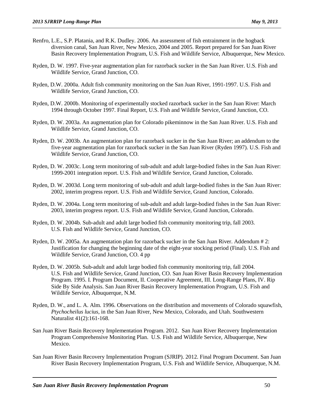- Renfro, L.E., S.P. Platania, and R.K. Dudley. 2006. An assessment of fish entrainment in the hogback diversion canal, San Juan River, New Mexico, 2004 and 2005. Report prepared for San Juan River Basin Recovery Implementation Program, U.S. Fish and Wildlife Service, Albuquerque, New Mexico.
- Ryden, D. W. 1997. Five-year augmentation plan for razorback sucker in the San Juan River. U.S. Fish and Wildlife Service, Grand Junction, CO.
- Ryden, D.W. 2000a. Adult fish community monitoring on the San Juan River, 1991-1997. U.S. Fish and Wildlife Service, Grand Junction, CO.
- Ryden, D.W. 2000b. Monitoring of experimentally stocked razorback sucker in the San Juan River: March 1994 through October 1997. Final Report, U.S. Fish and Wildlife Service, Grand Junction, CO.
- Ryden, D. W. 2003a. An augmentation plan for Colorado pikeminnow in the San Juan River. U.S. Fish and Wildlife Service, Grand Junction, CO.
- Ryden, D. W. 2003b. An augmentation plan for razorback sucker in the San Juan River; an addendum to the five-year augmentation plan for razorback sucker in the San Juan River (Ryden 1997). U.S. Fish and Wildlife Service, Grand Junction, CO.
- Ryden, D. W. 2003c. Long term monitoring of sub-adult and adult large-bodied fishes in the San Juan River: 1999-2001 integration report. U.S. Fish and Wildlife Service, Grand Junction, Colorado.
- Ryden, D. W. 2003d. Long term monitoring of sub-adult and adult large-bodied fishes in the San Juan River: 2002, interim progress report. U.S. Fish and Wildlife Service, Grand Junction, Colorado.
- Ryden, D. W. 2004a. Long term monitoring of sub-adult and adult large-bodied fishes in the San Juan River: 2003, interim progress report. U.S. Fish and Wildlife Service, Grand Junction, Colorado.
- Ryden, D. W. 2004b. Sub-adult and adult large bodied fish community monitoring trip, fall 2003. U.S. Fish and Wildlife Service, Grand Junction, CO.
- Ryden, D. W. 2005a. An augmentation plan for razorback sucker in the San Juan River. Addendum # 2: Justification for changing the beginning date of the eight-year stocking period (Final). U.S. Fish and Wildlife Service, Grand Junction, CO. 4 pp
- Ryden, D. W. 2005b. Sub-adult and adult large bodied fish community monitoring trip, fall 2004. U.S. Fish and Wildlife Service, Grand Junction, CO. San Juan River Basin Recovery Implementation Program. 1995. I. Program Document, II. Cooperative Agreement, III. Long-Range Plans, IV. Rip Side By Side Analysis. San Juan River Basin Recovery Implementation Program, U.S. Fish and Wildlife Service, Albuquerque, N.M.
- Ryden, D. W., and L. A. Alm. 1996. Observations on the distribution and movements of Colorado squawfish, *Ptychocheilus lucius*, in the San Juan River, New Mexico, Colorado, and Utah. Southwestern Naturalist 41(2):161-168.
- San Juan River Basin Recovery Implementation Program. 2012. San Juan River Recovery Implementation Program Comprehensive Monitoring Plan. U.S. Fish and Wildlife Service, Albuquerque, New Mexico.
- San Juan River Basin Recovery Implementation Program (SJRIP). 2012. Final Program Document. San Juan River Basin Recovery Implementation Program, U.S. Fish and Wildlife Service, Albuquerque, N.M.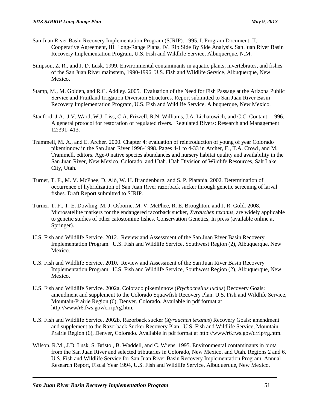- San Juan River Basin Recovery Implementation Program (SJRIP). 1995. I. Program Document, II. Cooperative Agreement, III. Long-Range Plans, IV. Rip Side By Side Analysis. San Juan River Basin Recovery Implementation Program, U.S. Fish and Wildlife Service, Albuquerque, N.M.
- Simpson, Z. R., and J. D. Lusk. 1999. Environmental contaminants in aquatic plants, invertebrates, and fishes of the San Juan River mainstem, 1990-1996. U.S. Fish and Wildlife Service, Albuquerque, New Mexico.
- Stamp, M., M. Golden, and R.C. Addley. 2005. Evaluation of the Need for Fish Passage at the Arizona Public Service and Fruitland Irrigation Diversion Structures. Report submitted to San Juan River Basin Recovery Implementation Program, U.S. Fish and Wildlife Service, Albuquerque, New Mexico.
- Stanford, J.A., J.V. Ward, W.J. Liss, C.A. Frizzell, R.N. Williams, J.A. Lichatowich, and C.C. Coutant. 1996. A general protocol for restoration of regulated rivers. Regulated Rivers: Research and Management 12:391–413.
- Trammell, M. A., and E. Archer. 2000. Chapter 4: evaluation of reintroduction of young of year Colorado pikeminnow in the San Juan River 1996-1998. Pages 4-1 to 4-33 in Archer, E., T.A. Crowl, and M. Trammell, editors. Age-0 native species abundances and nursery habitat quality and availability in the San Juan River, New Mexico, Colorado, and Utah. Utah Division of Wildlife Resources, Salt Lake City, Utah.
- Turner, T. F., M. V. McPhee, D. Alò, W. H. Brandenburg, and S. P. Platania. 2002. Determination of occurrence of hybridization of San Juan River razorback sucker through genetic screening of larval fishes. Draft Report submitted to SJRIP.
- Turner, T. F., T. E. Dowling, M. J. Osborne, M. V. McPhee, R. E. Broughton, and J. R. Gold. 2008. Microsatellite markers for the endangered razorback sucker, *Xyrauchen texanus*, are widely applicable to genetic studies of other catostomine fishes. Conservation Genetics, In press (available online at Springer).
- U.S. Fish and Wildlife Service. 2012. Review and Assessment of the San Juan River Basin Recovery Implementation Program. U.S. Fish and Wildlife Service, Southwest Region (2), Albuquerque, New Mexico.
- U.S. Fish and Wildlife Service. 2010. Review and Assessment of the San Juan River Basin Recovery Implementation Program. U.S. Fish and Wildlife Service, Southwest Region (2), Albuquerque, New Mexico.
- U.S. Fish and Wildlife Service. 2002a. Colorado pikeminnow (*Ptychocheilus lucius*) Recovery Goals: amendment and supplement to the Colorado Squawfish Recovery Plan. U.S. Fish and Wildlife Service, Mountain-Prairie Region (6), Denver, Colorado. Available in pdf format at http://www/r6.fws.gov/crrip/rg.htm.
- U.S. Fish and Wildlife Service. 2002b. Razorback sucker (*Xyrauchen texanus*) Recovery Goals: amendment and supplement to the Razorback Sucker Recovery Plan. U.S. Fish and Wildlife Service, Mountain-Prairie Region (6), Denver, Colorado. Available in pdf format at http://www/r6.fws.gov/crrip/rg.htm.
- Wilson, R.M., J.D. Lusk, S. Bristol, B. Waddell, and C. Wiens. 1995. Environmental contaminants in biota from the San Juan River and selected tributaries in Colorado, New Mexico, and Utah. Regions 2 and 6, U.S. Fish and Wildlife Service for San Juan River Basin Recovery Implementation Program, Annual Research Report, Fiscal Year 1994, U.S. Fish and Wildlife Service, Albuquerque, New Mexico.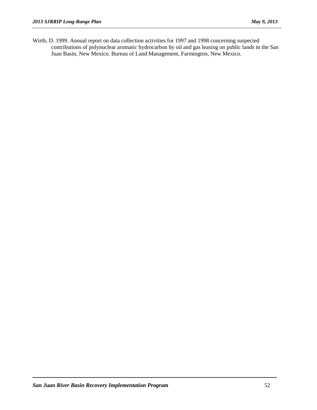Wirth, D. 1999. Annual report on data collection activities for 1997 and 1998 concerning suspected contributions of polynuclear aromatic hydrocarbon by oil and gas leasing on public lands in the San Juan Basin, New Mexico. Bureau of Land Management, Farmington, New Mexico.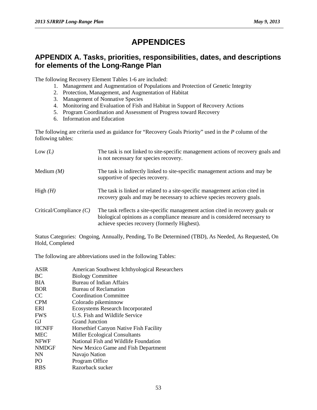## **APPENDICES**

### **APPENDIX A. Tasks, priorities, responsibilities, dates, and descriptions for elements of the Long-Range Plan**

The following Recovery Element Tables 1-6 are included:

- 1. Management and Augmentation of Populations and Protection of Genetic Integrity
- 2. Protection, Management, and Augmentation of Habitat
- 3. Management of Nonnative Species
- 4. Monitoring and Evaluation of Fish and Habitat in Support of Recovery Actions
- 5. Program Coordination and Assessment of Progress toward Recovery
- 6. Information and Education

The following are criteria used as guidance for "Recovery Goals Priority" used in the *P* column of the following tables:

| Low $(L)$                 | The task is not linked to site-specific management actions of recovery goals and<br>is not necessary for species recovery.                                                                                   |
|---------------------------|--------------------------------------------------------------------------------------------------------------------------------------------------------------------------------------------------------------|
| Medium $(M)$              | The task is indirectly linked to site-specific management actions and may be<br>supportive of species recovery.                                                                                              |
| High $(H)$                | The task is linked or related to a site-specific management action cited in<br>recovery goals and may be necessary to achieve species recovery goals.                                                        |
| Critical/Compliance $(C)$ | The task reflects a site-specific management action cited in recovery goals or<br>biological opinions as a compliance measure and is considered necessary to<br>achieve species recovery (formerly Highest). |

Status Categories: Ongoing, Annually, Pending, To Be Determined (TBD), As Needed, As Requested, On Hold, Completed

The following are abbreviations used in the following Tables:

| <b>ASIR</b>    | American Southwest Ichthyological Researchers |
|----------------|-----------------------------------------------|
| <b>BC</b>      | <b>Biology Committee</b>                      |
| <b>BIA</b>     | <b>Bureau of Indian Affairs</b>               |
| <b>BOR</b>     | Bureau of Reclamation                         |
| CC             | <b>Coordination Committee</b>                 |
| <b>CPM</b>     | Colorado pikeminnow                           |
| ERI            | <b>Ecosystems Research Incorporated</b>       |
| <b>FWS</b>     | U.S. Fish and Wildlife Service                |
| GJ.            | Grand Junction                                |
| <b>HCNFF</b>   | Horsethief Canyon Native Fish Facility        |
| <b>MEC</b>     | Miller Ecological Consultants                 |
| <b>NFWF</b>    | National Fish and Wildlife Foundation         |
| <b>NMDGF</b>   | New Mexico Game and Fish Department           |
| <b>NN</b>      | Navajo Nation                                 |
| P <sub>O</sub> | Program Office                                |
| <b>RBS</b>     | Razorback sucker                              |
|                |                                               |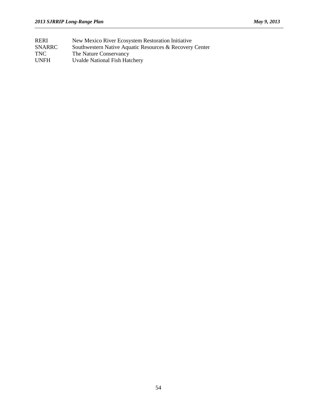RERI New Mexico River Ecosystem Restoration Initiative SNARRC Southwestern Native Aquatic Resources & Recovery Center TNC The Nature Conservancy<br>UNFH Uvalde National Fish Hat Uvalde National Fish Hatchery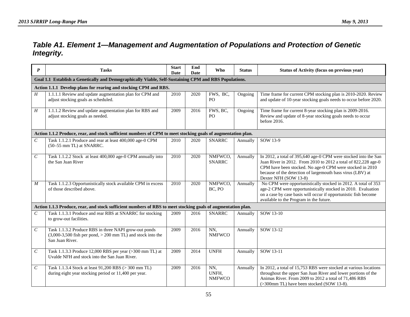### *Table A1. Element 1—Management and Augmentation of Populations and Protection of Genetic Integrity.*

| $\boldsymbol{P}$            | <b>Tasks</b>                                                                                                                                | <b>Start</b><br>Date | End<br><b>Date</b> | Who                           | <b>Status</b> | Status of Activity (focus on previous year)                                                                                                                                                                                                                                          |  |  |  |  |  |
|-----------------------------|---------------------------------------------------------------------------------------------------------------------------------------------|----------------------|--------------------|-------------------------------|---------------|--------------------------------------------------------------------------------------------------------------------------------------------------------------------------------------------------------------------------------------------------------------------------------------|--|--|--|--|--|
|                             | Goal 1.1 Establish a Genetically and Demographically Viable, Self-Sustaining CPM and RBS Populations.                                       |                      |                    |                               |               |                                                                                                                                                                                                                                                                                      |  |  |  |  |  |
|                             | Action 1.1.1 Develop plans for rearing and stocking CPM and RBS.                                                                            |                      |                    |                               |               |                                                                                                                                                                                                                                                                                      |  |  |  |  |  |
| H                           | 1.1.1.1 Review and update augmentation plan for CPM and<br>adjust stocking goals as scheduled.                                              | 2010                 | 2020               | FWS, BC,<br>PO <sub>1</sub>   | Ongoing       | Time frame for current CPM stocking plan is 2010-2020. Review<br>and update of 10-year stocking goals needs to occur before 2020.                                                                                                                                                    |  |  |  |  |  |
| H                           | 1.1.1.2 Review and update augmentation plan for RBS and<br>adjust stocking goals as needed.                                                 | 2009                 | 2016               | FWS, BC,<br>PO                | Ongoing       | Time frame for current 8-year stocking plan is 2009-2016.<br>Review and update of 8-year stocking goals needs to occur<br>before 2016.                                                                                                                                               |  |  |  |  |  |
|                             | Action 1.1.2 Produce, rear, and stock sufficient numbers of CPM to meet stocking goals of augmentation plan.                                |                      |                    |                               |               |                                                                                                                                                                                                                                                                                      |  |  |  |  |  |
| $\mathcal{C}_{\mathcal{C}}$ | Task 1.1.2.1 Produce and rear at least 400,000 age-0 CPM<br>(50-55 mm TL) at SNARRC.                                                        | 2010                 | 2020               | <b>SNARRC</b>                 | Annually      | SOW 13-9                                                                                                                                                                                                                                                                             |  |  |  |  |  |
| $\mathcal{C}_{0}^{0}$       | Task 1.1.2.2 Stock at least 400,000 age-0 CPM annually into<br>the San Juan River                                                           | 2010                 | 2020               | NMFWCO,<br><b>SNARRC</b>      | Annually      | In 2012, a total of 395,640 age-0 CPM were stocked into the San<br>Juan River in 2012. From 2010 to 2012 a total of 822,228 age-0<br>CPM have been stocked. No age-0 CPM were stocked in 2010<br>because of the detection of largemouth bass virus (LBV) at<br>Dexter NFH (SOW 13-8) |  |  |  |  |  |
| $\boldsymbol{M}$            | Task 1.1.2.3 Opportunistically stock available CPM in excess<br>of those described above.                                                   | 2010                 | 2020               | NMFWCO,<br>BC, PO             | Annually      | No CPM were opportunistically stocked in 2012. A total of 353<br>age-2 CPM were opportunistically stocked in 2010. Evaluation<br>on a case by case basis will occur if opportunistic fish become<br>available to the Program in the future.                                          |  |  |  |  |  |
|                             | Action 1.1.3 Produce, rear, and stock sufficient numbers of RBS to meet stocking goals of augmentation plan.                                |                      |                    |                               |               |                                                                                                                                                                                                                                                                                      |  |  |  |  |  |
| $\mathcal{C}_{0}^{0}$       | Task 1.1.3.1 Produce and rear RBS at SNARRC for stocking<br>to grow-out facilities.                                                         | 2009                 | 2016               | <b>SNARRC</b>                 | Annually      | SOW 13-10                                                                                                                                                                                                                                                                            |  |  |  |  |  |
| $\mathcal{C}_{\mathcal{C}}$ | Task 1.1.3.2 Produce RBS in three NAPI grow-out ponds<br>$(3,000-3,500$ fish per pond, $> 200$ mm TL) and stock into the<br>San Juan River. | 2009                 | 2016               | NN,<br><b>NMFWCO</b>          | Annually      | SOW 13-12                                                                                                                                                                                                                                                                            |  |  |  |  |  |
| $\mathcal C$                | Task 1.1.3.3 Produce 12,000 RBS per year (>300 mm TL) at<br>Uvalde NFH and stock into the San Juan River.                                   | 2009                 | 2014               | <b>UNFH</b>                   | Annually      | SOW 13-11                                                                                                                                                                                                                                                                            |  |  |  |  |  |
| $\mathcal{C}_{0}^{0}$       | Task 1.1.3.4 Stock at least 91,200 RBS (> 300 mm TL)<br>during eight year stocking period or 11,400 per year.                               | 2009                 | 2016               | NN,<br>UNFH,<br><b>NMFWCO</b> | Annually      | In 2012, a total of 15,753 RBS were stocked at various locations<br>throughout the upper San Juan River and lower portions of the<br>Animas River. From 2009 to 2012 a total of 71,486 RBS<br>(>300mm TL) have been stocked (SOW 13-8).                                              |  |  |  |  |  |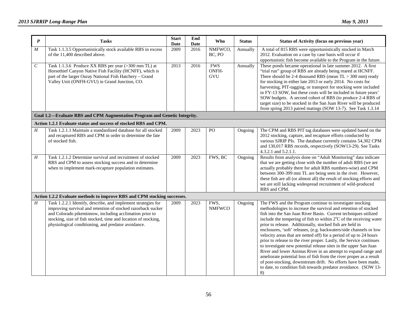| $\boldsymbol{P}$ | <b>Tasks</b>                                                                                                                                                                                                                                                                                                      | <b>Start</b><br>Date | End<br>Date | Who                        | <b>Status</b> | Status of Activity (focus on previous year)                                                                                                                                                                                                                                                                                                                                                                                                                                                                                                                                                                                                                                                                                                                                                                                                                                                                              |
|------------------|-------------------------------------------------------------------------------------------------------------------------------------------------------------------------------------------------------------------------------------------------------------------------------------------------------------------|----------------------|-------------|----------------------------|---------------|--------------------------------------------------------------------------------------------------------------------------------------------------------------------------------------------------------------------------------------------------------------------------------------------------------------------------------------------------------------------------------------------------------------------------------------------------------------------------------------------------------------------------------------------------------------------------------------------------------------------------------------------------------------------------------------------------------------------------------------------------------------------------------------------------------------------------------------------------------------------------------------------------------------------------|
| $\boldsymbol{M}$ | Task 1.1.3.5 Opportunistically stock available RBS in excess<br>of the 11,400 described above.                                                                                                                                                                                                                    | 2009                 | 2016        | NMFWCO,<br>BC, PO          | Annually      | A total of 815 RBS were opportunistically stocked in March<br>2012. Evaluation on a case by case basis will occur if<br>opportunistic fish become available to the Program in the future.                                                                                                                                                                                                                                                                                                                                                                                                                                                                                                                                                                                                                                                                                                                                |
| $\cal C$         | Task 1.1.3.6 Produce XX RBS per year (>300 mm TL) at<br>Horsethief Canyon Native Fish Facility (HCNFF), which is<br>part of the larger Ouray National Fish Hatchery - Grand<br>Valley Unit (ONFH-GVU) in Grand Junction, CO.                                                                                      | 2013                 | 2016        | <b>FWS</b><br>ONFH-<br>GVU | Annually      | These ponds became operational in late summer 2012. A first<br>"trial run" group of RBS are already being reared at HCNFF.<br>There should be 2-4 thousand RBS (mean $TL > 300$ mm) ready<br>for stocking in either late 2013 or early 2014. No costs for<br>harvesting, PIT-tagging, or transport for stocking were included<br>in FY-13 SOW, but these costs will be included in future years'<br>SOW budgets. A second cohort of RBS (to produce 2-4 RBS of<br>target size) to be stocked in the San Juan River will be produced<br>from spring 2013 paired matings (SOW 13-7). See Task 1.3.14                                                                                                                                                                                                                                                                                                                       |
|                  | Goal 1.2-Evaluate RBS and CPM Augmentation Program and Genetic Integrity.                                                                                                                                                                                                                                         |                      |             |                            |               |                                                                                                                                                                                                                                                                                                                                                                                                                                                                                                                                                                                                                                                                                                                                                                                                                                                                                                                          |
|                  | Action 1.2.1 Evaluate status and success of stocked RBS and CPM.                                                                                                                                                                                                                                                  |                      |             |                            |               |                                                                                                                                                                                                                                                                                                                                                                                                                                                                                                                                                                                                                                                                                                                                                                                                                                                                                                                          |
| $H_{\rm}$        | Task 1.2.1.1 Maintain a standardized database for all stocked<br>and recaptured RBS and CPM in order to determine the fate<br>of stocked fish.                                                                                                                                                                    | 2009                 | 2023        | PO                         | Ongoing       | The CPM and RBS PIT tag databases were updated based on the<br>2012 stocking, capture, and recapture efforts conducted by<br>various SJRIP PIs. The database currently contains 54,302 CPM<br>and 130,017 RBS records, respectively (SOW13-29). See Tasks<br>4.3.2.1 and 5.2.1.1.                                                                                                                                                                                                                                                                                                                                                                                                                                                                                                                                                                                                                                        |
| Η                | Task 1.2.1.2 Determine survival and recruitment of stocked<br>RBS and CPM to assess stocking success and to determine<br>when to implement mark-recapture population estimates.                                                                                                                                   | 2009                 | 2023        | FWS, BC                    | Ongoing       | Results from analysis done on "Adult Monitoring" data indicate<br>that we are getting close with the number of adult RBS (we are<br>actually probably there for adult RBS numbers-wise) and CPM<br>between 300-399 mm TL are being seen in the river. However,<br>these fish are all (or almost all) the result of stocking efforts and<br>we are still lacking widespread recruitment of wild-produced<br>RBS and CPM.                                                                                                                                                                                                                                                                                                                                                                                                                                                                                                  |
|                  | Action 1.2.2 Evaluate methods to improve RBS and CPM stocking successes.                                                                                                                                                                                                                                          |                      |             |                            |               |                                                                                                                                                                                                                                                                                                                                                                                                                                                                                                                                                                                                                                                                                                                                                                                                                                                                                                                          |
| H                | Task 1.2.2.1 Identify, describe, and implement strategies for<br>improving survival and retention of stocked razorback sucker<br>and Colorado pikeminnow, including acclimation prior to<br>stocking, size of fish stocked, time and location of stocking,<br>physiological conditioning, and predator avoidance. | 2009                 | 2023        | FWS,<br><b>NMFWCO</b>      | Ongoing       | The FWS and the Program continue to investigate stocking<br>methodologies to increase the survival and retention of stocked<br>fish into the San Juan River Basin. Current techniques utilized<br>include the tempering of fish to within 2 <sup>o</sup> C of the receiving water<br>prior to release. Additionally, stocked fish are held in<br>enclosures, 'soft' releases, (e.g. backwaters/side channels or low<br>velocity areas that are netted off) for a period of up to 24 hours<br>prior to release to the river proper. Lastly, the Service continues<br>to investigate new potential release sites in the upper San Juan<br>River and lower Animas River in an attempt to expand range and<br>ameliorate potential loss of fish from the river proper as a result<br>of post-stocking, downstream drift. No efforts have been made,<br>to date, to condition fish towards predator avoidance. (SOW 13-<br>8) |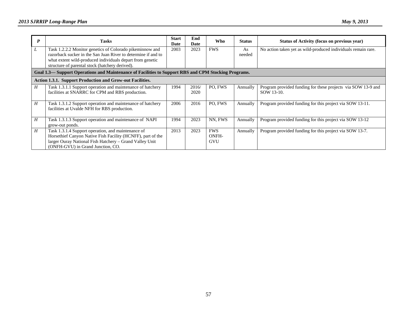| P | <b>Tasks</b>                                                                                                               | <b>Start</b><br>Date | End<br>Date | <b>Who</b> | <b>Status</b> | Status of Activity (focus on previous year)                   |
|---|----------------------------------------------------------------------------------------------------------------------------|----------------------|-------------|------------|---------------|---------------------------------------------------------------|
| L | Task 1.2.2.2 Monitor genetics of Colorado pikeminnow and                                                                   | 2003                 | 2023        | <b>FWS</b> | As            | No action taken yet as wild-produced individuals remain rare. |
|   | razorback sucker in the San Juan River to determine if and to<br>what extent wild-produced individuals depart from genetic |                      |             |            | needed        |                                                               |
|   | structure of parental stock (hatchery derived).                                                                            |                      |             |            |               |                                                               |
|   | Goal 1.3— Support Operations and Maintenance of Facilities to Support RBS and CPM Stocking Programs.                       |                      |             |            |               |                                                               |
|   | <b>Action 1.3.1. Support Production and Grow-out Facilities.</b>                                                           |                      |             |            |               |                                                               |
| H | Task 1.3.1.1 Support operation and maintenance of hatchery                                                                 | 1994                 | 2016/       | PO, FWS    | Annually      | Program provided funding for these projects via SOW 13-9 and  |
|   | facilities at SNARRC for CPM and RBS production.                                                                           |                      | 2020        |            |               | SOW 13-10.                                                    |
| H | Task 1.3.1.2 Support operation and maintenance of hatchery                                                                 | 2006                 | 2016        | PO. FWS    | Annually      | Program provided funding for this project via SOW 13-11.      |
|   | facilities at Uvalde NFH for RBS production.                                                                               |                      |             |            |               |                                                               |
| H | Task 1.3.1.3 Support operation and maintenance of NAPI                                                                     | 1994                 | 2023        | NN, FWS    | Annually      | Program provided funding for this project via SOW 13-12       |
|   | grow-out ponds.                                                                                                            |                      |             |            |               |                                                               |
| H | Task 1.3.1.4 Support operation, and maintenance of                                                                         | 2013                 | 2023        | <b>FWS</b> | Annually      | Program provided funding for this project via SOW 13-7.       |
|   | Horsethief Canyon Native Fish Facility (HCNFF), part of the                                                                |                      |             | ONFH-      |               |                                                               |
|   | larger Ouray National Fish Hatchery - Grand Valley Unit                                                                    |                      |             | <b>GVU</b> |               |                                                               |
|   | (ONFH-GVU) in Grand Junction, CO.                                                                                          |                      |             |            |               |                                                               |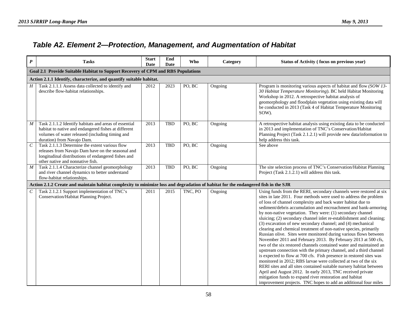## *Table A2. Element 2—Protection, Management, and Augmentation of Habitat*

| $\boldsymbol{P}$ | <b>Tasks</b>                                                                                                                                                                                   | <b>Start</b><br>Date | End<br><b>Date</b> | Who     | Category | Status of Activity (focus on previous year)                                                                                                                                                                                                                                                                                                                                                                                                                                                                                                                                                                                                                                                                                                                                                                                                                                                                                                                                                                                                                                                                                                                                                                                                     |  |  |  |  |  |
|------------------|------------------------------------------------------------------------------------------------------------------------------------------------------------------------------------------------|----------------------|--------------------|---------|----------|-------------------------------------------------------------------------------------------------------------------------------------------------------------------------------------------------------------------------------------------------------------------------------------------------------------------------------------------------------------------------------------------------------------------------------------------------------------------------------------------------------------------------------------------------------------------------------------------------------------------------------------------------------------------------------------------------------------------------------------------------------------------------------------------------------------------------------------------------------------------------------------------------------------------------------------------------------------------------------------------------------------------------------------------------------------------------------------------------------------------------------------------------------------------------------------------------------------------------------------------------|--|--|--|--|--|
|                  | Goal 2.1 Provide Suitable Habitat to Support Recovery of CPM and RBS Populations                                                                                                               |                      |                    |         |          |                                                                                                                                                                                                                                                                                                                                                                                                                                                                                                                                                                                                                                                                                                                                                                                                                                                                                                                                                                                                                                                                                                                                                                                                                                                 |  |  |  |  |  |
|                  | Action 2.1.1 Identify, characterize, and quantify suitable habitat.                                                                                                                            |                      |                    |         |          |                                                                                                                                                                                                                                                                                                                                                                                                                                                                                                                                                                                                                                                                                                                                                                                                                                                                                                                                                                                                                                                                                                                                                                                                                                                 |  |  |  |  |  |
| H                | Task 2.1.1.1 Assess data collected to identify and<br>describe flow-habitat relationships.                                                                                                     | 2012                 | 2023               | PO, BC  | Ongoing  | Program is monitoring various aspects of habitat and flow (SOW 13-<br>30 Habitat Temperature Monitoring). BC held Habitat Monitoring<br>Workshop in 2012. A retrospective habitat analysis of<br>geomorphology and floodplain vegetation using existing data will<br>be conducted in 2013 (Task 4 of Habitat Temperature Monitoring<br>SOW).                                                                                                                                                                                                                                                                                                                                                                                                                                                                                                                                                                                                                                                                                                                                                                                                                                                                                                    |  |  |  |  |  |
| M                | Task 2.1.1.2 Identify habitats and areas of essential<br>habitat to native and endangered fishes at different<br>volumes of water released (including timing and<br>duration) from Navajo Dam. | 2013                 | <b>TBD</b>         | PO, BC  | Ongoing  | A retrospective habitat analysis using existing data to be conducted<br>in 2013 and implementation of TNC's Conservation/Habitat<br>Planning Project (Task 2.1.2.1) will provide new data/information to<br>help address this task.                                                                                                                                                                                                                                                                                                                                                                                                                                                                                                                                                                                                                                                                                                                                                                                                                                                                                                                                                                                                             |  |  |  |  |  |
| $\mathcal C$     | Task 2.1.1.3 Determine the extent various flow<br>releases from Navajo Dam have on the seasonal and<br>longitudinal distributions of endangered fishes and<br>other native and nonnative fish. | 2013                 | TBD                | PO, BC  | Ongoing  | See above                                                                                                                                                                                                                                                                                                                                                                                                                                                                                                                                                                                                                                                                                                                                                                                                                                                                                                                                                                                                                                                                                                                                                                                                                                       |  |  |  |  |  |
| $\boldsymbol{M}$ | Task 2.1.1.4 Characterize channel geomorphology<br>and river channel dynamics to better understand<br>flow-habitat relationships.                                                              | 2013                 | TBD                | PO, BC  | Ongoing  | The site selection process of TNC's Conservation/Habitat Planning<br>Project (Task 2.1.2.1) will address this task.                                                                                                                                                                                                                                                                                                                                                                                                                                                                                                                                                                                                                                                                                                                                                                                                                                                                                                                                                                                                                                                                                                                             |  |  |  |  |  |
|                  | Action 2.1.2 Create and maintain habitat complexity to minimize loss and degradation of habitat for the endangered fish in the SJR                                                             |                      |                    |         |          |                                                                                                                                                                                                                                                                                                                                                                                                                                                                                                                                                                                                                                                                                                                                                                                                                                                                                                                                                                                                                                                                                                                                                                                                                                                 |  |  |  |  |  |
| $\mathcal{C}$    | Task 2.1.2.1 Support implementation of TNC's<br>Conservation/Habitat Planning Project.                                                                                                         | 2011                 | 2015               | TNC, PO | Ongoing  | Using funds from the RERI, secondary channels were restored at six<br>sites in late 2011. Four methods were used to address the problem<br>of loss of channel complexity and back water habitat due to<br>sediment/debris accumulation and encroachment and bank-armoring<br>by non-native vegetation. They were: (1) secondary channel<br>sluicing; (2) secondary channel inlet re-establishment and cleaning;<br>(3) excavation of new secondary channel; and (4) mechanical<br>clearing and chemical treatment of non-native species, primarily<br>Russian olive. Sites were monitored during various flows between<br>November 2011 and February 2013. By February 2013 at 500 cfs,<br>two of the six restored channels contained water and maintained an<br>upstream connection with the primary channel, and a third channel<br>is expected to flow at 700 cfs. Fish presence in restored sites was<br>monitored in 2012; RBS larvae were collected at two of the six<br>RERI sites and all sites contained suitable nursery habitat between<br>April and August 2012. In early 2013, TNC received private<br>mitigation funds to expand river restoration and habitat<br>improvement projects. TNC hopes to add an additional four miles |  |  |  |  |  |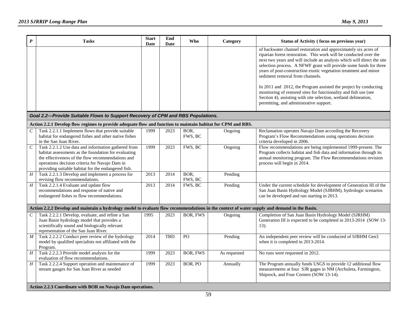| $\boldsymbol{P}$            | <b>Tasks</b>                                                                                                                                                                                                                                                              | <b>Start</b><br>Date | End<br><b>Date</b> | <b>Who</b>      | Category     | Status of Activity (focus on previous year)                                                                                                                                                                                                                                                                                                                                                                                                                                                                                                                                                                                                      |
|-----------------------------|---------------------------------------------------------------------------------------------------------------------------------------------------------------------------------------------------------------------------------------------------------------------------|----------------------|--------------------|-----------------|--------------|--------------------------------------------------------------------------------------------------------------------------------------------------------------------------------------------------------------------------------------------------------------------------------------------------------------------------------------------------------------------------------------------------------------------------------------------------------------------------------------------------------------------------------------------------------------------------------------------------------------------------------------------------|
|                             |                                                                                                                                                                                                                                                                           |                      |                    |                 |              | of backwater channel restoration and approximately six acres of<br>riparian forest restoration. This work will be conducted over the<br>next two years and will include an analysis which will direct the site<br>selection process. A NFWF grant will provide some funds for three<br>years of post-construction exotic vegetation treatment and minor<br>sediment removal from channels.<br>In 2011 and 2012, the Program assisted the project by conducting<br>monitoring of restored sites for functionality and fish use (see<br>Section 4), assisting with site selection, wetland delineation,<br>permitting, and administrative support. |
|                             | Goal 2.2-Provide Suitable Flows to Support Recovery of CPM and RBS Populations.                                                                                                                                                                                           |                      |                    |                 |              |                                                                                                                                                                                                                                                                                                                                                                                                                                                                                                                                                                                                                                                  |
|                             | Action 2.2.1 Develop flow regimes to provide adequate flow and function to maintain habitat for CPM and RBS.                                                                                                                                                              |                      |                    |                 |              |                                                                                                                                                                                                                                                                                                                                                                                                                                                                                                                                                                                                                                                  |
| $\,c\,$                     | Task 2.2.1.1 Implement flows that provide suitable<br>habitat for endangered fishes and other native fishes<br>in the San Juan River.                                                                                                                                     | 1999                 | 2023               | BOR,<br>FWS, BC | Ongoing      | Reclamation operates Navajo Dam according the Recovery<br>Program's Flow Recommendations using operations decision<br>criteria developed in 2006.                                                                                                                                                                                                                                                                                                                                                                                                                                                                                                |
| $\mathcal{C}_{\mathcal{C}}$ | Task 2.2.1.2 Use data and information gathered from<br>habitat assessments as the foundation for evaluating<br>the effectiveness of the flow recommendations and<br>operations decision criteria for Navajo Dam in<br>providing suitable habitat for the endangered fish. | 1999                 | 2023               | FWS, BC         | Ongoing      | Flow recommendations are being implemented 1999-present. The<br>Program collects habitat and fish data and information through its<br>annual monitoring program. The Flow Recommendations revision<br>process will begin in 2014.                                                                                                                                                                                                                                                                                                                                                                                                                |
| H                           | Task 2.2.1.3 Develop and implement a process for<br>revising flow recommendations.                                                                                                                                                                                        | 2013                 | 2014               | BOR,<br>FWS, BC | Pending      |                                                                                                                                                                                                                                                                                                                                                                                                                                                                                                                                                                                                                                                  |
| $\overline{H}$              | Task 2.2.1.4 Evaluate and update flow<br>recommendations and response of native and<br>endangered fishes to flow recommendations.                                                                                                                                         | 2013                 | 2014               | FWS, BC         | Pending      | Under the current schedule for development of Generation III of the<br>San Juan Basin Hydrology Model (SJBHM), hydrologic scenarios<br>can be developed and run starting in 2013.                                                                                                                                                                                                                                                                                                                                                                                                                                                                |
|                             | Action 2.2.2 Develop and maintain a hydrology model to evaluate flow recommendations in the context of water supply and demand in the Basin.                                                                                                                              |                      |                    |                 |              |                                                                                                                                                                                                                                                                                                                                                                                                                                                                                                                                                                                                                                                  |
| $\mathcal{C}_{\mathcal{C}}$ | Task 2.2.2.1 Develop, evaluate, and refine a San<br>Juan Basin hydrology model that provides a<br>scientifically sound and biologically relevant<br>representation of the San Juan River.                                                                                 | 1995                 | 2023               | BOR, FWS        | Ongoing      | Completion of San Juan Basin Hydrology Model (SJRHM)<br>Generation III is expected to be completed in 2013-2014 (SOW 13-<br>13).                                                                                                                                                                                                                                                                                                                                                                                                                                                                                                                 |
| $\cal M$                    | Task 2.2.2.2 Conduct peer review of the hydrology<br>model by qualified specialists not affiliated with the<br>Program.                                                                                                                                                   | 2014                 | <b>TBD</b>         | PO              | Pending      | An independent peer review will be conducted of SJBHM Gen3<br>when it is completed in 2013-2014.                                                                                                                                                                                                                                                                                                                                                                                                                                                                                                                                                 |
| H                           | Task 2.2.2.3 Provide model analysis for the<br>evaluation of flow recommendations.                                                                                                                                                                                        | 1999                 | 2023               | <b>BOR, FWS</b> | As requested | No runs were requested in 2012.                                                                                                                                                                                                                                                                                                                                                                                                                                                                                                                                                                                                                  |
| $\overline{H}$              | Task 2.2.2.4 Support operation and maintenance of<br>stream gauges for San Juan River as needed                                                                                                                                                                           | 1999                 | 2023               | BOR, PO         | Annually     | The Program annually funds USGS to provide 12 additional flow<br>measurements at four SJR gages in NM (Archuleta, Farmington,<br>Shiprock, and Four Corners (SOW 13-14).                                                                                                                                                                                                                                                                                                                                                                                                                                                                         |
|                             | Action 2.2.3 Coordinate with BOR on Navajo Dam operations.                                                                                                                                                                                                                |                      |                    |                 |              |                                                                                                                                                                                                                                                                                                                                                                                                                                                                                                                                                                                                                                                  |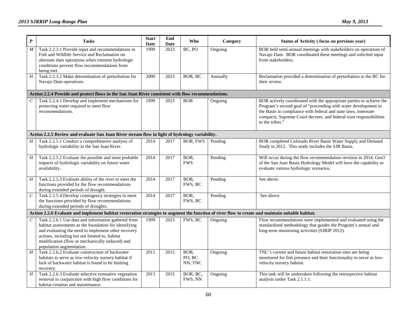| $\boldsymbol{P}$            | <b>Tasks</b>                                                                                                                                                                                                                                                                                         | <b>Start</b><br>Date | End<br><b>Date</b> | Who                       | Category | Status of Activity (focus on previous year)                                                                                                                                                                                                                                                         |  |  |  |  |  |  |
|-----------------------------|------------------------------------------------------------------------------------------------------------------------------------------------------------------------------------------------------------------------------------------------------------------------------------------------------|----------------------|--------------------|---------------------------|----------|-----------------------------------------------------------------------------------------------------------------------------------------------------------------------------------------------------------------------------------------------------------------------------------------------------|--|--|--|--|--|--|
| $\boldsymbol{M}$            | Task 2.2.3.1 Provide input and recommendations to<br>Fish and Wildlife Service and Reclamation on<br>alternate dam operations when extreme hydrologic<br>conditions prevent flow recommendations from<br>being met.                                                                                  | 1999                 | $\overline{2023}$  | BC, PO                    | Ongoing  | BOR held semi-annual meetings with stakeholders on operations of<br>Navajo Dam. BOR coordinated these meetings and solicited input<br>from stakeholders.                                                                                                                                            |  |  |  |  |  |  |
| $\cal H$                    | Task 2.2.3.2 Make determination of perturbation for<br>Navajo Dam operations.                                                                                                                                                                                                                        | 2000                 | 2023               | BOR, BC                   | Annually | Reclamation provided a determination of perturbation to the BC for<br>their review.                                                                                                                                                                                                                 |  |  |  |  |  |  |
|                             | Action 2.2.4 Provide and protect flows in the San Juan River consistent with flow recommendations.                                                                                                                                                                                                   |                      |                    |                           |          |                                                                                                                                                                                                                                                                                                     |  |  |  |  |  |  |
| $\mathcal{C}_{\mathcal{C}}$ | Task 2.2.4.1 Develop and implement mechanisms for<br>protecting water required to meet flow<br>recommendations.                                                                                                                                                                                      | 1999                 | 2023               | <b>BOR</b>                | Ongoing  | BOR actively coordinated with the appropriate parties to achieve the<br>Program's second goal of "proceeding with water development in<br>the Basin in compliance with federal and state laws, interstate<br>compacts, Supreme Court decrees, and federal trust responsibilities<br>to the tribes." |  |  |  |  |  |  |
|                             | Action 2.2.5 Review and evaluate San Juan River stream flow in light of hydrology variability.                                                                                                                                                                                                       |                      |                    |                           |          |                                                                                                                                                                                                                                                                                                     |  |  |  |  |  |  |
| $H_{\rm}$                   | Task 2.2.5.1 Conduct a comprehensive analysis of<br>hydrologic variability in the San Juan River.                                                                                                                                                                                                    | 2014                 | 2017               | BOR, FWS                  | Pending  | BOR completed Colorado River Basin Water Supply and Demand<br>Study in 2012. This study includes the SJR Basin.                                                                                                                                                                                     |  |  |  |  |  |  |
| $\boldsymbol{H}$            | Task 2.2.5.2 Evaluate the possible and most probable<br>impacts of hydrologic variability on future water<br>availability.                                                                                                                                                                           | 2014                 | 2017               | BOR,<br><b>FWS</b>        | Pending  | Will occur during the flow recommendation revision in 2014. Gen3<br>of the San Juan Basin Hydrology Model will have the capability to<br>evaluate various hydrologic scenarios.                                                                                                                     |  |  |  |  |  |  |
| $\overline{H}$              | Task 2.2.5.3 Evaluate ability of the river to meet the<br>functions provided by the flow recommendations<br>during extended periods of drought.                                                                                                                                                      | 2014                 | 2017               | BOR,<br>FWS, BC           | Pending  | See above.                                                                                                                                                                                                                                                                                          |  |  |  |  |  |  |
| $\overline{C}$              | Task 2.2.5.4 Develop contingency strategies to meet<br>the functions provided by flow recommendations<br>during extended periods of droughts.                                                                                                                                                        | 2014                 | 2017               | BOR,<br>FWS, BC           | Pending  | See above.                                                                                                                                                                                                                                                                                          |  |  |  |  |  |  |
|                             | Action 2.2.6 Evaluate and implement habitat restoration strategies to augment the function of river flow to create and maintain suitable habitat.                                                                                                                                                    |                      |                    |                           |          |                                                                                                                                                                                                                                                                                                     |  |  |  |  |  |  |
| $\mathcal{C}_{\mathcal{C}}$ | Task 2.2.6.1 Use data and information gathered from<br>habitat assessments as the foundation for identifying<br>and evaluating the need to implement other recovery<br>actions, including but not limited to, habitat<br>modification (flow or mechanically induced) and<br>population augmentation. | 1999                 | 2023               | FWS, BC                   | Ongoing  | Flow recommendations were implemented and evaluated using the<br>standardized methodology that guides the Program's annual and<br>long-term monitoring activities (SJRIP 2012).                                                                                                                     |  |  |  |  |  |  |
| $H_{\rm}$                   | Task 2.2.6.2 Evaluate construction of backwater<br>habitats to serve as low-velocity nursery habitat if<br>lack of backwater habitat is found to be limiting<br>recovery.                                                                                                                            | 2011                 | 2015               | BOR,<br>PO, BC<br>NN, TNC | Ongoing  | TNC's current and future habitat restoration sites are being<br>monitored for fish presence and their functionality to serve as low-<br>velocity nursery habitat.                                                                                                                                   |  |  |  |  |  |  |
| H                           | Task 2.2.6.3 Evaluate selective nonnative vegetation<br>removal in conjunction with high flow conditions for<br>habitat creation and maintenance.                                                                                                                                                    | 2013                 | 2015               | BOR, BC,<br>FWS, NN       | Ongoing  | This task will be undertaken following the retrospective habitat<br>analysis under Task 2.1.1.1.                                                                                                                                                                                                    |  |  |  |  |  |  |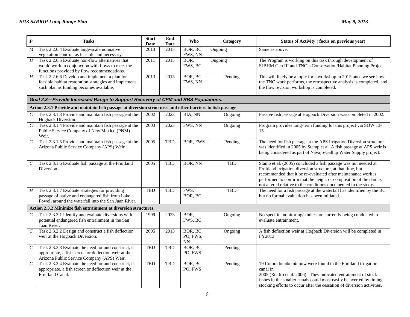| $\pmb{P}$        | <b>Tasks</b>                                                                                                                                               | <b>Start</b><br>Date | End<br><b>Date</b> | Who                               | Category   | Status of Activity (focus on previous year)                                                                                                                                                                                                                                                                                            |
|------------------|------------------------------------------------------------------------------------------------------------------------------------------------------------|----------------------|--------------------|-----------------------------------|------------|----------------------------------------------------------------------------------------------------------------------------------------------------------------------------------------------------------------------------------------------------------------------------------------------------------------------------------------|
| $\boldsymbol{M}$ | Task 2.2.6.4 Evaluate large-scale nonnative<br>vegetation control, as feasible and necessary.                                                              | 2013                 | 2015               | BOR, BC,<br>FWS, NN               | Ongoing    | Same as above.                                                                                                                                                                                                                                                                                                                         |
| H                | Task 2.2.6.5 Evaluate non-flow alternatives that<br>would work in conjunction with flows to meet the<br>functions provided by flow recommendations.        | 2011                 | 2015               | BOR.<br>FWS, BC                   | Ongoing    | The Program is working on this task through development of<br>SJBHM Gen III and TNC's Conservation/Habitat Planning Project                                                                                                                                                                                                            |
| $\cal H$         | Task 2.2.6.6 Develop and implement a plan for<br>feasible habitat restoration strategies and implement<br>such plan as funding becomes available.          | 2013                 | 2015               | BOR, BC,<br>FWS, NN               | Pending    | This will likely be a topic for a workshop in 2015 once we see how<br>the TNC work performs, the retrospective analysis is completed, and<br>the flow revision workshop is completed.                                                                                                                                                  |
|                  | Goal 2.3-Provide Increased Range to Support Recovery of CPM and RBS Populations.                                                                           |                      |                    |                                   |            |                                                                                                                                                                                                                                                                                                                                        |
|                  | Action 2.3.1 Provide and maintain fish passage at diversion structures and other barriers to fish passage                                                  |                      |                    |                                   |            |                                                                                                                                                                                                                                                                                                                                        |
| $\boldsymbol{C}$ | Task 2.3.1.3 Provide and maintain fish passage at the<br>Hogback Diversion.                                                                                | 2002                 | 2023               | BIA, NN                           | Ongoing    | Passive fish passage at Hogback Diversion was completed in 2002.                                                                                                                                                                                                                                                                       |
| $\overline{C}$   | Task 2.3.1.4 Provide and maintain fish passage at the<br>Public Service Company of New Mexico (PNM)<br>Weir.                                               | 2003                 | 2023               | FWS, NN                           | Ongoing    | Program provides long-term funding for this project via SOW 13-<br>15.                                                                                                                                                                                                                                                                 |
| $\cal C$         | Task 2.3.1.5 Provide and maintain fish passage at the<br>Arizona Public Service Company (APS) Weir.                                                        | 2005                 | <b>TBD</b>         | <b>BOR, FWS</b>                   | Pending    | The need for fish passage at the APS Irrigation Diversion structure<br>was identified in 2005 by Stamp et al. A fish passage at APS weir is<br>being considered as part of Navajo-Gallup Water Supply project.                                                                                                                         |
| $\,$ $\,$ $\,$   | Task 2.3.1.6 Evaluate fish passage at the Fruitland<br>Diversion.                                                                                          | 2005                 | <b>TBD</b>         | BOR, NN                           | <b>TBD</b> | Stamp et al. (2005) concluded a fish passage was not needed at<br>Fruitland irrigation diversion structure, at that time, but<br>recommended that it be re-evaluated after maintenance work is<br>performed to confirm that the height or composition of the dam is<br>not altered relative to the conditions documented in the study. |
| H                | Task 2.3.1.7 Evaluate strategies for providing<br>passage of native and endangered fish from Lake<br>Powell around the waterfall into the San Juan River.  | <b>TBD</b>           | <b>TBD</b>         | FWS,<br>BOR, BC                   | <b>TBD</b> | The need for a fish passage at the waterfall has identified by the BC<br>but no formal evaluation has been initiated.                                                                                                                                                                                                                  |
|                  | Action 2.3.2 Minimize fish entrainment at diversion structures.                                                                                            |                      |                    |                                   |            |                                                                                                                                                                                                                                                                                                                                        |
|                  | Task 2.3.2.1 Identify and evaluate diversions with<br>potential endangered fish entrainment in the San<br>Juan River.                                      | 1999                 | 2023               | BOR,<br>FWS, BC                   | Ongoing    | No specific monitoring/studies are currently being conducted to<br>evaluate entrainment.                                                                                                                                                                                                                                               |
| $\overline{C}$   | Task 2.3.2.2 Design and construct a fish deflection<br>weir at the Hogback Diversion.                                                                      | 2005                 | 2013               | BOR, BC,<br>PO, FWS,<br><b>NN</b> | Ongoing    | A fish deflection weir at Hogback Diversion will be completed in<br>FY2013.                                                                                                                                                                                                                                                            |
| $\overline{C}$   | Task 2.3.3.3 Evaluate the need for and construct, if<br>appropriate, a fish screen or deflection weir at the<br>Arizona Public Service Company (APS) Weir. | <b>TBD</b>           | <b>TBD</b>         | BOR, BC,<br>PO, FWS               | Pending    |                                                                                                                                                                                                                                                                                                                                        |
| $\cal C$         | Task 2.3.2.4 Evaluate the need for and construct, if<br>appropriate, a fish screen or deflection weir at the<br>Fruitland Canal.                           | <b>TBD</b>           | <b>TBD</b>         | BOR, BC,<br>PO, FWS               | Pending    | 19 Colorado pikeminnow were found in the Fruitland irrigation<br>canal in<br>2005 (Renfro et al. 2006). They indicated entrainment of stock<br>fishes in the smaller canals could most easily be averted by timing<br>stocking efforts to occur after the cessation of diversion activities.                                           |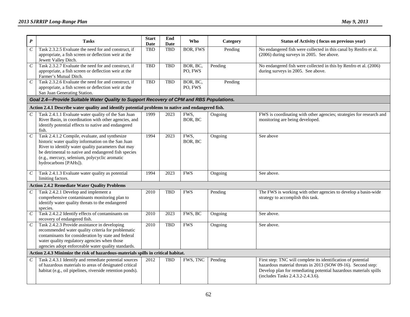| $\boldsymbol{P}$            | <b>Tasks</b>                                                                                                                                                                                                                                                                                  | <b>Start</b><br>Date | End<br><b>Date</b> | <b>Who</b>          | Category | Status of Activity (focus on previous year)                                                                                                                                                                                             |
|-----------------------------|-----------------------------------------------------------------------------------------------------------------------------------------------------------------------------------------------------------------------------------------------------------------------------------------------|----------------------|--------------------|---------------------|----------|-----------------------------------------------------------------------------------------------------------------------------------------------------------------------------------------------------------------------------------------|
| $\mathcal{C}_{\mathcal{C}}$ | Task 2.3.2.5 Evaluate the need for and construct, if<br>appropriate, a fish screen or deflection weir at the<br>Jewett Valley Ditch.                                                                                                                                                          | <b>TBD</b>           | <b>TBD</b>         | <b>BOR, FWS</b>     | Pending  | No endangered fish were collected in this canal by Renfro et al.<br>(2006) during surveys in 2005. See above.                                                                                                                           |
| $\boldsymbol{C}$            | Task 2.3.2.7 Evaluate the need for and construct, if<br>appropriate, a fish screen or deflection weir at the<br>Farmer's Mutual Ditch.                                                                                                                                                        | <b>TBD</b>           | <b>TBD</b>         | BOR, BC,<br>PO, FWS | Pending  | No endangered fish were collected in this by Renfro et al. (2006)<br>during surveys in 2005. See above.                                                                                                                                 |
| $\,C$                       | Task 2.3.2.6 Evaluate the need for and construct, if<br>appropriate, a fish screen or deflection weir at the<br>San Juan Generating Station.                                                                                                                                                  | <b>TBD</b>           | <b>TBD</b>         | BOR, BC,<br>PO, FWS | Pending  |                                                                                                                                                                                                                                         |
|                             | Goal 2.4-Provide Suitable Water Quality to Support Recovery of CPM and RBS Populations.                                                                                                                                                                                                       |                      |                    |                     |          |                                                                                                                                                                                                                                         |
|                             | Action 2.4.1 Describe water quality and identify potential problems to native and endangered fish.                                                                                                                                                                                            |                      |                    |                     |          |                                                                                                                                                                                                                                         |
| $\,$ $\,$                   | Task 2.4.1.1 Evaluate water quality of the San Juan<br>River Basin, in coordination with other agencies, and<br>identify potential effects to native and endangered<br>fish.                                                                                                                  | 1999                 | 2023               | FWS,<br>BOR, BC     | Ongoing  | FWS is coordinating with other agencies; strategies for research and<br>monitoring are being developed.                                                                                                                                 |
| $\,C$                       | Task 2.4.1.2 Compile, evaluate, and synthesize<br>historic water quality information on the San Juan<br>River to identify water quality parameters that may<br>be detrimental to native and endangered fish species<br>(e.g., mercury, selenium, polycyclic aromatic<br>hydrocarbons [PAHs]). | 1994                 | 2023               | FWS,<br>BOR, BC     | Ongoing  | See above                                                                                                                                                                                                                               |
| $\cal C$                    | Task 2.4.1.3 Evaluate water quality as potential<br>limiting factors.                                                                                                                                                                                                                         | 1994                 | 2023               | <b>FWS</b>          | Ongoing  | See above.                                                                                                                                                                                                                              |
|                             | <b>Action 2.4.2 Remediate Water Quality Problems</b>                                                                                                                                                                                                                                          |                      |                    |                     |          |                                                                                                                                                                                                                                         |
| $\,$                        | Task 2.4.2.1 Develop and implement a<br>comprehensive contaminants monitoring plan to<br>identify water quality threats to the endangered<br>species.                                                                                                                                         | 2010                 | <b>TBD</b>         | <b>FWS</b>          | Pending  | The FWS is working with other agencies to develop a basin-wide<br>strategy to accomplish this task.                                                                                                                                     |
| $\cal C$                    | Task 2.4.2.2 Identify effects of contaminants on<br>recovery of endangered fish.                                                                                                                                                                                                              | 2010                 | 2023               | FWS, BC             | Ongoing  | See above.                                                                                                                                                                                                                              |
| $\overline{C}$              | Task 2.4.2.3 Provide assistance in developing<br>recommended water quality criteria for problematic<br>contaminants for consideration by state and federal<br>water quality regulatory agencies when those<br>agencies adopt enforceable water quality standards.                             | 2010                 | TBD                | <b>FWS</b>          | Ongoing  | See above.                                                                                                                                                                                                                              |
|                             | Action 2.4.3 Minimize the risk of hazardous-materials spills in critical habitat.                                                                                                                                                                                                             |                      |                    |                     |          |                                                                                                                                                                                                                                         |
| C                           | Task 2.4.3.1 Identify and remediate potential sources<br>of hazardous materials to areas of designated critical<br>habitat (e.g., oil pipelines, riverside retention ponds).                                                                                                                  | 2012                 | TBD                | FWS, TNC            | Pending  | First step: TNC will complete its identification of potential<br>hazardous material threats in 2013 (SOW 09-16). Second step:<br>Develop plan for remediating potential hazardous materials spills<br>(includes Tasks 2.4.3.2-2.4.3.6). |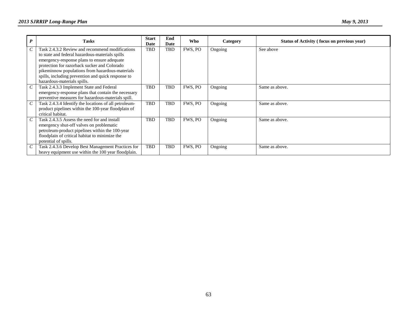| $\boldsymbol{P}$ | <b>Tasks</b>                                                                                                                                                                                                                                                                                                                              | <b>Start</b><br>Date | End<br>Date | Who     | Category | Status of Activity (focus on previous year) |
|------------------|-------------------------------------------------------------------------------------------------------------------------------------------------------------------------------------------------------------------------------------------------------------------------------------------------------------------------------------------|----------------------|-------------|---------|----------|---------------------------------------------|
|                  | Task 2.4.3.2 Review and recommend modifications<br>to state and federal hazardous-materials spills<br>emergency-response plans to ensure adequate<br>protection for razorback sucker and Colorado<br>pikeminnow populations from hazardous-materials<br>spills, including prevention and quick response to<br>hazardous-materials spills. | TBD                  | TBD         | FWS, PO | Ongoing  | See above                                   |
|                  | Task 2.4.3.3 Implement State and Federal<br>emergency-response plans that contain the necessary<br>preventive measures for hazardous-materials spill.                                                                                                                                                                                     | TBD                  | TBD         | FWS, PO | Ongoing  | Same as above.                              |
|                  | Task 2.4.3.4 Identify the locations of all petroleum-<br>product pipelines within the 100-year floodplain of<br>critical habitat.                                                                                                                                                                                                         | TBD                  | <b>TBD</b>  | FWS, PO | Ongoing  | Same as above.                              |
|                  | Task 2.4.3.5 Assess the need for and install<br>emergency shut-off valves on problematic<br>petroleum-product pipelines within the 100-year<br>floodplain of critical habitat to minimize the<br>potential of spills.                                                                                                                     | TBD                  | <b>TBD</b>  | FWS. PO | Ongoing  | Same as above.                              |
|                  | Task 2.4.3.6 Develop Best Management Practices for<br>heavy equipment use within the 100 year floodplain.                                                                                                                                                                                                                                 | TBD                  | TBD         | FWS, PO | Ongoing  | Same as above.                              |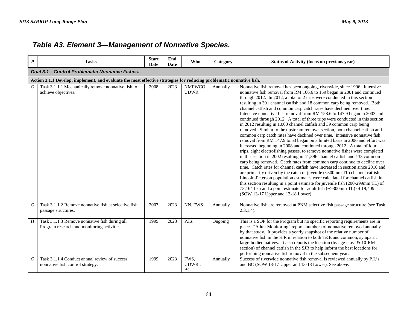## *Table A3. Element 3—Management of Nonnative Species.*

| $\boldsymbol{P}$            | <b>Tasks</b>                                                                                                         | <b>Start</b><br>Date | End<br><b>Date</b> | Who                    | Category | <b>Status of Activity (focus on previous year)</b>                                                                                                                                                                                                                                                                                                                                                                                                                                                                                                                                                                                                                                                                                                                                                                                                                                                                                                                                                                                                                                                                                                                                                                                                                                                                                                                                                                                                                                                                                                                                                                                                       |  |  |  |  |  |  |
|-----------------------------|----------------------------------------------------------------------------------------------------------------------|----------------------|--------------------|------------------------|----------|----------------------------------------------------------------------------------------------------------------------------------------------------------------------------------------------------------------------------------------------------------------------------------------------------------------------------------------------------------------------------------------------------------------------------------------------------------------------------------------------------------------------------------------------------------------------------------------------------------------------------------------------------------------------------------------------------------------------------------------------------------------------------------------------------------------------------------------------------------------------------------------------------------------------------------------------------------------------------------------------------------------------------------------------------------------------------------------------------------------------------------------------------------------------------------------------------------------------------------------------------------------------------------------------------------------------------------------------------------------------------------------------------------------------------------------------------------------------------------------------------------------------------------------------------------------------------------------------------------------------------------------------------------|--|--|--|--|--|--|
|                             | <b>Goal 3.1-Control Problematic Nonnative Fishes.</b>                                                                |                      |                    |                        |          |                                                                                                                                                                                                                                                                                                                                                                                                                                                                                                                                                                                                                                                                                                                                                                                                                                                                                                                                                                                                                                                                                                                                                                                                                                                                                                                                                                                                                                                                                                                                                                                                                                                          |  |  |  |  |  |  |
|                             | Action 3.1.1 Develop, implement, and evaluate the most effective strategies for reducing problematic nonnative fish. |                      |                    |                        |          |                                                                                                                                                                                                                                                                                                                                                                                                                                                                                                                                                                                                                                                                                                                                                                                                                                                                                                                                                                                                                                                                                                                                                                                                                                                                                                                                                                                                                                                                                                                                                                                                                                                          |  |  |  |  |  |  |
| $\mathcal{C}_{\mathcal{C}}$ | Task 3.1.1.1 Mechanically remove nonnative fish to<br>achieve objectives.                                            | 2008                 | 2023               | NMFWCO,<br><b>UDWR</b> | Annually | Nonnative fish removal has been ongoing, riverwide, since 1996. Intensive<br>nonnative fish removal from RM 166.6 to 159 began in 2001 and continued<br>through 2012. In 2012, a total of 2 trips were conducted in this section<br>resulting in 301 channel catfish and 18 common carp being removed. Both<br>channel catfish and common carp catch rates have declined over time.<br>Intensive nonnative fish removal from RM 158.6 to 147.9 began in 2003 and<br>continued through 2012. A total of three trips were conducted in this section<br>in 2012 resulting in 1,000 channel catfish and 39 common carp being<br>removed. Similar to the upstream removal section, both channel catfish and<br>common carp catch rates have declined over time. Intensive nonnative fish<br>removal from RM 147.9 to 53 began on a limited basis in 2006 and effort was<br>increased beginning in 2008 and continued through 2012. A total of four<br>trips, eight electrofishing passes, to remove nonnative fishes were completed<br>in this section in 2002 resulting in 41,396 channel catfish and 133 common<br>carp being removed. Catch rates from common carp continue to decline over<br>time. Catch rates for channel catfish have increased in section since 2010 and<br>are primarily driven by the catch of juvenile (<300mm TL) channel catfish.<br>Lincoln-Peterson population estimates were calculated for channel catfish in<br>this section resulting in a point estimate for juvenile fish (200-299mm TL) of<br>73,164 fish and a point estimate for adult fish ( $\rightarrow$ 300mm TL) of 19,409<br>(SOW 13-17 Upper and 13-18 Lower). |  |  |  |  |  |  |
| $\cal C$                    | Task 3.1.1.2 Remove nonnative fish at selective fish<br>passage structures.                                          | 2003                 | 2023               | NN, FWS                | Annually | Nonnative fish are removed at PNM selective fish passage structure (see Task<br>$2.3.1.4$ ).                                                                                                                                                                                                                                                                                                                                                                                                                                                                                                                                                                                                                                                                                                                                                                                                                                                                                                                                                                                                                                                                                                                                                                                                                                                                                                                                                                                                                                                                                                                                                             |  |  |  |  |  |  |
| H                           | Task 3.1.1.3 Remove nonnative fish during all<br>Program research and monitoring activities.                         | 1999                 | 2023               | P.I.s                  | Ongoing  | This is a SOP for the Program but no specific reporting requirements are in<br>place. "Adult Monitoring" reports numbers of nonnative removed annually<br>by that study. It provides a yearly snapshot of the relative number of<br>nonnative fish in the SJR in relation to both T&E and common, sympatric<br>large-bodied natives. It also reports the location (by age-class & 10-RM<br>section) of channel catfish in the SJR to help inform the best locations for<br>performing nonnative fish removal in the subsequent year.                                                                                                                                                                                                                                                                                                                                                                                                                                                                                                                                                                                                                                                                                                                                                                                                                                                                                                                                                                                                                                                                                                                     |  |  |  |  |  |  |
| $\mathcal{C}_{0}^{0}$       | Task 3.1.1.4 Conduct annual review of success<br>nonnative fish control strategy.                                    | 1999                 | 2023               | FWS,<br>UDWR,<br>BC    | Annually | Success of riverwide nonnative fish removal is reviewed annually by P.I.'s<br>and BC (SOW 13-17 Upper and 13-18 Lower). See above.                                                                                                                                                                                                                                                                                                                                                                                                                                                                                                                                                                                                                                                                                                                                                                                                                                                                                                                                                                                                                                                                                                                                                                                                                                                                                                                                                                                                                                                                                                                       |  |  |  |  |  |  |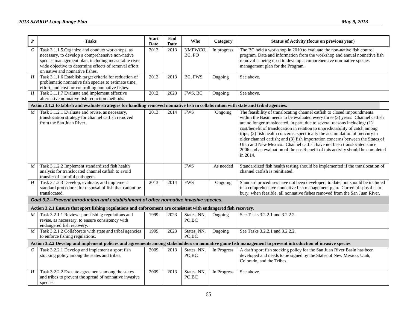| $\pmb{P}$        | <b>Tasks</b>                                                                                                                                                                                                                                           | <b>Start</b><br><b>Date</b> | End<br><b>Date</b> | Who                   | Category    | <b>Status of Activity (focus on previous year)</b>                                                                                                                                                                                                                                                                                                                                                                                                                                                                                                                                                                                                               |  |  |  |  |
|------------------|--------------------------------------------------------------------------------------------------------------------------------------------------------------------------------------------------------------------------------------------------------|-----------------------------|--------------------|-----------------------|-------------|------------------------------------------------------------------------------------------------------------------------------------------------------------------------------------------------------------------------------------------------------------------------------------------------------------------------------------------------------------------------------------------------------------------------------------------------------------------------------------------------------------------------------------------------------------------------------------------------------------------------------------------------------------------|--|--|--|--|
| $\,c\,$          | Task 3.1.1.5 Organize and conduct workshops, as<br>necessary, to develop a comprehensive non-native<br>species management plan, including measurable river<br>wide objective to determine effects of removal effort<br>on native and nonnative fishes. | 2012                        | 2013               | NMFWCO,<br>BC, PO     | In progress | The BC held a workshop in 2010 to evaluate the non-native fish control<br>program. Data and information from the workshop and annual nonnative fish<br>removal is being used to develop a comprehensive non-native species<br>management plan for the Program.                                                                                                                                                                                                                                                                                                                                                                                                   |  |  |  |  |
| H                | Task 3.1.1.6 Establish target criteria for reduction of<br>problematic nonnative fish species to estimate time,<br>effort, and cost for controlling nonnative fishes.                                                                                  | 2012                        | 2013               | BC, FWS               | Ongoing     | See above.                                                                                                                                                                                                                                                                                                                                                                                                                                                                                                                                                                                                                                                       |  |  |  |  |
| $H_{\rm}$        | Task 3.1.1.7 Evaluate and implement effective<br>alternative nonnative fish reduction methods.                                                                                                                                                         | 2012                        | 2023               | FWS, BC               | Ongoing     | See above.                                                                                                                                                                                                                                                                                                                                                                                                                                                                                                                                                                                                                                                       |  |  |  |  |
|                  | Action 3.1.2 Establish and evaluate strategies for handling removed nonnative fish in collaboration with state and tribal agencies.                                                                                                                    |                             |                    |                       |             |                                                                                                                                                                                                                                                                                                                                                                                                                                                                                                                                                                                                                                                                  |  |  |  |  |
| M                | Task 3.1.2.1 Evaluate and revise, as necessary,<br>translocation strategy for channel catfish removed<br>from the San Juan River.                                                                                                                      | 2013                        | 2014               | <b>FWS</b>            | Ongoing     | The feasibility of translocating channel catfish to closed impoundments<br>within the Basin needs to be evaluated every three (3) years. Channel catfish<br>are no longer translocated, in part, due to several reasons including: (1)<br>cost/benefit of translocation in relation to unpredictability of catch among<br>trips; (2) fish health concerns, specifically the accumulation of mercury in<br>older channel catfish; and (3) fish importation concerns between the States of<br>Utah and New Mexico. Channel catfish have not been translocated since<br>2006 and an evaluation of the cost/benefit of this activity should be completed<br>in 2014. |  |  |  |  |
| M                | Task 3.1.2.2 Implement standardized fish health<br>analysis for translocated channel catfish to avoid<br>transfer of harmful pathogens.                                                                                                                |                             |                    | <b>FWS</b>            | As needed   | Standardized fish health testing should be implemented if the translocation of<br>channel catfish is reinitiated.                                                                                                                                                                                                                                                                                                                                                                                                                                                                                                                                                |  |  |  |  |
| H                | Task 3.1.2.3 Develop, evaluate, and implement<br>standard procedures for disposal of fish that cannot be<br>translocated.                                                                                                                              | 2013                        | 2014               | <b>FWS</b>            | Ongoing     | Standard procedures have not been developed, to date, but should be included<br>in a comprehensive nonnative fish management plan. Current disposal is to<br>bury, when feasible, all nonnative fishes removed from the San Juan River.                                                                                                                                                                                                                                                                                                                                                                                                                          |  |  |  |  |
|                  | Goal 3.2-Prevent introduction and establishment of other nonnative invasive species.                                                                                                                                                                   |                             |                    |                       |             |                                                                                                                                                                                                                                                                                                                                                                                                                                                                                                                                                                                                                                                                  |  |  |  |  |
|                  | Action 3.2.1 Ensure that sport fishing regulations and enforcement are consistent with endangered fish recovery.                                                                                                                                       |                             |                    |                       |             |                                                                                                                                                                                                                                                                                                                                                                                                                                                                                                                                                                                                                                                                  |  |  |  |  |
| M                | Task 3.2.1.1 Review sport fishing regulations and<br>revise, as necessary, to ensure consistency with<br>endangered fish recovery.                                                                                                                     | 1999                        | 2023               | States, NN,<br>PO,BC  | Ongoing     | See Tasks 3.2.2.1 and 3.2.2.2.                                                                                                                                                                                                                                                                                                                                                                                                                                                                                                                                                                                                                                   |  |  |  |  |
| $\boldsymbol{M}$ | Task 3.2.1.2 Collaborate with state and tribal agencies<br>to enforce fishing regulations.                                                                                                                                                             | 1999                        | 2023               | States, NN,<br>PO,BC  | Ongoing     | See Tasks 3.2.2.1 and 3.2.2.2.                                                                                                                                                                                                                                                                                                                                                                                                                                                                                                                                                                                                                                   |  |  |  |  |
|                  | Action 3.2.2 Develop and implement policies and agreements among stakeholders on nonnative game fish management to prevent introduction of invasive species                                                                                            |                             |                    |                       |             |                                                                                                                                                                                                                                                                                                                                                                                                                                                                                                                                                                                                                                                                  |  |  |  |  |
| $\,c\,$          | Task 3.2.2.1 Develop and implement a sport fish<br>stocking policy among the states and tribes.                                                                                                                                                        | 2009                        | 2013               | States, NN,<br>PO, BC | In Progress | A draft sport fish stocking policy for the San Juan River Basin has been<br>developed and needs to be signed by the States of New Mexico, Utah,<br>Colorado, and the Tribes.                                                                                                                                                                                                                                                                                                                                                                                                                                                                                     |  |  |  |  |
| H                | Task 3.2.2.2 Execute agreements among the states<br>and tribes to prevent the spread of nonnative invasive<br>species.                                                                                                                                 | 2009                        | 2013               | States, NN,<br>PO, BC | In Progress | See above.                                                                                                                                                                                                                                                                                                                                                                                                                                                                                                                                                                                                                                                       |  |  |  |  |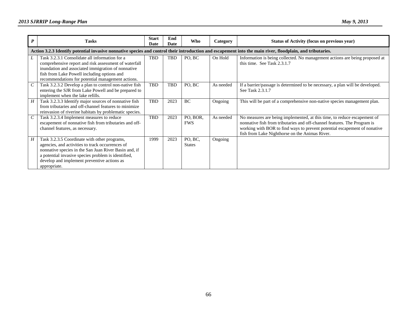| P             | <b>Tasks</b>                                                                                                                                                                                                                                                                    | <b>Start</b><br>Date | End<br>Date | Who                      | Category  | <b>Status of Activity (focus on previous year)</b>                                                                                                                                                                                                                                  |  |  |  |  |
|---------------|---------------------------------------------------------------------------------------------------------------------------------------------------------------------------------------------------------------------------------------------------------------------------------|----------------------|-------------|--------------------------|-----------|-------------------------------------------------------------------------------------------------------------------------------------------------------------------------------------------------------------------------------------------------------------------------------------|--|--|--|--|
|               | Action 3.2.3 Identify potential invasive nonnative species and control their introduction and escapement into the main river, floodplain, and tributaries.                                                                                                                      |                      |             |                          |           |                                                                                                                                                                                                                                                                                     |  |  |  |  |
|               | Task 3.2.3.1 Consolidate all information for a<br>comprehensive report and risk assessment of waterfall<br>inundation and associated immigration of nonnative<br>fish from Lake Powell including options and<br>recommendations for potential management actions.               | <b>TBD</b>           | TBD         | PO, BC                   | On Hold   | Information is being collected. No management actions are being proposed at<br>this time. See Task 2.3.1.7                                                                                                                                                                          |  |  |  |  |
| $\mathcal{C}$ | Task 3.2.3.2 Develop a plan to control non-native fish<br>entering the SJR from Lake Powell and be prepared to<br>implement when the lake refills.                                                                                                                              | <b>TBD</b>           | TBD         | PO, BC                   | As needed | If a barrier/passage is determined to be necessary, a plan will be developed.<br>See Task 2.3.1.7                                                                                                                                                                                   |  |  |  |  |
| H             | Task 3.2.3.3 Identify major sources of nonnative fish<br>from tributaries and off-channel features to minimize<br>reinvasion of riverine habitats by problematic species.                                                                                                       | TBD                  | 2023        | BC                       | Ongoing   | This will be part of a comprehensive non-native species management plan.                                                                                                                                                                                                            |  |  |  |  |
| $\mathcal{C}$ | Task 3.2.3.4 Implement measures to reduce<br>escapement of nonnative fish from tributaries and off-<br>channel features, as necessary.                                                                                                                                          | <b>TBD</b>           | 2023        | PO, BOR,<br><b>FWS</b>   | As needed | No measures are being implemented, at this time, to reduce escapement of<br>nonnative fish from tributaries and off-channel features. The Program is<br>working with BOR to find ways to prevent potential escapement of nonative<br>fish from Lake Nighthorse on the Animas River. |  |  |  |  |
| H             | Task 3.2.3.5 Coordinate with other programs,<br>agencies, and activities to track occurrences of<br>nonnative species in the San Juan River Basin and, if<br>a potential invasive species problem is identified,<br>develop and implement preventive actions as<br>appropriate. | 1999                 | 2023        | PO, BC,<br><b>States</b> | Ongoing   |                                                                                                                                                                                                                                                                                     |  |  |  |  |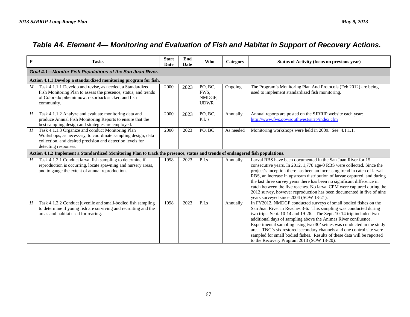### *Table A4. Element 4— Monitoring and Evaluation of Fish and Habitat in Support of Recovery Actions.*

| $\boldsymbol{P}$ | <b>Tasks</b>                                                                                                                                                                                            | <b>Start</b><br>Date | End<br>Date | <b>Who</b>                               | Category  | Status of Activity (focus on previous year)                                                                                                                                                                                                                                                                                                                                                                                                                                                                                                                            |  |  |  |
|------------------|---------------------------------------------------------------------------------------------------------------------------------------------------------------------------------------------------------|----------------------|-------------|------------------------------------------|-----------|------------------------------------------------------------------------------------------------------------------------------------------------------------------------------------------------------------------------------------------------------------------------------------------------------------------------------------------------------------------------------------------------------------------------------------------------------------------------------------------------------------------------------------------------------------------------|--|--|--|
|                  | Goal 4.1-Monitor Fish Populations of the San Juan River.                                                                                                                                                |                      |             |                                          |           |                                                                                                                                                                                                                                                                                                                                                                                                                                                                                                                                                                        |  |  |  |
|                  | Action 4.1.1 Develop a standardized monitoring program for fish.                                                                                                                                        |                      |             |                                          |           |                                                                                                                                                                                                                                                                                                                                                                                                                                                                                                                                                                        |  |  |  |
| $\boldsymbol{M}$ | Task 4.1.1.1 Develop and revise, as needed, a Standardized<br>Fish Monitoring Plan to assess the presence, status, and trends<br>of Colorado pikeminnow, razorback sucker, and fish<br>community.       | 2000                 | 2023        | PO, BC,<br>FWS.<br>NMDGF,<br><b>UDWR</b> | Ongoing   | The Program's Monitoring Plan And Protocols (Feb 2012) are being<br>used to implement standardized fish monitoring.                                                                                                                                                                                                                                                                                                                                                                                                                                                    |  |  |  |
| H                | Task 4.1.1.2 Analyze and evaluate monitoring data and<br>produce Annual Fish Monitoring Reports to ensure that the<br>best sampling design and strategies are employed.                                 | 2000                 | 2023        | PO, BC,<br>P.I.'s                        | Annually  | Annual reports are posted on the SJRRIP website each year:<br>http://www.fws.gov/southwest/sjrip/index.cfm                                                                                                                                                                                                                                                                                                                                                                                                                                                             |  |  |  |
| H                | Task 4.1.1.3 Organize and conduct Monitoring Plan<br>Workshops, as necessary, to coordinate sampling design, data<br>collection, and desired precision and detection levels for<br>detecting responses. | 2000                 | 2023        | PO, BC                                   | As needed | Monitoring workshops were held in 2009. See 4.1.1.1.                                                                                                                                                                                                                                                                                                                                                                                                                                                                                                                   |  |  |  |
|                  | Action 4.1.2 Implement a Standardized Monitoring Plan to track the presence, status and trends of endangered fish populations.                                                                          |                      |             |                                          |           |                                                                                                                                                                                                                                                                                                                                                                                                                                                                                                                                                                        |  |  |  |
| $H_{\parallel}$  | Task 4.1.2.1 Conduct larval fish sampling to determine if<br>reproduction is occurring, locate spawning and nursery areas,<br>and to gauge the extent of annual reproduction.                           | 1998                 | 2023        | P.I.s                                    | Annually  | Larval RBS have been documented in the San Juan River for 15<br>consecutive years. In 2012, 1,778 age-0 RBS were collected. Since the<br>project's inception there has been an increasing trend in catch of larval<br>RBS, an increase in upstream distribution of larvae captured, and during<br>the last three survey years there has been no significant difference in<br>catch between the five reaches. No larval CPM were captured during the<br>2012 survey, however reproduction has been documented in five of nine<br>years surveyed since 2004 (SOW 13-21). |  |  |  |
| H                | Task 4.1.2.2 Conduct juvenile and small-bodied fish sampling<br>to determine if young fish are surviving and recruiting and the<br>areas and habitat used for rearing.                                  | 1998                 | 2023        | P.I.s                                    | Annually  | In FY2012, NMDGF conducted surveys of small bodied fishes on the<br>San Juan River in Reaches 3-6. This sampling was conducted during<br>two trips: Sept. 10-14 and 19-26. The Sept. 10-14 trip included two<br>additional days of sampling above the Animas River confluence.<br>Experimental sampling using two 30' seines was conducted in the study<br>area. TNC's six restored secondary channels and one control site were<br>sampled for small bodied fishes. Results of these data will be reported<br>to the Recovery Program 2013 (SOW 13-20).               |  |  |  |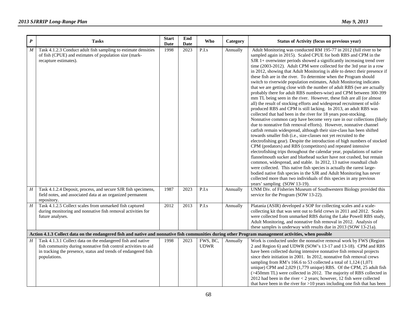| $\boldsymbol{P}$                                                                                                                                     | <b>Tasks</b>                                                                                                                                                                                                    | <b>Start</b><br>Date | End<br>Date | Who                     | <b>Category</b> | Status of Activity (focus on previous year)                                                                                                                                                                                                                                                                                                                                                                                                                                                                                                                                                                                                                                                                                                                                                                                                                                                                                                                                                                                                                                                                                                                                                                                                                                                                                                                                                                                                                                                                                                                                                                                                                                                                                                                                                                                                                                                  |  |  |  |
|------------------------------------------------------------------------------------------------------------------------------------------------------|-----------------------------------------------------------------------------------------------------------------------------------------------------------------------------------------------------------------|----------------------|-------------|-------------------------|-----------------|----------------------------------------------------------------------------------------------------------------------------------------------------------------------------------------------------------------------------------------------------------------------------------------------------------------------------------------------------------------------------------------------------------------------------------------------------------------------------------------------------------------------------------------------------------------------------------------------------------------------------------------------------------------------------------------------------------------------------------------------------------------------------------------------------------------------------------------------------------------------------------------------------------------------------------------------------------------------------------------------------------------------------------------------------------------------------------------------------------------------------------------------------------------------------------------------------------------------------------------------------------------------------------------------------------------------------------------------------------------------------------------------------------------------------------------------------------------------------------------------------------------------------------------------------------------------------------------------------------------------------------------------------------------------------------------------------------------------------------------------------------------------------------------------------------------------------------------------------------------------------------------------|--|--|--|
| $\boldsymbol{M}$                                                                                                                                     | Task 4.1.2.3 Conduct adult fish sampling to estimate densities<br>of fish (CPUE) and estimates of population size (mark-<br>recapture estimates).                                                               | 1998                 | 2023        | P.I.s                   | Annually        | Adult Monitoring was conducted RM 195-77 in 2012 (full river to be<br>sampled again in 2015). Scaled CPUE for both RBS and CPM in the<br>SJR 1+ overwinter periods showed a significantly increasing trend over<br>time (2003-2012). Adult CPM were collected for the 3rd year in a row<br>in 2012, showing that Adult Monitoring is able to detect their presence if<br>these fish are in the river. To determine when the Program should<br>switch to riverwide population estimates, Adult Monitoring indicates<br>that we are getting close with the number of adult RBS (we are actually<br>probably there for adult RBS numbers-wise) and CPM between 300-399<br>mm TL being seen in the river. However, these fish are all (or almost<br>all) the result of stocking efforts and widespread recruitment of wild-<br>produced RBS and CPM is still lacking. In 2013, an adult RBS was<br>collected that had been in the river for 18 years post-stocking.<br>Nonnative common carp have become very rare in our collections (likely<br>due to nonnative fish removal efforts). However, nonnative channel<br>catfish remain widespread, although their size-class has been shifted<br>towards smaller fish (i.e., size-classes not yet recruited to the<br>electrofishing gear). Despite the introduction of high numbers of stocked<br>CPM (predators) and RBS (competitors) and repeated intensive<br>electrofishing trips throughout the calendar year, populations of native<br>flannelmouth sucker and bluehead sucker have not crashed, but remain<br>common, widespread, and stable. In 2012, 13 native roundtail chub<br>were collected. This native fish species is actually the rarest large-<br>bodied native fish species in the SJR and Adult Monitoring has never<br>collected more than two individuals of this species in any previous<br>years' sampling (SOW 13-19). |  |  |  |
| H                                                                                                                                                    | Task 4.1.2.4 Deposit, process, and secure SJR fish specimens,<br>field notes, and associated data at an organized permanent<br>repository.                                                                      | 1987                 | 2023        | P.I.s                   | Annually        | UNM Div. of Fisheries Museum of Southwestern Biology provided this<br>service for the Program (SOW 13-22).                                                                                                                                                                                                                                                                                                                                                                                                                                                                                                                                                                                                                                                                                                                                                                                                                                                                                                                                                                                                                                                                                                                                                                                                                                                                                                                                                                                                                                                                                                                                                                                                                                                                                                                                                                                   |  |  |  |
| $H_{\rm}$                                                                                                                                            | Task 4.1.2.5 Collect scales from unmarked fish captured<br>during monitoring and nonnative fish removal activities for<br>future analyses.                                                                      | 2012                 | 2013        | P.I.s                   | Annually        | Platania (ASIR) developed a SOP for collecting scales and a scale-<br>collecting kit that was sent out to field crews in 2011 and 2012. Scales<br>were collected from unmarked RBS during the Lake Powell RBS study,<br>Adult Monitoring, and nonnative fish removal in 2012. Analysis of<br>these samples is underway with results due in 2013 (SOW 13-21a).                                                                                                                                                                                                                                                                                                                                                                                                                                                                                                                                                                                                                                                                                                                                                                                                                                                                                                                                                                                                                                                                                                                                                                                                                                                                                                                                                                                                                                                                                                                                |  |  |  |
| Action 4.1.3 Collect data on the endangered fish and native and nonnative fish communities during other Program management activities, when possible |                                                                                                                                                                                                                 |                      |             |                         |                 |                                                                                                                                                                                                                                                                                                                                                                                                                                                                                                                                                                                                                                                                                                                                                                                                                                                                                                                                                                                                                                                                                                                                                                                                                                                                                                                                                                                                                                                                                                                                                                                                                                                                                                                                                                                                                                                                                              |  |  |  |
| Η                                                                                                                                                    | Task 4.1.3.1 Collect data on the endangered fish and native<br>fish community during nonnative fish control activities to aid<br>in tracking the presence, status and trends of endangered fish<br>populations. | 1998                 | 2023        | FWS, BC,<br><b>UDWR</b> | Annually        | Work is conducted under the nonnative removal work by FWS (Region<br>2 and Region 6) and UDWR (SOW's 13-17 and 13-18). CPM and RBS<br>have been collected during intensive nonnative fish removal projects<br>since their initiation in 2001. In 2012, nonnative fish removal crews<br>sampling from RM's 166.6 to 53 collected a total of 1,124 (1,071<br>unique) CPM and 2,029 (1,779 unique) RBS. Of the CPM, 25 adult fish<br>(>450mm TL) were collected in 2012. The majority of RBS collected in<br>2012 had been in the river $<$ 2 years; however, 12 fish were collected<br>that have been in the river for $>10$ years including one fish that has been                                                                                                                                                                                                                                                                                                                                                                                                                                                                                                                                                                                                                                                                                                                                                                                                                                                                                                                                                                                                                                                                                                                                                                                                                            |  |  |  |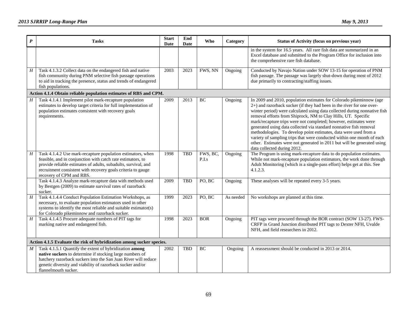| $\boldsymbol{P}$ | <b>Tasks</b>                                                                                                                                                                                                                                                                             | <b>Start</b><br>Date | End<br>Date | <b>Who</b>        | Category  | Status of Activity (focus on previous year)                                                                                                                                                                                                                                                                                                                                                                                                                                                                                                                                                                                                                                                  |
|------------------|------------------------------------------------------------------------------------------------------------------------------------------------------------------------------------------------------------------------------------------------------------------------------------------|----------------------|-------------|-------------------|-----------|----------------------------------------------------------------------------------------------------------------------------------------------------------------------------------------------------------------------------------------------------------------------------------------------------------------------------------------------------------------------------------------------------------------------------------------------------------------------------------------------------------------------------------------------------------------------------------------------------------------------------------------------------------------------------------------------|
|                  |                                                                                                                                                                                                                                                                                          |                      |             |                   |           | in the system for 16.5 years. All rare fish data are summarized in an<br>Excel database and submitted to the Program Office for inclusion into<br>the comprehensive rare fish database.                                                                                                                                                                                                                                                                                                                                                                                                                                                                                                      |
| H                | Task 4.1.3.2 Collect data on the endangered fish and native<br>fish community during PNM selective fish passage operations<br>to aid in tracking the presence, status and trends of endangered<br>fish populations.                                                                      | 2003                 | 2023        | FWS, NN           | Ongoing   | Conducted by Navajo Nation under SOW 13-15 for operation of PNM<br>fish passage. The passage was largely shut-down during most of 2012<br>due primarily to contracting/staffing issues.                                                                                                                                                                                                                                                                                                                                                                                                                                                                                                      |
|                  | Action 4.1.4 Obtain reliable population estimates of RBS and CPM.                                                                                                                                                                                                                        |                      |             |                   |           |                                                                                                                                                                                                                                                                                                                                                                                                                                                                                                                                                                                                                                                                                              |
| H                | Task 4.1.4.1 Implement pilot mark-recapture population<br>estimates to develop target criteria for full implementation of<br>population estimates consistent with recovery goals<br>requirements.                                                                                        | 2009                 | 2013        | BC                | Ongoing   | In 2009 and 2010, population estimates for Colorado pikeminnow (age<br>2+) and razorback sucker (if they had been in the river for one over-<br>winter period) were calculated using data collected during nonnative fish<br>removal efforts from Shiprock, NM to Clay Hills, UT. Specific<br>mark/recapture trips were not completed; however, estimates were<br>generated using data collected via standard nonnative fish removal<br>methodologies. To develop point estimates, data were used from a<br>variety of sampling trips that were conducted within one month of each<br>other. Estimates were not generated in 2011 but will be generated using<br>data collected during 2012. |
| H                | Task 4.1.4.2 Use mark-recapture population estimators, when<br>feasible, and in conjunction with catch rate estimators, to<br>provide reliable estimates of adults, subadults, survival, and<br>recruitment consistent with recovery goals criteria to gauge<br>recovery of CPM and RBS. | 1998                 | <b>TBD</b>  | FWS, BC,<br>P.I.s | Ongoing   | The Program is using mark-recapture data to do population estimates.<br>While not mark-recapture population estimators, the work done through<br>Adult Monitoring (which is a single-pass effort) helps get at this. See<br>4.1.2.3.                                                                                                                                                                                                                                                                                                                                                                                                                                                         |
|                  | Task 4.1.4.3 Analyze mark-recapture data with methods used<br>by Bestgen (2009) to estimate survival rates of razorback<br>sucker.                                                                                                                                                       | 2009                 | <b>TBD</b>  | PO, BC            | Ongoing   | These analyses will be repeated every 3-5 years.                                                                                                                                                                                                                                                                                                                                                                                                                                                                                                                                                                                                                                             |
| H                | Task 4.1.4.4 Conduct Population Estimation Workshops, as<br>necessary, to evaluate population estimators used in other<br>systems to identify the most reliable and suitable estimator(s)<br>for Colorado pikeminnow and razorback sucker.                                               | 1999                 | 2023        | PO, BC            | As needed | No workshops are planned at this time.                                                                                                                                                                                                                                                                                                                                                                                                                                                                                                                                                                                                                                                       |
| $\overline{H}$   | Task 4.1.4.5 Procure adequate numbers of PIT tags for<br>marking native and endangered fish.                                                                                                                                                                                             | 1998                 | 2023        | <b>BOR</b>        | Ongoing   | PIT tags were procured through the BOR contract (SOW 13-27). FWS-<br>CRFP in Grand Junction distributed PIT tags to Dexter NFH, Uvalde<br>NFH, and field researchers in 2012.                                                                                                                                                                                                                                                                                                                                                                                                                                                                                                                |
|                  | Action 4.1.5 Evaluate the risk of hybridization among sucker species.                                                                                                                                                                                                                    |                      |             |                   |           |                                                                                                                                                                                                                                                                                                                                                                                                                                                                                                                                                                                                                                                                                              |
| M                | Task 4.1.5.1 Quantify the extent of hybridization among<br>native suckers to determine if stocking large numbers of<br>hatchery razorback suckers into the San Juan River will reduce<br>genetic diversity and viability of razorback sucker and/or<br>flannelmouth sucker.              | 2002                 | <b>TBD</b>  | BC                | Ongoing   | A reassessment should be conducted in 2013 or 2014.                                                                                                                                                                                                                                                                                                                                                                                                                                                                                                                                                                                                                                          |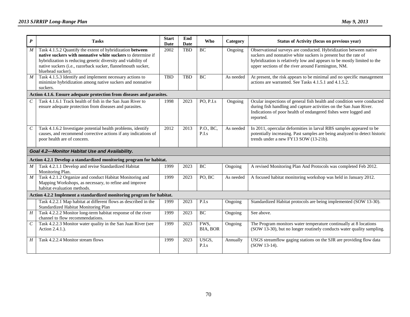| $\boldsymbol{P}$            | <b>Tasks</b>                                                                                                                                                                                                                                                                  | <b>Start</b><br>Date | End<br>Date | Who                | Category  | Status of Activity (focus on previous year)                                                                                                                                                                                                                          |
|-----------------------------|-------------------------------------------------------------------------------------------------------------------------------------------------------------------------------------------------------------------------------------------------------------------------------|----------------------|-------------|--------------------|-----------|----------------------------------------------------------------------------------------------------------------------------------------------------------------------------------------------------------------------------------------------------------------------|
| M                           | Task 4.1.5.2 Quantify the extent of hybridization between<br>native suckers with nonnative white suckers to determine if<br>hybridization is reducing genetic diversity and viability of<br>native suckers (i.e., razorback sucker, flannelmouth sucker,<br>bluehead sucker). | 2002                 | <b>TBD</b>  | <b>BC</b>          | Ongoing   | Observational surveys are conducted. Hybridization between native<br>suckers and nonnative white suckers is present but the rate of<br>hybridization is relatively low and appears to be mostly limited to the<br>upper sections of the river around Farmington, NM. |
| M                           | Task 4.1.5.3 Identify and implement necessary actions to<br>minimize hybridization among native suckers and nonnative<br>suckers.                                                                                                                                             | <b>TBD</b>           | <b>TBD</b>  | <b>BC</b>          | As needed | At present, the risk appears to be minimal and no specific management<br>actions are warranted. See Tasks 4.1.5.1 and 4.1.5.2.                                                                                                                                       |
|                             | Action 4.1.6. Ensure adequate protection from diseases and parasites.                                                                                                                                                                                                         |                      |             |                    |           |                                                                                                                                                                                                                                                                      |
| $\mathcal{C}_{\mathcal{C}}$ | Task 4.1.6.1 Track health of fish in the San Juan River to<br>ensure adequate protection from diseases and parasites.                                                                                                                                                         | 1998                 | 2023        | PO, P.I.s          | Ongoing   | Ocular inspections of general fish health and condition were conducted<br>during fish handling and capture activities on the San Juan River.<br>Indications of poor health of endangered fishes were logged and<br>reported.                                         |
| $\mathcal{C}_{\mathcal{C}}$ | Task 4.1.6.2 Investigate potential health problems, identify<br>causes, and recommend corrective actions if any indications of<br>poor health are of concern.                                                                                                                 | 2012                 | 2013        | P.O., BC,<br>P.I.s | As needed | In 2011, opercular deformities in larval RBS samples appeared to be<br>potentially increasing. Past samples are being analyzed to detect historic<br>trends under a new FY13 SOW (13-21b).                                                                           |
|                             | Goal 4.2-Monitor Habitat Use and Availability.                                                                                                                                                                                                                                |                      |             |                    |           |                                                                                                                                                                                                                                                                      |
|                             | Action 4.2.1 Develop a standardized monitoring program for habitat.                                                                                                                                                                                                           |                      |             |                    |           |                                                                                                                                                                                                                                                                      |
| M                           | Task 4.2.1.1 Develop and revise Standardized Habitat<br>Monitoring Plan.                                                                                                                                                                                                      | 1999                 | 2023        | <b>BC</b>          | Ongoing   | A revised Monitoring Plan And Protocols was completed Feb 2012.                                                                                                                                                                                                      |
| M                           | Task 4.2.1.2 Organize and conduct Habitat Monitoring and<br>Mapping Workshops, as necessary, to refine and improve<br>habitat evaluation methods.                                                                                                                             | 1999                 | 2023        | PO, BC             | As needed | A focused habitat monitoring workshop was held in January 2012.                                                                                                                                                                                                      |
|                             | Action 4.2.2 Implement a standardized monitoring program for habitat.                                                                                                                                                                                                         |                      |             |                    |           |                                                                                                                                                                                                                                                                      |
|                             | Task 4.2.2.1 Map habitat at different flows as described in the<br>Standardized Habitat Monitoring Plan                                                                                                                                                                       | 1999                 | 2023        | P.I.s              | Ongoing   | Standardized Habitat protocols are being implemented (SOW 13-30).                                                                                                                                                                                                    |
| H                           | Task 4.2.2.2 Monitor long-term habitat response of the river<br>channel to flow recommendations.                                                                                                                                                                              | 1999                 | 2023        | <b>BC</b>          | Ongoing   | See above.                                                                                                                                                                                                                                                           |
| $\mathcal{C}_{\mathcal{C}}$ | Task 4.2.2.3 Monitor water quality in the San Juan River (see<br>Action 2.4.1.).                                                                                                                                                                                              | 1999                 | 2023        | FWS.<br>BIA, BOR   | Ongoing   | The Program monitors water temperature continually at 8 locations<br>(SOW 13-30), but no longer routinely conducts water quality sampling.                                                                                                                           |
| H                           | Task 4.2.2.4 Monitor stream flows                                                                                                                                                                                                                                             | 1999                 | 2023        | USGS.<br>P.I.s     | Annually  | USGS streamflow gaging stations on the SJR are providing flow data<br>(SOW 13-14).                                                                                                                                                                                   |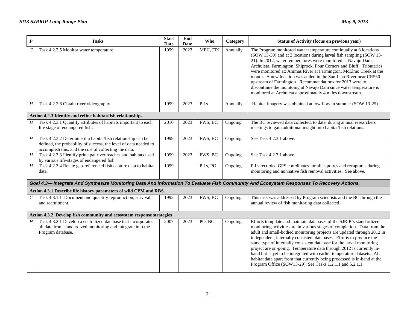| $\boldsymbol{P}$ | <b>Tasks</b>                                                                                                                                                                              | <b>Start</b><br>Date | End<br>Date | Who                | Category | <b>Status of Activity (focus on previous year)</b>                                                                                                                                                                                                                                                                                                                                                                                                                                                                                                                                                                                                                      |
|------------------|-------------------------------------------------------------------------------------------------------------------------------------------------------------------------------------------|----------------------|-------------|--------------------|----------|-------------------------------------------------------------------------------------------------------------------------------------------------------------------------------------------------------------------------------------------------------------------------------------------------------------------------------------------------------------------------------------------------------------------------------------------------------------------------------------------------------------------------------------------------------------------------------------------------------------------------------------------------------------------------|
| $\mathcal C$     | Task 4.2.2.5 Monitor water temperature                                                                                                                                                    | 1999                 | 2023        | MEC, ERI           | Annually | The Program monitored water temperature continually at 8 locations<br>(SOW 13-30) and at 3 locations during larval fish sampling (SOW 13-<br>21). In 2012, water temperatures were monitored at Navajo Dam,<br>Archuleta, Farmington, Shiprock, Four Corners and Bluff. Tributaries<br>were monitored at: Animas River at Farmington, McElmo Creek at the<br>mouth. A new location was added in the San Juan River near CR550<br>upstream of Farmington. Recommendations for 2013 were to<br>discontinue the monitoing at Navajo Dam since water temperature is<br>monitored at Archuleta approximately 4 miles downstream.                                             |
| $H_{\rm}$        | Task 4.2.2.6 Obtain river videography                                                                                                                                                     | 1999                 | 2023        | $\overline{P.I.s}$ | Annually | Habitat imagery was obtained at low flow in summer (SOW 13-25).                                                                                                                                                                                                                                                                                                                                                                                                                                                                                                                                                                                                         |
|                  | Action 4.2.3 Identify and refine habitat/fish relationships.                                                                                                                              |                      |             |                    |          |                                                                                                                                                                                                                                                                                                                                                                                                                                                                                                                                                                                                                                                                         |
| H                | Task 4.2.3.1 Quantify attributes of habitats important to each<br>life stage of endangered fish.                                                                                          | 2010                 | 2023        | FWS, BC            | Ongoing  | The BC reviewed data collected, to date, during annual researchers<br>meetings to gain additional insight into habitat/fish relations.                                                                                                                                                                                                                                                                                                                                                                                                                                                                                                                                  |
| $H_{\rm}$        | Task 4.2.3.2 Determine if a habitat/fish relationship can be<br>defined, the probability of success, the level of data needed to<br>accomplish this, and the cost of collecting the data. | 1999                 | 2023        | FWS, BC            | Ongoing  | See Task 4.2.3.1 above.                                                                                                                                                                                                                                                                                                                                                                                                                                                                                                                                                                                                                                                 |
| H                | Task 4.2.3.3 Identify principal river reaches and habitats used<br>by various life-stages of endangered fish.                                                                             | 1999                 | 2023        | FWS, BC            | Ongoing  | See Task 4.2.3.1 above.                                                                                                                                                                                                                                                                                                                                                                                                                                                                                                                                                                                                                                                 |
| $\boldsymbol{H}$ | Task 4.2.3.4 Relate geo-referenced fish capture data to habitat<br>data.                                                                                                                  | 1999                 |             | P.I.s, PO          | Ongoing  | P.I.s recorded GPS coordinates for all captures and recaptures during<br>monitoring and nonnative fish removal activities. See above.                                                                                                                                                                                                                                                                                                                                                                                                                                                                                                                                   |
|                  | Goal 4.3-Integrate And Synthesize Monitoring Data And Information To Evaluate Fish Community And Ecosystem Responses To Recovery Actions.                                                 |                      |             |                    |          |                                                                                                                                                                                                                                                                                                                                                                                                                                                                                                                                                                                                                                                                         |
|                  | Action 4.3.1 Describe life history parameters of wild CPM and RBS.                                                                                                                        |                      |             |                    |          |                                                                                                                                                                                                                                                                                                                                                                                                                                                                                                                                                                                                                                                                         |
| C                | Task 4.3.1.1 Document and quantify reproduction, survival,<br>and recruitment.                                                                                                            | 1992                 | 2023        | FWS, BC            | Ongoing  | This task was addressed by Program scientists and the BC through the<br>annual review of fish monitoring data collected.                                                                                                                                                                                                                                                                                                                                                                                                                                                                                                                                                |
|                  | Action 4.3.2 Develop fish community and ecosystem response strategies                                                                                                                     |                      |             |                    |          |                                                                                                                                                                                                                                                                                                                                                                                                                                                                                                                                                                                                                                                                         |
| $H_{\rm}$        | Task 4.3.2.1 Develop a centralized database that incorporates<br>all data from standardized monitoring and integrate into the<br>Program database.                                        | 2007                 | 2023        | PO, BC             | Ongoing  | Efforts to update and maintain databases of the SJRIP's standardized<br>monitoring activities are in various stages of completion. Data from the<br>adult and small-bodied monitoring projects are updated through 2012 in<br>independent, internally consistent databases. Efforts to produce the<br>same type of internally consistent database for the larval monitoring<br>project are on-going. Temperature data through 2012 is currently in-<br>hand but is yet to be integrated with earlier temperature datasets. All<br>habitat data apart from that currently being processed is in-hand at the<br>Program Office (SOW13-29). See Tasks 1.2.1.1 and 5.2.1.1. |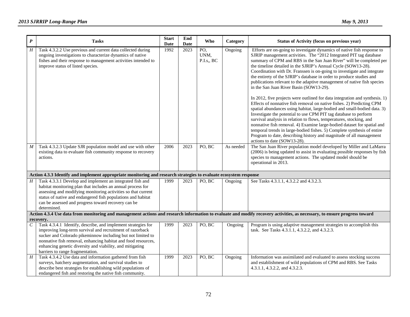| $\boldsymbol{P}$      | <b>Tasks</b>                                                                                                                                                                                                                                                                                                                    | <b>Start</b><br>Date | End<br>Date | Who                                   | Category  | <b>Status of Activity (focus on previous year)</b>                                                                                                                                                                                                                                                                                                                                                                                                                                                                                                                                                                                                                                                                                                                                                                                                                                                                                                                                                                                                                                                                                                                                                        |
|-----------------------|---------------------------------------------------------------------------------------------------------------------------------------------------------------------------------------------------------------------------------------------------------------------------------------------------------------------------------|----------------------|-------------|---------------------------------------|-----------|-----------------------------------------------------------------------------------------------------------------------------------------------------------------------------------------------------------------------------------------------------------------------------------------------------------------------------------------------------------------------------------------------------------------------------------------------------------------------------------------------------------------------------------------------------------------------------------------------------------------------------------------------------------------------------------------------------------------------------------------------------------------------------------------------------------------------------------------------------------------------------------------------------------------------------------------------------------------------------------------------------------------------------------------------------------------------------------------------------------------------------------------------------------------------------------------------------------|
| $\overline{H}$        | Task 4.3.2.2 Use previous and current data collected during<br>ongoing investigations to characterize dynamics of native<br>fishes and their response to management activities intended to<br>improve status of listed species.                                                                                                 | 1992                 | 2023        | $\overline{PO}$<br>UNM,<br>P.I.s., BC | Ongoing   | Efforts are on-going to investigate dynamics of native fish response to<br>SJRIP management activities. The "2012 Integrated PIT tag database<br>summary of CPM and RBS in the San Juan River" will be completed per<br>the timeline detailed in the SJRIP's Annual Cycle (SOW13-28).<br>Coordination with Dr. Franssen is on-going to investigate and integrate<br>the entirety of the SJRIP's database in order to produce studies and<br>publications relevant to the adaptive management of native fish species<br>in the San Juan River Basin (SOW13-29).<br>In 2012, five projects were outlined for data integration and synthesis. 1)<br>Effects of nonnative fish removal on native fishes. 2) Predicting CPM<br>spatial abundances using habitat, large-bodied and small-bodied data. 3)<br>Investigate the potential to use CPM PIT tag database to perform<br>survival analysis in relation to flows, temperatures, stocking, and<br>nonnative fish removal. 4) Examine large-bodied dataset for spatial and<br>temporal trends in large-bodied fishes. 5) Complete synthesis of entire<br>Program to date, describing history and magnitude of all management<br>actions to date (SOW13-28). |
| M                     | Task 4.3.2.3 Update SJR population model and use with other<br>existing data to evaluate fish community response to recovery<br>actions.                                                                                                                                                                                        | 2006                 | 2023        | PO, BC                                | As needed | The San Juan River population model developed by Miller and LaMarra<br>(2006) is being updated to assist in evaluating possible responses by fish<br>species to management actions. The updated model should be<br>operational in 2013.                                                                                                                                                                                                                                                                                                                                                                                                                                                                                                                                                                                                                                                                                                                                                                                                                                                                                                                                                                   |
|                       | Action 4.3.3 Identify and implement appropriate monitoring and research strategies to evaluate ecosystem response                                                                                                                                                                                                               |                      |             |                                       |           |                                                                                                                                                                                                                                                                                                                                                                                                                                                                                                                                                                                                                                                                                                                                                                                                                                                                                                                                                                                                                                                                                                                                                                                                           |
| Н                     | Task 4.3.3.1 Develop and implement an integrated fish and<br>habitat monitoring plan that includes an annual process for<br>assessing and modifying monitoring activities so that current<br>status of native and endangered fish populations and habitat<br>can be assessed and progress toward recovery can be<br>determined. | 1999                 | 2023        | PO, BC                                | Ongoing   | See Tasks 4.3.1.1, 4.3.2.2 and 4.3.2.3.                                                                                                                                                                                                                                                                                                                                                                                                                                                                                                                                                                                                                                                                                                                                                                                                                                                                                                                                                                                                                                                                                                                                                                   |
|                       |                                                                                                                                                                                                                                                                                                                                 |                      |             |                                       |           | Action 4.3.4 Use data from monitoring and management actions and research information to evaluate and modify recovery activities, as necessary, to ensure progress toward                                                                                                                                                                                                                                                                                                                                                                                                                                                                                                                                                                                                                                                                                                                                                                                                                                                                                                                                                                                                                                 |
| $\mathcal{C}_{0}^{0}$ | recovery.<br>Task 4.3.4.1 Identify, describe, and implement strategies for                                                                                                                                                                                                                                                      | 1999                 | 2023        | PO, BC                                | Ongoing   | Program is using adaptive management strategies to accomplish this                                                                                                                                                                                                                                                                                                                                                                                                                                                                                                                                                                                                                                                                                                                                                                                                                                                                                                                                                                                                                                                                                                                                        |
|                       | improving long-term survival and recruitment of razorback<br>sucker and Colorado pikeminnow including but not limited to<br>nonnative fish removal, enhancing habitat and food resources,<br>enhancing genetic diversity and viability, and mitigating<br>barriers to range fragmentation.                                      |                      |             |                                       |           | task. See Tasks 4.3.1.1, 4.3.2.2, and 4.3.2.3.                                                                                                                                                                                                                                                                                                                                                                                                                                                                                                                                                                                                                                                                                                                                                                                                                                                                                                                                                                                                                                                                                                                                                            |
| H                     | Task 4.3.4.2 Use data and information gathered from fish<br>surveys, hatchery augmentation, and survival studies to<br>describe best strategies for establishing wild populations of<br>endangered fish and restoring the native fish community.                                                                                | 1999                 | 2023        | PO, BC                                | Ongoing   | Information was assimilated and evaluated to assess stocking success<br>and establishment of wild populations of CPM and RBS. See Tasks<br>4.3.1.1, 4.3.2.2, and 4.3.2.3.                                                                                                                                                                                                                                                                                                                                                                                                                                                                                                                                                                                                                                                                                                                                                                                                                                                                                                                                                                                                                                 |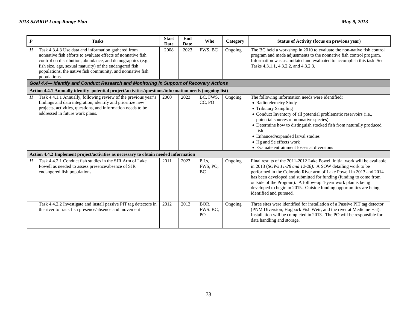## *2013 SJRRIP Long-Range Plan May 9, 2013*

| $\boldsymbol{P}$ | <b>Tasks</b>                                                                                                                                                                                                                                                                                                                | <b>Start</b><br>Date | End<br>Date | <b>Who</b>               | Category | Status of Activity (focus on previous year)                                                                                                                                                                                                                                                                                                                                                                                                              |
|------------------|-----------------------------------------------------------------------------------------------------------------------------------------------------------------------------------------------------------------------------------------------------------------------------------------------------------------------------|----------------------|-------------|--------------------------|----------|----------------------------------------------------------------------------------------------------------------------------------------------------------------------------------------------------------------------------------------------------------------------------------------------------------------------------------------------------------------------------------------------------------------------------------------------------------|
| Η                | Task 4.3.4.3 Use data and information gathered from<br>nonnative fish efforts to evaluate effects of nonnative fish<br>control on distribution, abundance, and demographics (e.g.,<br>fish size, age, sexual maturity) of the endangered fish<br>populations, the native fish community, and nonnative fish<br>populations. | 2008                 | 2023        | FWS, BC                  | Ongoing  | The BC held a workshop in 2010 to evaluate the non-native fish control<br>program and made adjustments to the nonnative fish control program.<br>Information was assimilated and evaluated to accomplish this task. See<br>Tasks 4.3.1.1, 4.3.2.2, and 4.3.2.3.                                                                                                                                                                                          |
|                  | Goal 4.4-Identify and Conduct Research and Monitoring in Support of Recovery Actions                                                                                                                                                                                                                                        |                      |             |                          |          |                                                                                                                                                                                                                                                                                                                                                                                                                                                          |
|                  | Action 4.4.1 Annually identify potential project/activities/questions/information needs (ongoing list)                                                                                                                                                                                                                      |                      |             |                          |          |                                                                                                                                                                                                                                                                                                                                                                                                                                                          |
| H                | Task 4.4.1.1 Annually, following review of the previous year's<br>findings and data integration, identify and prioritize new<br>projects, activities, questions, and information needs to be<br>addressed in future work plans.                                                                                             | 2000                 | 2023        | BC, FWS.<br>CC, PO       | Ongoing  | The following information needs were identified:<br>• Radiotelemetry Study<br>• Tributary Sampling<br>• Conduct Inventory of all potential problematic reservoirs (i.e.,<br>potential sources of nonnative species)<br>• Determine how to distinguish stocked fish from naturally produced<br>fish<br>• Enhanced/expanded larval studies<br>• Hg and Se effects work<br>• Evaluate entrainment losses at diversions                                      |
|                  | Action 4.4.2 Implement project/activities as necessary to obtain needed information                                                                                                                                                                                                                                         |                      |             |                          |          |                                                                                                                                                                                                                                                                                                                                                                                                                                                          |
| H                | Task 4.4.2.1 Conduct fish studies in the SJR Arm of Lake<br>Powell as needed to assess presence/absence of SJR<br>endangered fish populations                                                                                                                                                                               | 2011                 | 2023        | P.I.s.<br>FWS, PO,<br>BC | Ongoing  | Final results of the 2011-2012 Lake Powell initial work will be available<br>in 2013 (SOWs 11-28 and 12-28). A SOW detailing work to be<br>performed in the Colorado River arm of Lake Powell in 2013 and 2014<br>has been developed and submitted for funding (funding to come from<br>outside of the Program). A follow-up 4-year work plan is being<br>developed to begin in 2015. Outside funding opportunities are being<br>identified and pursued. |
|                  | Task 4.4.2.2 Investigate and install passive PIT tag detectors in<br>the river to track fish presence/absence and movement                                                                                                                                                                                                  | 2012                 | 2013        | BOR.<br>FWS. BC.<br>PO   | Ongoing  | Three sites were identified for installation of a Passive PIT tag detector<br>(PNM Diversion, Hogback Fish Weir, and the river at Medicine Hat).<br>Installation will be completed in 2013. The PO will be responsible for<br>data handling and storage.                                                                                                                                                                                                 |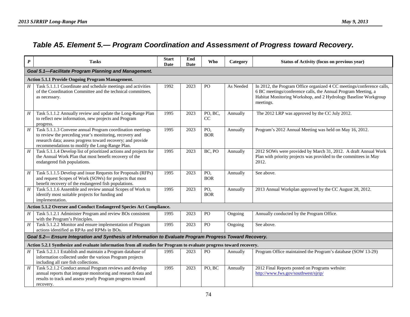## *Table A5. Element 5.— Program Coordination and Assessment of Progress toward Recovery.*

| $\boldsymbol{P}$ | <b>Tasks</b>                                                                                                                                                                                                                          | <b>Start</b><br>Date | End<br>Date | Who               | Category  | <b>Status of Activity (focus on previous year)</b>                                                                                                                                                                     |  |  |  |  |
|------------------|---------------------------------------------------------------------------------------------------------------------------------------------------------------------------------------------------------------------------------------|----------------------|-------------|-------------------|-----------|------------------------------------------------------------------------------------------------------------------------------------------------------------------------------------------------------------------------|--|--|--|--|
|                  | Goal 5.1-Facilitate Program Planning and Management.                                                                                                                                                                                  |                      |             |                   |           |                                                                                                                                                                                                                        |  |  |  |  |
|                  | <b>Action 5.1.1 Provide Ongoing Program Management.</b>                                                                                                                                                                               |                      |             |                   |           |                                                                                                                                                                                                                        |  |  |  |  |
| H                | Task 5.1.1.1 Coordinate and schedule meetings and activities<br>of the Coordination Committee and the technical committees,<br>as necessary.                                                                                          | 1992                 | 2023        | P <sub>O</sub>    | As Needed | In 2012, the Program Office organized 4 CC meetings/conference calls,<br>6 BC meetings/conference calls, the Annual Program Meeting, a<br>Habitat Monitoring Workshop, and 2 Hydrology Baseline Workgroup<br>meetings. |  |  |  |  |
| H                | Task 5.1.1.2 Annually review and update the Long-Range Plan<br>to reflect new information, new projects and Program<br>progress.                                                                                                      | 1995                 | 2023        | PO, BC,<br>CC     | Annually  | The 2012 LRP was approved by the CC July 2012.                                                                                                                                                                         |  |  |  |  |
| $\boldsymbol{H}$ | Task 5.1.1.3 Convene annual Program coordination meetings<br>to review the preceding year's monitoring, recovery and<br>research data; assess progress toward recovery; and provide<br>recommendations to modify the Long-Range Plan. | 1995                 | 2023        | PO,<br><b>BOR</b> | Annually  | Program's 2012 Annual Meeting was held on May 16, 2012.                                                                                                                                                                |  |  |  |  |
| H                | Task 5.1.1.4 Develop list of prioritized actions and projects for<br>the Annual Work Plan that most benefit recovery of the<br>endangered fish populations.                                                                           | 1995                 | 2023        | BC, PO            | Annually  | 2012 SOWs were provided by March 31, 2012. A draft Annual Work<br>Plan with priority projects was provided to the committees in May<br>2012.                                                                           |  |  |  |  |
| $H_{\rm}$        | Task 5.1.1.5 Develop and issue Requests for Proposals (RFPs)<br>and request Scopes of Work (SOWs) for projects that most<br>benefit recovery of the endangered fish populations.                                                      | 1995                 | 2023        | PO,<br><b>BOR</b> | Annually  | See above.                                                                                                                                                                                                             |  |  |  |  |
| $\boldsymbol{H}$ | Task 5.1.1.6 Assemble and review annual Scopes of Work to<br>identify most suitable projects for funding and<br>implementation.                                                                                                       | 1995                 | 2023        | PO,<br><b>BOR</b> | Annually  | 2013 Annual Workplan approved by the CC August 28, 2012.                                                                                                                                                               |  |  |  |  |
|                  | Action 5.1.2 Oversee and Conduct Endangered Species Act Compliance.                                                                                                                                                                   |                      |             |                   |           |                                                                                                                                                                                                                        |  |  |  |  |
| $H_{-}$          | Task 5.1.2.1 Administer Program and review BOs consistent<br>with the Program's Principles.                                                                                                                                           | 1995                 | 2023        | PO                | Ongoing   | Annually conducted by the Program Office.                                                                                                                                                                              |  |  |  |  |
| $H_{\parallel}$  | Task 5.1.2.2 Monitor and ensure implementation of Program<br>actions identified as RPAs and RPMs in BOs.                                                                                                                              | 1995                 | 2023        | PO                | Ongoing   | See above.                                                                                                                                                                                                             |  |  |  |  |
|                  | Goal 5.2- Ensure Integration and Synthesis of Information to Evaluate Program Progress Toward Recovery.                                                                                                                               |                      |             |                   |           |                                                                                                                                                                                                                        |  |  |  |  |
|                  | Action 5.2.1 Synthesize and evaluate information from all studies for Program to evaluate progress toward recovery.                                                                                                                   |                      |             |                   |           |                                                                                                                                                                                                                        |  |  |  |  |
| H                | Task 5.2.1.1 Establish and maintain a Program database of<br>information collected under the various Program projects<br>including all rare fish collections.                                                                         | 1995                 | 2023        | PO                | Annually  | Program Office maintained the Program's database (SOW 13-29)                                                                                                                                                           |  |  |  |  |
| H                | Task 5.2.1.2 Conduct annual Program reviews and develop<br>annual reports that integrate monitoring and research data and<br>results to track and assess yearly Program progress toward<br>recovery.                                  | 1995                 | 2023        | PO, BC            | Annually  | 2012 Final Reports posted on Programs website:<br>http://www.fws.gov/southwest/sjrip/                                                                                                                                  |  |  |  |  |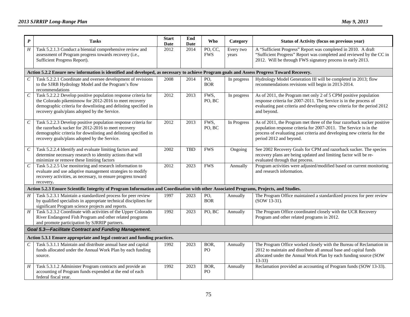| $\boldsymbol{P}$            | <b>Tasks</b>                                                                                                                                                                                                                                | <b>Start</b><br>Date | End<br>Date | <b>Who</b>                      | Category           | Status of Activity (focus on previous year)                                                                                                                                                                                                        |  |  |  |  |  |
|-----------------------------|---------------------------------------------------------------------------------------------------------------------------------------------------------------------------------------------------------------------------------------------|----------------------|-------------|---------------------------------|--------------------|----------------------------------------------------------------------------------------------------------------------------------------------------------------------------------------------------------------------------------------------------|--|--|--|--|--|
| $\overline{H}$              | Task 5.2.1.3 Conduct a biennial comprehensive review and<br>assessment of Program progress towards recovery (i.e.,<br>Sufficient Progress Report).                                                                                          | 2012                 | 2014        | PO, CC,<br><b>FWS</b>           | Every two<br>years | A "Sufficient Progress" Report was completed in 2010. A draft<br>"Sufficient Progress" Report was completed and reviewed by the CC in<br>2012. Will be through FWS signatory process in early 2013.                                                |  |  |  |  |  |
|                             | Action 5.2.2 Ensure new information is identified and developed, as necessary to achieve Program goals and Assess Progress Toward Recovery.                                                                                                 |                      |             |                                 |                    |                                                                                                                                                                                                                                                    |  |  |  |  |  |
| $\mathcal{C}_{\mathcal{C}}$ | Task 5.2.2.1 Coordinate and oversee development of revisions<br>to the SJRB Hydrology Model and the Program's flow<br>recommendations                                                                                                       | 2008                 | 2014        | $\overline{PO}$ ,<br><b>BOR</b> | In progress        | Hydrology Model Generation III will be completed in 2013; flow<br>recommendations revisions will begin in 2013-2014.                                                                                                                               |  |  |  |  |  |
| $\cal C$                    | Task 5.2.2.2 Develop positive population response criteria for<br>the Colorado pikeminnow for 2012-2016 to meet recovery<br>demographic criteria for downlisting and delisting specified in<br>recovery goals/plans adopted by the Service. | 2012                 | 2013        | FWS,<br>PO, BC                  | In progress        | As of 2011, the Program met only 2 of 5 CPM positive population<br>response criteria for 2007-2011. The Service is in the process of<br>evaluating past criteria and developing new criteria for the period 2012<br>and beyond.                    |  |  |  |  |  |
| $\mathcal{C}_{\mathcal{C}}$ | Task 5.2.2.3 Develop positive population response criteria for<br>the razorback sucker for 2012-2016 to meet recovery<br>demographic criteria for downlisting and delisting specified in<br>recovery goals/plans adopted by the Service.    | 2012                 | 2013        | FWS,<br>PO, BC                  | In Progress        | As of 2011, the Program met three of the four razorback sucker positive<br>population response criteria for 2007-2011. The Service is in the<br>process of evaluating past criteria and developing new criteria for the<br>period 2012 and beyond. |  |  |  |  |  |
| $\mathcal C$                | Task 5.2.2.4 Identify and evaluate limiting factors and<br>determine necessary research to identity actions that will<br>minimize or remove these limiting factors                                                                          | 2002                 | <b>TBD</b>  | <b>FWS</b>                      | Ongoing            | See 2002 Recovery Goals for CPM and razorback sucker. The species<br>recovery plans are being updated and limiting factor will be re-<br>evaluated through that process.                                                                           |  |  |  |  |  |
| $\mathcal C$                | Task 5.2.2.5 Use monitoring and research information to<br>evaluate and use adaptive management strategies to modify<br>recovery activities, as necessary, to ensure progress toward<br>recovery.                                           | 2012                 | 2023        | <b>FWS</b>                      | Annually           | Program activities were adjusted/modified based on current monitoring<br>and research information.                                                                                                                                                 |  |  |  |  |  |
|                             | Action 5.2.3 Ensure Scientific Integrity of Program Information and Coordination with other Associated Programs, Projects, and Studies.                                                                                                     |                      |             |                                 |                    |                                                                                                                                                                                                                                                    |  |  |  |  |  |
| $H_{\parallel}$             | Task 5.2.3.1 Maintain a standardized process for peer review<br>by qualified specialists in appropriate technical disciplines for<br>significant Program science projects and reports.                                                      | 1997                 | 2023        | PO,<br><b>BOR</b>               | Annually           | The Program Office maintained a standardized process for peer review<br>(SOW 13-31).                                                                                                                                                               |  |  |  |  |  |
| $H_{\parallel}$             | Task 5.2.3.2 Coordinate with activities of the Upper Colorado<br>River Endangered Fish Program and other related programs<br>and promote participation by SJRRIP partners.                                                                  | 1992                 | 2023        | PO, BC                          | Annually           | The Program Office coordinated closely with the UCR Recovery<br>Program and other related programs in 2012.                                                                                                                                        |  |  |  |  |  |
|                             | <b>Goal 5.3-Facilitate Contract and Funding Management.</b>                                                                                                                                                                                 |                      |             |                                 |                    |                                                                                                                                                                                                                                                    |  |  |  |  |  |
|                             | Action 5.3.1 Ensure appropriate and legal contract and funding practices.                                                                                                                                                                   |                      |             |                                 |                    |                                                                                                                                                                                                                                                    |  |  |  |  |  |
| C                           | Task 5.3.1.1 Maintain and distribute annual base and capital<br>funds allocated under the Annual Work Plan by each funding<br>source.                                                                                                       | 1992                 | 2023        | BOR,<br>$\rm PO$                | Annually           | The Program Office worked closely with the Bureau of Reclamation in<br>2012 to maintain and distribute all annual base and capital funds<br>allocated under the Annual Work Plan by each funding source (SOW<br>$13-33$                            |  |  |  |  |  |
| $H_{\rm}$                   | Task 5.3.1.2 Administer Program contracts and provide an<br>accounting of Program funds expended at the end of each<br>federal fiscal year.                                                                                                 | 1992                 | 2023        | BOR,<br>PO                      | Annually           | Reclamation provided an accounting of Program funds (SOW 13-33).                                                                                                                                                                                   |  |  |  |  |  |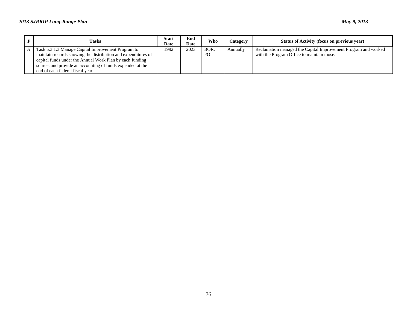| <b>Tasks</b>                                                                                                                                                                                                                                                                      | <b>Start</b><br>Date | End<br>Date | Who                    | Category | Status of Activity (focus on previous year)                                                                  |
|-----------------------------------------------------------------------------------------------------------------------------------------------------------------------------------------------------------------------------------------------------------------------------------|----------------------|-------------|------------------------|----------|--------------------------------------------------------------------------------------------------------------|
| Task 5.3.1.3 Manage Capital Improvement Program to<br>maintain records showing the distribution and expenditures of<br>capital funds under the Annual Work Plan by each funding<br>source, and provide an accounting of funds expended at the<br>end of each federal fiscal year. | 1992                 | 2023        | BOR.<br>P <sub>O</sub> | Annually | Reclamation managed the Capital Improvement Program and worked<br>with the Program Office to maintain those. |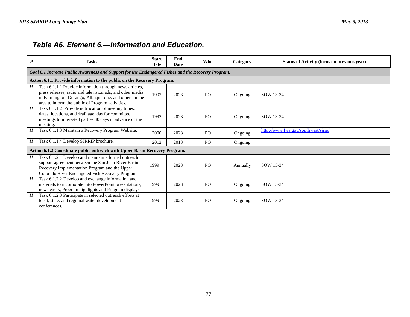## *Table A6. Element 6.—Information and Education.*

| $\boldsymbol{P}$ | <b>Tasks</b>                                                                                                                                                                                                                       | <b>Start</b><br>Date | End<br>Date | <b>Who</b>     | Category | Status of Activity (focus on previous year) |  |  |  |  |
|------------------|------------------------------------------------------------------------------------------------------------------------------------------------------------------------------------------------------------------------------------|----------------------|-------------|----------------|----------|---------------------------------------------|--|--|--|--|
|                  | Goal 6.1 Increase Public Awareness and Support for the Endangered Fishes and the Recovery Program.                                                                                                                                 |                      |             |                |          |                                             |  |  |  |  |
|                  | Action 6.1.1 Provide information to the public on the Recovery Program.                                                                                                                                                            |                      |             |                |          |                                             |  |  |  |  |
| H                | Task 6.1.1.1 Provide information through news articles,<br>press releases, radio and television ads, and other media<br>in Farmington, Durango, Albuquerque, and others in the<br>area to inform the public of Program activities. | 1992                 | 2023        | P <sub>O</sub> | Ongoing  | SOW 13-34                                   |  |  |  |  |
| H                | Task 6.1.1.2 Provide notification of meeting times,<br>dates, locations, and draft agendas for committee<br>meetings to interested parties 30 days in advance of the<br>meeting.                                                   | 1992                 | 2023        | P <sub>O</sub> | Ongoing  | SOW 13-34                                   |  |  |  |  |
| H                | Task 6.1.1.3 Maintain a Recovery Program Website.                                                                                                                                                                                  | 2000                 | 2023        | P <sub>O</sub> | Ongoing  | http://www.fws.gov/southwest/sjrip/         |  |  |  |  |
| Н                | Task 6.1.1.4 Develop SJRRIP brochure.                                                                                                                                                                                              | 2012                 | 2013        | P <sub>O</sub> | Ongoing  |                                             |  |  |  |  |
|                  | Action 6.1.2 Coordinate public outreach with Upper Basin Recovery Program.                                                                                                                                                         |                      |             |                |          |                                             |  |  |  |  |
| $H_{\parallel}$  | Task 6.1.2.1 Develop and maintain a formal outreach<br>support agreement between the San Juan River Basin<br>Recovery Implementation Program and the Upper<br>Colorado River Endangered Fish Recovery Program.                     | 1999                 | 2023        | P <sub>O</sub> | Annually | SOW 13-34                                   |  |  |  |  |
| H                | Task 6.1.2.2 Develop and exchange information and<br>materials to incorporate into PowerPoint presentations,<br>newsletters, Program highlights and Program displays.                                                              | 1999                 | 2023        | P <sub>O</sub> | Ongoing  | SOW 13-34                                   |  |  |  |  |
| H                | Task 6.1.2.3 Participate in selected outreach efforts at<br>local, state, and regional water development<br>conferences.                                                                                                           | 1999                 | 2023        | PO             | Ongoing  | SOW 13-34                                   |  |  |  |  |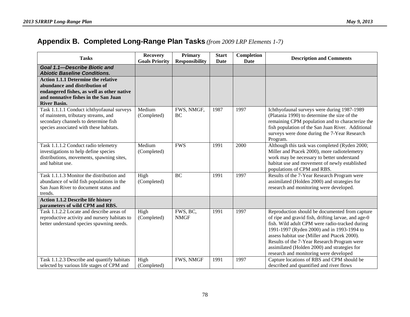## **Appendix B. Completed Long-Range Plan Tasks** *(from 2009 LRP Elements 1-7)*

| <b>Tasks</b>                                                                                                                                                                             | <b>Recovery</b><br><b>Goals Priority</b> | <b>Primary</b><br><b>Responsibility</b> | <b>Start</b><br><b>Date</b> | Completion<br><b>Date</b> | <b>Description and Comments</b>                                                                                                                                                                                                                                                                                                                                                                |
|------------------------------------------------------------------------------------------------------------------------------------------------------------------------------------------|------------------------------------------|-----------------------------------------|-----------------------------|---------------------------|------------------------------------------------------------------------------------------------------------------------------------------------------------------------------------------------------------------------------------------------------------------------------------------------------------------------------------------------------------------------------------------------|
| Goal 1.1-Describe Biotic and<br><b>Abiotic Baseline Conditions.</b>                                                                                                                      |                                          |                                         |                             |                           |                                                                                                                                                                                                                                                                                                                                                                                                |
| <b>Action 1.1.1 Determine the relative</b><br>abundance and distribution of<br>endangered fishes, as well as other native<br>and nonnative fishes in the San Juan<br><b>River Basin.</b> |                                          |                                         |                             |                           |                                                                                                                                                                                                                                                                                                                                                                                                |
| Task 1.1.1.1 Conduct ichthyofaunal surveys<br>of mainstem, tributary streams, and<br>secondary channels to determine fish<br>species associated with these habitats.                     | Medium<br>(Completed)                    | FWS, NMGF,<br>BC                        | 1987                        | 1997                      | Ichthyofaunal surveys were during 1987-1989<br>(Platania 1990) to determine the size of the<br>remaining CPM population and to characterize the<br>fish population of the San Juan River. Additional<br>surveys were done during the 7-Year Research<br>Program.                                                                                                                               |
| Task 1.1.1.2 Conduct radio telemetry<br>investigations to help define species<br>distributions, movements, spawning sites,<br>and habitat use.                                           | Medium<br>(Completed)                    | <b>FWS</b>                              | 1991                        | 2000                      | Although this task was completed (Ryden 2000;<br>Miller and Ptacek 2000), more radiotelemetry<br>work may be necessary to better understand<br>habitat use and movement of newly established<br>populations of CPM and RBS.                                                                                                                                                                    |
| Task 1.1.1.3 Monitor the distribution and<br>abundance of wild fish populations in the<br>San Juan River to document status and<br>trends.                                               | High<br>(Completed)                      | <b>BC</b>                               | 1991                        | 1997                      | Results of the 7-Year Research Program were<br>assimilated (Holden 2000) and strategies for<br>research and monitoring were developed.                                                                                                                                                                                                                                                         |
| <b>Action 1.1.2 Describe life history</b><br>parameters of wild CPM and RBS.                                                                                                             |                                          |                                         |                             |                           |                                                                                                                                                                                                                                                                                                                                                                                                |
| Task 1.1.2.2 Locate and describe areas of<br>reproductive activity and nursery habitats to<br>better understand species spawning needs.                                                  | High<br>(Completed)                      | FWS, BC,<br><b>NMGF</b>                 | 1991                        | 1997                      | Reproduction should be documented from capture<br>of ripe and gravid fish, drifting larvae, and age-0<br>fish. Wild adult CPM were radio-tracked during<br>1991-1997 (Ryden 2000) and in 1993-1994 to<br>assess habitat use (Miller and Ptacek 2000).<br>Results of the 7-Year Research Program were<br>assimilated (Holden 2000) and strategies for<br>research and monitoring were developed |
| Task 1.1.2.3 Describe and quantify habitats<br>selected by various life stages of CPM and                                                                                                | High<br>(Completed)                      | FWS, NMGF                               | 1991                        | 1997                      | Capture locations of RBS and CPM should be<br>described and quantified and river flows                                                                                                                                                                                                                                                                                                         |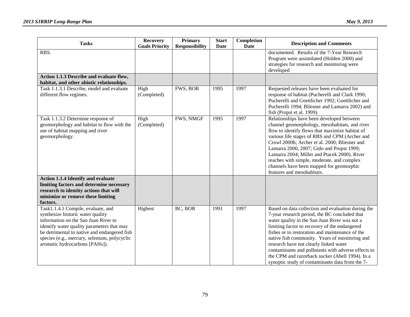| <b>Tasks</b>                                                                                                                                                                                                                                                                                    | <b>Recovery</b><br><b>Goals Priority</b> | Primary<br><b>Responsibility</b> | <b>Start</b><br>Date | Completion<br>Date | <b>Description and Comments</b>                                                                                                                                                                                                                                                                                                                                                                                                                                                                                   |
|-------------------------------------------------------------------------------------------------------------------------------------------------------------------------------------------------------------------------------------------------------------------------------------------------|------------------------------------------|----------------------------------|----------------------|--------------------|-------------------------------------------------------------------------------------------------------------------------------------------------------------------------------------------------------------------------------------------------------------------------------------------------------------------------------------------------------------------------------------------------------------------------------------------------------------------------------------------------------------------|
| RBS.                                                                                                                                                                                                                                                                                            |                                          |                                  |                      |                    | documented. Results of the 7-Year Research<br>Program were assimilated (Holden 2000) and<br>strategies for research and monitoring were<br>developed                                                                                                                                                                                                                                                                                                                                                              |
| Action 1.1.3 Describe and evaluate flow,<br>habitat, and other abiotic relationships.                                                                                                                                                                                                           |                                          |                                  |                      |                    |                                                                                                                                                                                                                                                                                                                                                                                                                                                                                                                   |
| Task 1.1.3.1 Describe, model and evaluate<br>different flow regimes.                                                                                                                                                                                                                            | High<br>(Completed)                      | FWS, BOR                         | 1995                 | 1997               | Requested releases have been evaluated for<br>response of habitat (Pucherelli and Clark 1990;<br>Pucherelli and Goettlicher 1992; Goettlicher and<br>Pucherelli 1994; Bliesner and Lamarra 2002) and<br>fish (Propst et al. 1999).                                                                                                                                                                                                                                                                                |
| Task 1.1.3.2 Determine response of<br>geomorphology and habitat to flow with the<br>use of habitat mapping and river<br>geomorphology.                                                                                                                                                          | High<br>(Completed)                      | FWS, NMGF                        | 1995                 | 1997               | Relationships have been developed between<br>channel geomorphology, mesohabitats, and river<br>flow to identify flows that maximize habitat of<br>various life stages of RBS and CPM (Archer and<br>Crowl 2000b; Archer et al. 2000; Bliesner and<br>Lamarra 2000, 2007; Gido and Propst 1999;<br>Lamarra 2004; Miller and Ptacek 2000). River<br>reaches with simple, moderate, and complex<br>channels have been mapped for geomorphic<br>features and mesohabitats.                                            |
| <b>Action 1.1.4 Identify and evaluate</b><br>limiting factors and determine necessary<br>research to identity actions that will<br>minimize or remove these limiting<br>factors.                                                                                                                |                                          |                                  |                      |                    |                                                                                                                                                                                                                                                                                                                                                                                                                                                                                                                   |
| Task1.1.4.1 Compile, evaluate, and<br>synthesize historic water quality<br>information on the San Juan River to<br>identify water quality parameters that may<br>be detrimental to native and endangered fish<br>species (e.g., mercury, selenium, polycyclic<br>aromatic hydrocarbons [PAHs]). | Highest                                  | BC, BOR                          | 1991                 | 1997               | Based on data collection and evaluation during the<br>7-year research period, the BC concluded that<br>water quality in the San Juan River was not a<br>limiting factor to recovery of the endangered<br>fishes or to restoration and maintenance of the<br>native fish community. Years of monitoring and<br>research have not clearly linked water<br>contaminants and pollutants with adverse effects to<br>the CPM and razorback sucker (Abell 1994). In a<br>synoptic study of contaminants data from the 7- |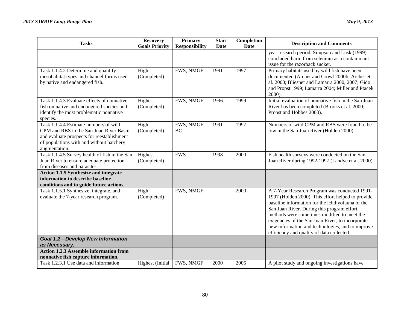| <b>Tasks</b>                                                                                                                                                                                | <b>Recovery</b><br><b>Goals Priority</b> | <b>Primary</b><br><b>Responsibility</b> | <b>Start</b><br><b>Date</b> | Completion<br><b>Date</b> | <b>Description and Comments</b>                                                                                                                                                                                                                                                                                                                                                                           |
|---------------------------------------------------------------------------------------------------------------------------------------------------------------------------------------------|------------------------------------------|-----------------------------------------|-----------------------------|---------------------------|-----------------------------------------------------------------------------------------------------------------------------------------------------------------------------------------------------------------------------------------------------------------------------------------------------------------------------------------------------------------------------------------------------------|
|                                                                                                                                                                                             |                                          |                                         |                             |                           | year research period, Simpson and Lusk (1999)<br>concluded harm from selenium as a contaminant<br>issue for the razorback sucker.                                                                                                                                                                                                                                                                         |
| Task 1.1.4.2 Determine and quantify<br>mesohabitat types and channel forms used<br>by native and endangered fish.                                                                           | High<br>(Completed)                      | FWS, NMGF                               | 1991                        | 1997                      | Primary habitats used by wild fish have been<br>documented (Archer and Crowl 2000b; Archer et<br>al. 2000; Bliesner and Lamarra 2000, 2007; Gido<br>and Propst 1999; Lamarra 2004; Miller and Ptacek<br>2000).                                                                                                                                                                                            |
| Task 1.1.4.3 Evaluate effects of nonnative<br>fish on native and endangered species and<br>identify the most problematic nonnative<br>species.                                              | Highest<br>(Completed)                   | FWS, NMGF                               | 1996                        | 1999                      | Initial evaluation of nonnative fish in the San Juan<br>River has been completed (Brooks et al. 2000;<br>Propst and Hobbes 2000).                                                                                                                                                                                                                                                                         |
| Task 1.1.4.4 Estimate numbers of wild<br>CPM and RBS in the San Juan River Basin<br>and evaluate prospects for reestablishment<br>of populations with and without hatchery<br>augmentation. | High<br>(Completed)                      | FWS, NMGF,<br><b>BC</b>                 | 1991                        | 1997                      | Numbers of wild CPM and RBS were found to be<br>low in the San Juan River (Holden 2000).                                                                                                                                                                                                                                                                                                                  |
| Task 1.1.4.5 Survey health of fish in the San<br>Juan River to ensure adequate protection<br>from diseases and parasites.                                                                   | Highest<br>(Completed)                   | <b>FWS</b>                              | 1998                        | 2000                      | Fish health surveys were conducted on the San<br>Juan River during 1992-1997 (Landye et al. 2000).                                                                                                                                                                                                                                                                                                        |
| <b>Action 1.1.5 Synthesize and integrate</b><br>information to describe baseline<br>conditions and to guide future actions.                                                                 |                                          |                                         |                             |                           |                                                                                                                                                                                                                                                                                                                                                                                                           |
| Task 1.1.5.1 Synthesize, integrate, and<br>evaluate the 7-year research program.                                                                                                            | High<br>(Completed)                      | FWS, NMGF                               |                             | 2000                      | A 7-Year Research Program was conducted 1991-<br>1997 (Holden 2000). This effort helped to provide<br>baseline information for the ichthyofauna of the<br>San Juan River. During this program effort,<br>methods were sometimes modified to meet the<br>exigencies of the San Juan River, to incorporate<br>new information and technologies, and to improve<br>efficiency and quality of data collected. |
| <b>Goal 1.2-Develop New Information</b><br>as Necessary.                                                                                                                                    |                                          |                                         |                             |                           |                                                                                                                                                                                                                                                                                                                                                                                                           |
| <b>Action 1.2.3 Assemble information from</b><br>nonnative fish capture information.                                                                                                        |                                          |                                         |                             |                           |                                                                                                                                                                                                                                                                                                                                                                                                           |
| Task 1.2.3.1 Use data and information                                                                                                                                                       | Highest (Initial                         | FWS, NMGF                               | 2000                        | 2005                      | A pilot study and ongoing investigations have                                                                                                                                                                                                                                                                                                                                                             |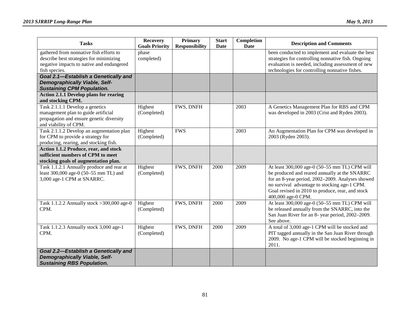| <b>Tasks</b>                                                                                                                                     | <b>Recovery</b><br><b>Goals Priority</b> | Primary<br><b>Responsibility</b> | <b>Start</b><br><b>Date</b> | Completion<br><b>Date</b> | <b>Description and Comments</b>                                                                                                                                                                                                                                              |
|--------------------------------------------------------------------------------------------------------------------------------------------------|------------------------------------------|----------------------------------|-----------------------------|---------------------------|------------------------------------------------------------------------------------------------------------------------------------------------------------------------------------------------------------------------------------------------------------------------------|
| gathered from nonnative fish efforts to<br>describe best strategies for minimizing<br>negative impacts to native and endangered<br>fish species. | phase<br>completed)                      |                                  |                             |                           | been conducted to implement and evaluate the best<br>strategies for controlling nonnative fish. Ongoing<br>evaluation is needed, including assessment of new<br>technologies for controlling nonnative fishes.                                                               |
| Goal 2.1-Establish a Genetically and<br><b>Demographically Viable, Self-</b><br><b>Sustaining CPM Population.</b>                                |                                          |                                  |                             |                           |                                                                                                                                                                                                                                                                              |
| <b>Action 2.1.1 Develop plans for rearing</b><br>and stocking CPM.                                                                               |                                          |                                  |                             |                           |                                                                                                                                                                                                                                                                              |
| Task 2.1.1.1 Develop a genetics<br>management plan to guide artificial<br>propagation and ensure genetic diversity<br>and viability of CPM.      | Highest<br>(Completed)                   | FWS, DNFH                        |                             | 2003                      | A Genetics Management Plan for RBS and CPM<br>was developed in 2003 (Crist and Ryden 2003).                                                                                                                                                                                  |
| Task 2.1.1.2 Develop an augmentation plan<br>for CPM to provide a strategy for<br>producing, rearing, and stocking fish.                         | Highest<br>(Completed)                   | <b>FWS</b>                       |                             | 2003                      | An Augmentation Plan for CPM was developed in<br>2003 (Ryden 2003).                                                                                                                                                                                                          |
| Action 1.1.2 Produce, rear, and stock<br>sufficient numbers of CPM to meet<br>stocking goals of augmentation plan.                               |                                          |                                  |                             |                           |                                                                                                                                                                                                                                                                              |
| Task 1.1.2.1 Annually produce and rear at<br>least 300,000 age-0 (50-55 mm TL) and<br>3,000 age-1 CPM at SNARRC.                                 | Highest<br>(Completed)                   | FWS, DNFH                        | 2000                        | 2009                      | At least 300,000 age-0 (50-55 mm TL) CPM will<br>be produced and reared annually at the SNARRC<br>for an 8-year period, 2002-2009. Analyses showed<br>no survival advantage to stocking age-1 CPM.<br>Goal revised in 2010 to produce, rear, and stock<br>400,000 age-0 CPM. |
| Task 1.1.2.2 Annually stock > 300,000 age-0<br>CPM.                                                                                              | Highest<br>(Completed)                   | FWS, DNFH                        | 2000                        | 2009                      | At least 300,000 age-0 (50-55 mm TL) CPM will<br>be released annually from the SNARRC, into the<br>San Juan River for an 8- year period, 2002-2009.<br>See above.                                                                                                            |
| Task 1.1.2.3 Annually stock 3,000 age-1<br>CPM.                                                                                                  | Highest<br>(Completed)                   | FWS, DNFH                        | 2000                        | 2009                      | A total of 3,000 age-1 CPM will be stocked and<br>PIT tagged annually in the San Juan River through<br>2009. No age-1 CPM will be stocked beginning in<br>2011.                                                                                                              |
| Goal 2.2-Establish a Genetically and<br><b>Demographically Viable, Self-</b><br><b>Sustaining RBS Population.</b>                                |                                          |                                  |                             |                           |                                                                                                                                                                                                                                                                              |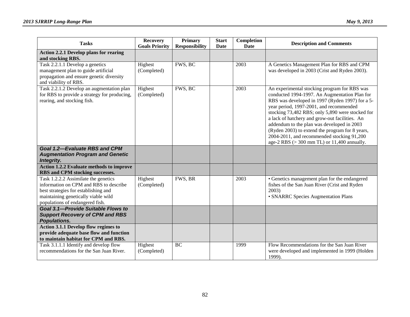| <b>Tasks</b>                                                                                                                                                                                     | <b>Recovery</b><br><b>Goals Priority</b> | Primary<br><b>Responsibility</b> | <b>Start</b><br>Date | Completion<br>Date | <b>Description and Comments</b>                                                                                                                                                                                                                                                                                                                                                                                                                                                                                  |
|--------------------------------------------------------------------------------------------------------------------------------------------------------------------------------------------------|------------------------------------------|----------------------------------|----------------------|--------------------|------------------------------------------------------------------------------------------------------------------------------------------------------------------------------------------------------------------------------------------------------------------------------------------------------------------------------------------------------------------------------------------------------------------------------------------------------------------------------------------------------------------|
| <b>Action 2.2.1 Develop plans for rearing</b><br>and stocking RBS.                                                                                                                               |                                          |                                  |                      |                    |                                                                                                                                                                                                                                                                                                                                                                                                                                                                                                                  |
| Task 2.2.1.1 Develop a genetics<br>management plan to guide artificial<br>propagation and ensure genetic diversity<br>and viability of RBS.                                                      | Highest<br>(Completed)                   | FWS, BC                          |                      | 2003               | A Genetics Management Plan for RBS and CPM<br>was developed in 2003 (Crist and Ryden 2003).                                                                                                                                                                                                                                                                                                                                                                                                                      |
| Task 2.2.1.2 Develop an augmentation plan<br>for RBS to provide a strategy for producing,<br>rearing, and stocking fish.                                                                         | Highest<br>(Completed)                   | FWS, BC                          |                      | 2003               | An experimental stocking program for RBS was<br>conducted 1994-1997. An Augmentation Plan for<br>RBS was developed in 1997 (Ryden 1997) for a 5-<br>year period, 1997-2001, and recommended<br>stocking 73,482 RBS; only 5,890 were stocked for<br>a lack of hatchery and grow-out facilities. An<br>addendum to the plan was developed in 2003<br>(Ryden 2003) to extend the program for 8 years,<br>2004-2011, and recommended stocking 91,200<br>age-2 RBS $(>300 \text{ mm} \text{ TL})$ or 11,400 annually. |
| <b>Goal 1.2-Evaluate RBS and CPM</b><br><b>Augmentation Program and Genetic</b><br>Integrity.                                                                                                    |                                          |                                  |                      |                    |                                                                                                                                                                                                                                                                                                                                                                                                                                                                                                                  |
| <b>Action 1.2.2 Evaluate methods to improve</b><br>RBS and CPM stocking successes.                                                                                                               |                                          |                                  |                      |                    |                                                                                                                                                                                                                                                                                                                                                                                                                                                                                                                  |
| Task 1.2.2.2 Assimilate the genetics<br>information on CPM and RBS to describe<br>best strategies for establishing and<br>maintaining genetically viable wild<br>populations of endangered fish. | Highest<br>(Completed)                   | FWS, BR                          |                      | 2003               | • Genetics management plan for the endangered<br>fishes of the San Juan River (Crist and Ryden<br>2003)<br>• SNARRC Species Augmentation Plans                                                                                                                                                                                                                                                                                                                                                                   |
| <b>Goal 3.1-Provide Suitable Flows to</b><br><b>Support Recovery of CPM and RBS</b><br>Populations.                                                                                              |                                          |                                  |                      |                    |                                                                                                                                                                                                                                                                                                                                                                                                                                                                                                                  |
| Action 3.1.1 Develop flow regimes to<br>provide adequate base flow and function<br>to maintain habitat for CPM and RBS.                                                                          |                                          |                                  |                      |                    |                                                                                                                                                                                                                                                                                                                                                                                                                                                                                                                  |
| Task 3.1.1.1 Identify and develop flow<br>recommendations for the San Juan River.                                                                                                                | Highest<br>(Completed)                   | BC                               |                      | 1999               | Flow Recommendations for the San Juan River<br>were developed and implemented in 1999 (Holden<br>1999).                                                                                                                                                                                                                                                                                                                                                                                                          |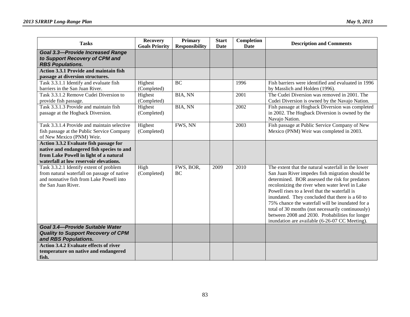| <b>Tasks</b>                                                                                                                                                            | <b>Recovery</b><br><b>Goals Priority</b> | <b>Primary</b>        | <b>Start</b><br>Date | Completion<br>Date | <b>Description and Comments</b>                                                                                                                                                                                                                                                                                                                                                                                                                                                                                               |
|-------------------------------------------------------------------------------------------------------------------------------------------------------------------------|------------------------------------------|-----------------------|----------------------|--------------------|-------------------------------------------------------------------------------------------------------------------------------------------------------------------------------------------------------------------------------------------------------------------------------------------------------------------------------------------------------------------------------------------------------------------------------------------------------------------------------------------------------------------------------|
| <b>Goal 3.3-Provide Increased Range</b><br>to Support Recovery of CPM and<br><b>RBS Populations.</b>                                                                    |                                          | <b>Responsibility</b> |                      |                    |                                                                                                                                                                                                                                                                                                                                                                                                                                                                                                                               |
| <b>Action 3.3.1 Provide and maintain fish</b>                                                                                                                           |                                          |                       |                      |                    |                                                                                                                                                                                                                                                                                                                                                                                                                                                                                                                               |
| passage at diversion structures.                                                                                                                                        |                                          |                       |                      |                    |                                                                                                                                                                                                                                                                                                                                                                                                                                                                                                                               |
| Task 3.3.1.1 Identify and evaluate fish<br>barriers in the San Juan River.                                                                                              | Highest<br>(Completed)                   | <b>BC</b>             |                      | 1996               | Fish barriers were identified and evaluated in 1996<br>by Masslich and Holden (1996).                                                                                                                                                                                                                                                                                                                                                                                                                                         |
| Task 3.3.1.2 Remove Cudei Diversion to<br>provide fish passage.                                                                                                         | Highest<br>(Completed)                   | BIA, NN               |                      | 2001               | The Cudei Diversion was removed in 2001. The<br>Cudei Diversion is owned by the Navajo Nation.                                                                                                                                                                                                                                                                                                                                                                                                                                |
| Task 3.3.1.3 Provide and maintain fish<br>passage at the Hogback Diversion.                                                                                             | Highest<br>(Completed)                   | <b>BIA, NN</b>        |                      | 2002               | Fish passage at Hogback Diversion was completed<br>in 2002. The Hogback Diversion is owned by the<br>Navajo Nation.                                                                                                                                                                                                                                                                                                                                                                                                           |
| Task 3.3.1.4 Provide and maintain selective<br>fish passage at the Public Service Company<br>of New Mexico (PNM) Weir.                                                  | Highest<br>(Completed)                   | FWS, NN               |                      | 2003               | Fish passage at Public Service Company of New<br>Mexico (PNM) Weir was completed in 2003.                                                                                                                                                                                                                                                                                                                                                                                                                                     |
| Action 3.3.2 Evaluate fish passage for<br>native and endangered fish species to and<br>from Lake Powell in light of a natural<br>waterfall at low reservoir elevations. |                                          |                       |                      |                    |                                                                                                                                                                                                                                                                                                                                                                                                                                                                                                                               |
| Task 3.3.2.1 Identify extent of problem<br>from natural waterfall on passage of native<br>and nonnative fish from Lake Powell into<br>the San Juan River.               | High<br>(Completed)                      | FWS, BOR,<br>BC       | 2009                 | 2010               | The extent that the natural waterfall in the lower<br>San Juan River impedes fish migration should be<br>determined. BOR assessed the risk for predators<br>recolonizing the river when water level in Lake<br>Powell rises to a level that the waterfall is<br>inundated. They concluded that there is a 60 to<br>75% chance the waterfall will be inundated for a<br>total of 30 months (not necessarily continuously)<br>between 2008 and 2030. Probabilities for longer<br>inundation are available (6-26-07 CC Meeting). |
| Goal 3.4-Provide Suitable Water<br><b>Quality to Support Recovery of CPM</b><br>and RBS Populations.                                                                    |                                          |                       |                      |                    |                                                                                                                                                                                                                                                                                                                                                                                                                                                                                                                               |
| <b>Action 3.4.2 Evaluate effects of river</b><br>temperature on native and endangered<br>fish.                                                                          |                                          |                       |                      |                    |                                                                                                                                                                                                                                                                                                                                                                                                                                                                                                                               |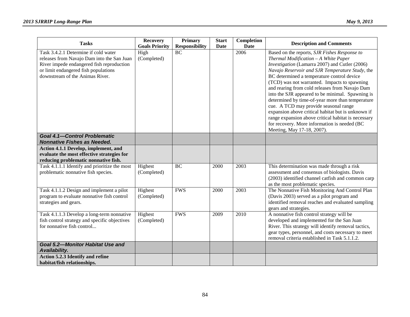| <b>Tasks</b>                                                                                                                                                                                               | <b>Recovery</b><br><b>Goals Priority</b> | <b>Primary</b><br><b>Responsibility</b> | <b>Start</b><br>Date | Completion<br><b>Date</b> | <b>Description and Comments</b>                                                                                                                                                                                                                                                                                                                                                                                                                                                                                                                                                                                                                                                       |
|------------------------------------------------------------------------------------------------------------------------------------------------------------------------------------------------------------|------------------------------------------|-----------------------------------------|----------------------|---------------------------|---------------------------------------------------------------------------------------------------------------------------------------------------------------------------------------------------------------------------------------------------------------------------------------------------------------------------------------------------------------------------------------------------------------------------------------------------------------------------------------------------------------------------------------------------------------------------------------------------------------------------------------------------------------------------------------|
| Task 3.4.2.1 Determine if cold water<br>releases from Navajo Dam into the San Juan<br>River impede endangered fish reproduction<br>or limit endangered fish populations<br>downstream of the Animas River. | High<br>(Completed)                      | <b>BC</b>                               |                      | 2006                      | Based on the reports, SJR Fishes Response to<br>Thermal Modification - A White Paper<br>Investigation (Lamarra 2007) and Cutler (2006)<br>Navajo Reservoir and SJR Temperature Study, the<br>BC determined a temperature control device<br>(TCD) was not warranted. Impacts to spawning<br>and rearing from cold releases from Navajo Dam<br>into the SJR appeared to be minimal. Spawning is<br>determined by time-of-year more than temperature<br>cue. A TCD may provide seasonal range<br>expansion above critical habitat but is unknown if<br>range expansion above critical habitat is necessary<br>for recovery. More information is needed (BC<br>Meeting, May 17-18, 2007). |
| <b>Goal 4.1-Control Problematic</b><br><b>Nonnative Fishes as Needed.</b>                                                                                                                                  |                                          |                                         |                      |                           |                                                                                                                                                                                                                                                                                                                                                                                                                                                                                                                                                                                                                                                                                       |
| Action 4.1.1 Develop, implement, and<br>evaluate the most effective strategies for<br>reducing problematic nonnative fish.                                                                                 |                                          |                                         |                      |                           |                                                                                                                                                                                                                                                                                                                                                                                                                                                                                                                                                                                                                                                                                       |
| Task 4.1.1.1 Identify and prioritize the most<br>problematic nonnative fish species.                                                                                                                       | Highest<br>(Completed)                   | <b>BC</b>                               | 2000                 | 2003                      | This determination was made through a risk<br>assessment and consensus of biologists. Davis<br>(2003) identified channel catfish and common carp<br>as the most problematic species.                                                                                                                                                                                                                                                                                                                                                                                                                                                                                                  |
| Task 4.1.1.2 Design and implement a pilot<br>program to evaluate nonnative fish control<br>strategies and gears.                                                                                           | Highest<br>(Completed)                   | <b>FWS</b>                              | 2000                 | 2003                      | The Nonnative Fish Monitoring And Control Plan<br>(Davis 2003) served as a pilot program and<br>identified removal reaches and evaluated sampling<br>gears and strategies.                                                                                                                                                                                                                                                                                                                                                                                                                                                                                                            |
| Task 4.1.1.3 Develop a long-term nonnative<br>fish control strategy and specific objectives<br>for nonnative fish control                                                                                  | Highest<br>(Completed)                   | <b>FWS</b>                              | 2009                 | 2010                      | A nonnative fish control strategy will be<br>developed and implemented for the San Juan<br>River. This strategy will identify removal tactics,<br>gear types, personnel, and costs necessary to meet<br>removal criteria established in Task 5.1.1.2.                                                                                                                                                                                                                                                                                                                                                                                                                                 |
| <b>Goal 5.2-Monitor Habitat Use and</b><br>Availability.                                                                                                                                                   |                                          |                                         |                      |                           |                                                                                                                                                                                                                                                                                                                                                                                                                                                                                                                                                                                                                                                                                       |
| Action 5.2.3 Identify and refine<br>habitat/fish relationships.                                                                                                                                            |                                          |                                         |                      |                           |                                                                                                                                                                                                                                                                                                                                                                                                                                                                                                                                                                                                                                                                                       |